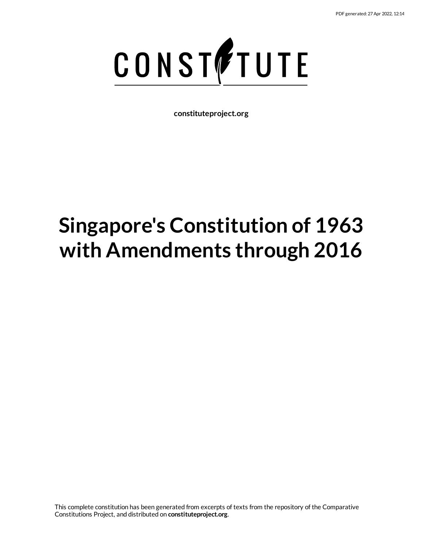

**constituteproject.org**

# **Singapore's Constitution of 1963 with Amendments through 2016**

This complete constitution has been generated from excerpts of texts from the repository of the Comparative Constitutions Project, and distributed on **constituteproject.org**.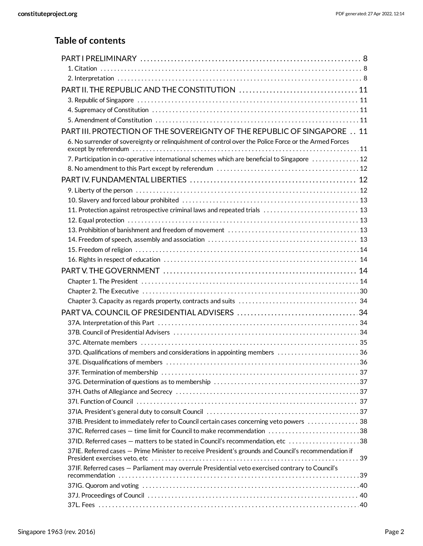# **Table of contents**

| PART III. PROTECTION OF THE SOVEREIGNTY OF THE REPUBLIC OF SINGAPORE 11                               |  |
|-------------------------------------------------------------------------------------------------------|--|
| 6. No surrender of sovereignty or relinquishment of control over the Police Force or the Armed Forces |  |
|                                                                                                       |  |
| 7. Participation in co-operative international schemes which are beneficial to Singapore  12          |  |
|                                                                                                       |  |
|                                                                                                       |  |
|                                                                                                       |  |
|                                                                                                       |  |
| 11. Protection against retrospective criminal laws and repeated trials  13                            |  |
|                                                                                                       |  |
|                                                                                                       |  |
|                                                                                                       |  |
|                                                                                                       |  |
|                                                                                                       |  |
|                                                                                                       |  |
|                                                                                                       |  |
|                                                                                                       |  |
|                                                                                                       |  |
|                                                                                                       |  |
|                                                                                                       |  |
|                                                                                                       |  |
|                                                                                                       |  |
| 37D. Qualifications of members and considerations in appointing members  36                           |  |
| 37E. Disaualifications of members<br>. 36                                                             |  |
|                                                                                                       |  |
|                                                                                                       |  |
|                                                                                                       |  |
|                                                                                                       |  |
|                                                                                                       |  |
| 37IB. President to immediately refer to Council certain cases concerning veto powers  38              |  |
| 37IC. Referred cases - time limit for Council to make recommendation 38                               |  |
| 37ID. Referred cases - matters to be stated in Council's recommendation, etc 38                       |  |
| 37IE. Referred cases - Prime Minister to receive President's grounds and Council's recommendation if  |  |
| 37IF. Referred cases - Parliament may overrule Presidential veto exercised contrary to Council's      |  |
|                                                                                                       |  |
|                                                                                                       |  |
|                                                                                                       |  |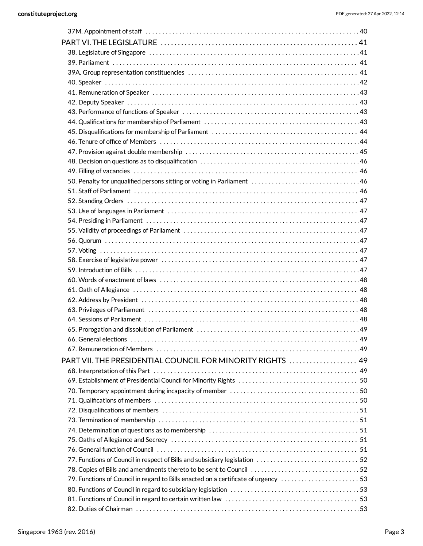| 79. Functions of Council in regard to Bills enacted on a certificate of urgency 53 |  |
|------------------------------------------------------------------------------------|--|
|                                                                                    |  |
|                                                                                    |  |
|                                                                                    |  |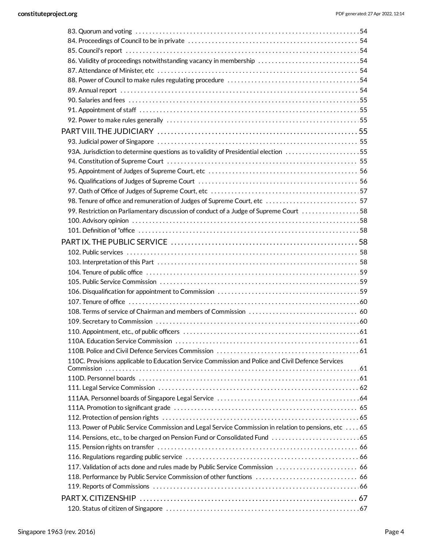| 86. Validity of proceedings notwithstanding vacancy in membership 54                                 |  |
|------------------------------------------------------------------------------------------------------|--|
|                                                                                                      |  |
|                                                                                                      |  |
|                                                                                                      |  |
|                                                                                                      |  |
|                                                                                                      |  |
|                                                                                                      |  |
|                                                                                                      |  |
|                                                                                                      |  |
| 93A. Jurisdiction to determine questions as to validity of Presidential election 55                  |  |
|                                                                                                      |  |
|                                                                                                      |  |
|                                                                                                      |  |
|                                                                                                      |  |
|                                                                                                      |  |
| 99. Restriction on Parliamentary discussion of conduct of a Judge of Supreme Court  58               |  |
|                                                                                                      |  |
|                                                                                                      |  |
|                                                                                                      |  |
|                                                                                                      |  |
|                                                                                                      |  |
|                                                                                                      |  |
|                                                                                                      |  |
|                                                                                                      |  |
|                                                                                                      |  |
|                                                                                                      |  |
|                                                                                                      |  |
|                                                                                                      |  |
|                                                                                                      |  |
|                                                                                                      |  |
|                                                                                                      |  |
| 110C. Provisions applicable to Education Service Commission and Police and Civil Defence Services    |  |
|                                                                                                      |  |
|                                                                                                      |  |
|                                                                                                      |  |
|                                                                                                      |  |
|                                                                                                      |  |
| 113. Power of Public Service Commission and Legal Service Commission in relation to pensions, etc 65 |  |
| 114. Pensions, etc., to be charged on Pension Fund or Consolidated Fund  65                          |  |
|                                                                                                      |  |
|                                                                                                      |  |
|                                                                                                      |  |
|                                                                                                      |  |
|                                                                                                      |  |
|                                                                                                      |  |
|                                                                                                      |  |
|                                                                                                      |  |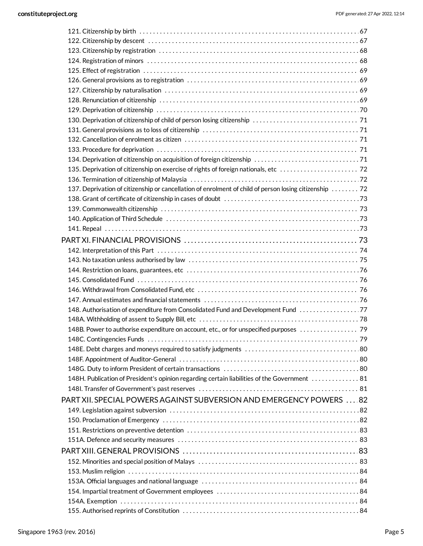| 137. Deprivation of citizenship or cancellation of enrolment of child of person losing citizenship 72 |  |
|-------------------------------------------------------------------------------------------------------|--|
|                                                                                                       |  |
|                                                                                                       |  |
|                                                                                                       |  |
|                                                                                                       |  |
|                                                                                                       |  |
|                                                                                                       |  |
|                                                                                                       |  |
|                                                                                                       |  |
|                                                                                                       |  |
|                                                                                                       |  |
|                                                                                                       |  |
| 148. Authorisation of expenditure from Consolidated Fund and Development Fund 77                      |  |
|                                                                                                       |  |
|                                                                                                       |  |
|                                                                                                       |  |
|                                                                                                       |  |
|                                                                                                       |  |
|                                                                                                       |  |
| 148H. Publication of President's opinion regarding certain liabilities of the Government  81          |  |
|                                                                                                       |  |
| PART XII. SPECIAL POWERS AGAINST SUBVERSION AND EMERGENCY POWERS  82                                  |  |
|                                                                                                       |  |
|                                                                                                       |  |
|                                                                                                       |  |
|                                                                                                       |  |
|                                                                                                       |  |
|                                                                                                       |  |
|                                                                                                       |  |
|                                                                                                       |  |
|                                                                                                       |  |
|                                                                                                       |  |
|                                                                                                       |  |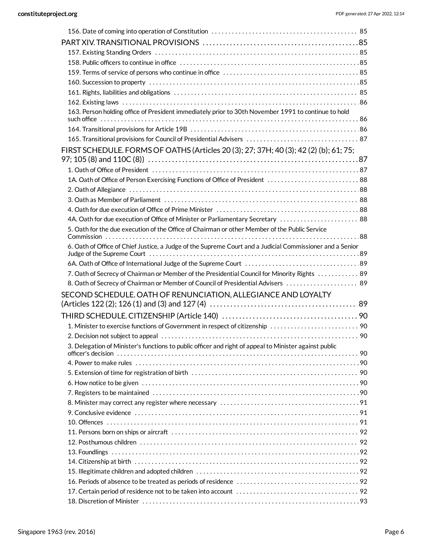| 163. Person holding office of President immediately prior to 30th November 1991 to continue to hold       |    |
|-----------------------------------------------------------------------------------------------------------|----|
|                                                                                                           |    |
|                                                                                                           |    |
|                                                                                                           |    |
| FIRST SCHEDULE. FORMS OF OATHS (Articles 20 (3); 27; 37H; 40 (3); 42 (2) (b); 61; 75;                     |    |
|                                                                                                           |    |
|                                                                                                           |    |
| 1A. Oath of Office of Person Exercising Functions of Office of President  88                              |    |
|                                                                                                           |    |
|                                                                                                           |    |
|                                                                                                           |    |
| 4A. Oath for due execution of Office of Minister or Parliamentary Secretary  88                           |    |
| 5. Oath for the due execution of the Office of Chairman or other Member of the Public Service             |    |
| 6. Oath of Office of Chief Justice, a Judge of the Supreme Court and a Judicial Commissioner and a Senior |    |
|                                                                                                           |    |
|                                                                                                           |    |
| 7. Oath of Secrecy of Chairman or Member of the Presidential Council for Minority Rights 89               |    |
| 8. Oath of Secrecy of Chairman or Member of Council of Presidential Advisers  89                          |    |
| SECOND SCHEDULE. OATH OF RENUNCIATION, ALLEGIANCE AND LOYALTY                                             |    |
|                                                                                                           |    |
|                                                                                                           |    |
|                                                                                                           |    |
| 2. Decision not subject to appeal                                                                         | 90 |
| 3. Delegation of Minister's functions to public officer and right of appeal to Minister against public    |    |
|                                                                                                           |    |
|                                                                                                           |    |
|                                                                                                           |    |
|                                                                                                           |    |
|                                                                                                           |    |
|                                                                                                           |    |
|                                                                                                           |    |
|                                                                                                           |    |
|                                                                                                           |    |
|                                                                                                           |    |
|                                                                                                           |    |
|                                                                                                           |    |
|                                                                                                           |    |
|                                                                                                           |    |
|                                                                                                           |    |
|                                                                                                           |    |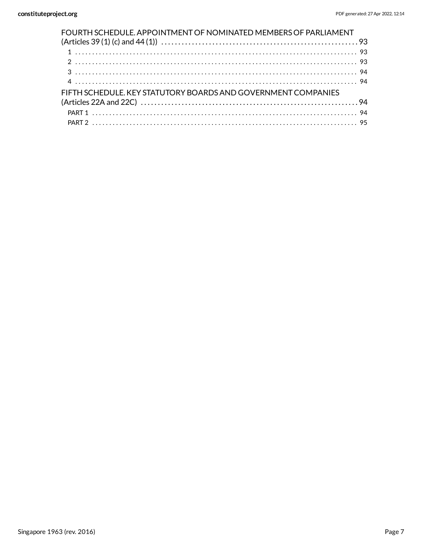| FOURTH SCHEDULE, APPOINTMENT OF NOMINATED MEMBERS OF PARLIAMENT |  |
|-----------------------------------------------------------------|--|
| $(Articles 39(1)(c) and 44(1)) \dots 33$                        |  |
|                                                                 |  |
|                                                                 |  |
|                                                                 |  |
|                                                                 |  |
| FIFTH SCHEDULE. KEY STATUTORY BOARDS AND GOVERNMENT COMPANIES   |  |
|                                                                 |  |
|                                                                 |  |
|                                                                 |  |
|                                                                 |  |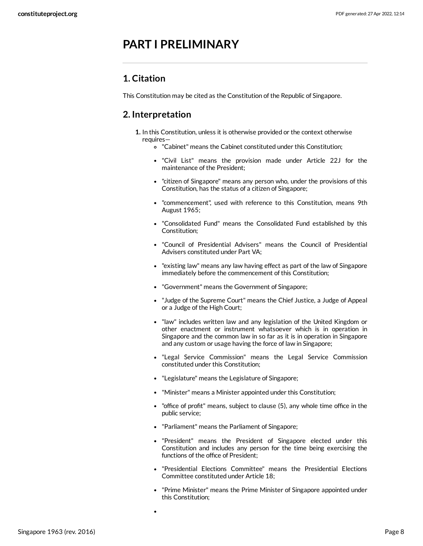# <span id="page-7-0"></span>**PART I PRELIMINARY**

# <span id="page-7-1"></span>**1. Citation**

This Constitution may be cited as the Constitution of the Republic of Singapore.

# <span id="page-7-2"></span>**2. Interpretation**

- **1.** In this Constitution, unless it is otherwise provided or the context otherwise requires—
	- "Cabinet" means the Cabinet constituted under this Constitution;
	- "Civil List" means the provision made under Article 22J for the maintenance of the President;
	- "citizen of Singapore" means any person who, under the provisions of this Constitution, has the status of a citizen of Singapore;
	- "commencement", used with reference to this Constitution, means 9th August 1965;
	- "Consolidated Fund" means the Consolidated Fund established by this Constitution;
	- "Council of Presidential Advisers" means the Council of Presidential Advisers constituted under Part VA;
	- "existing law" means any law having effect as part of the law of Singapore immediately before the commencement of this Constitution;
	- "Government" means the Government of Singapore;
	- "Judge of the Supreme Court" means the Chief Justice, a Judge of Appeal or a Judge of the High Court;
	- "law" includes written law and any legislation of the United Kingdom or other enactment or instrument whatsoever which is in operation in Singapore and the common law in so far as it is in operation in Singapore and any custom or usage having the force of law in Singapore;
	- "Legal Service Commission" means the Legal Service Commission constituted under this Constitution;
	- "Legislature" means the Legislature of Singapore;
	- "Minister" means a Minister appointed under this Constitution;
	- "office of profit" means, subject to clause (5), any whole time office in the public service;
	- "Parliament" means the Parliament of Singapore;
	- "President" means the President of Singapore elected under this Constitution and includes any person for the time being exercising the functions of the office of President;
	- "Presidential Elections Committee" means the Presidential Elections Committee constituted under Article 18;
	- "Prime Minister" means the Prime Minister of Singapore appointed under this Constitution;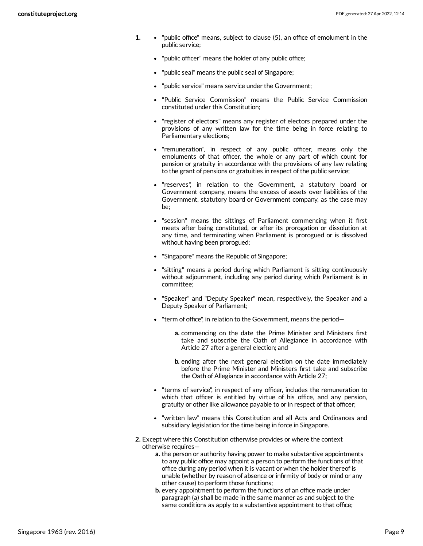- **1.** "public office" means, subject to clause (5), an office of emolument in the public service;
	- "public officer" means the holder of any public office;
	- "public seal" means the public seal of Singapore;
	- "public service" means service under the Government;
	- "Public Service Commission" means the Public Service Commission constituted under this Constitution;
	- "register of electors" means any register of electors prepared under the provisions of any written law for the time being in force relating to Parliamentary elections;
	- "remuneration", in respect of any public officer, means only the emoluments of that officer, the whole or any part of which count for pension or gratuity in accordance with the provisions of any law relating to the grant of pensions or gratuities in respect of the public service;
	- "reserves", in relation to the Government, a statutory board or Government company, means the excess of assets over liabilities of the Government, statutory board or Government company, as the case may be;
	- "session" means the sittings of Parliament commencing when it first meets after being constituted, or after its prorogation or dissolution at any time, and terminating when Parliament is prorogued or is dissolved without having been prorogued;
	- "Singapore" means the Republic of Singapore;
	- "sitting" means a period during which Parliament is sitting continuously without adjournment, including any period during which Parliament is in committee;
	- "Speaker" and "Deputy Speaker" mean, respectively, the Speaker and a Deputy Speaker of Parliament;
	- "term of office", in relation to the Government, means the period
		- **a.** commencing on the date the Prime Minister and Ministers first take and subscribe the Oath of Allegiance in accordance with Article 27 after a general election; and
		- **b.** ending after the next general election on the date immediately before the Prime Minister and Ministers first take and subscribe the Oath of Allegiance in accordance with Article 27;
	- "terms of service", in respect of any officer, includes the remuneration to which that officer is entitled by virtue of his office, and any pension, gratuity or other like allowance payable to or in respect of that officer;
	- "written law" means this Constitution and all Acts and Ordinances and subsidiary legislation for the time being in force in Singapore.
- **2.** Except where this Constitution otherwise provides or where the context otherwise requires
	- **a.** the person or authority having power to make substantive appointments to any public office may appoint a person to perform the functions of that office during any period when it is vacant or when the holder thereof is unable (whether by reason of absence or infirmity of body or mind or any other cause) to perform those functions;
	- **b.** every appointment to perform the functions of an office made under paragraph (a) shall be made in the same manner as and subject to the same conditions as apply to a substantive appointment to that office;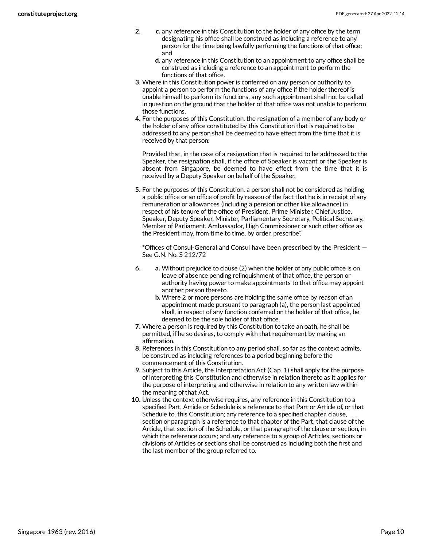- **2. c.** any reference in this Constitution to the holder of any office by the term designating his office shall be construed as including a reference to any person for the time being lawfully performing the functions of that office; and
	- **d.** any reference in this Constitution to an appointment to any office shall be construed as including a reference to an appointment to perform the functions of that office.
- **3.** Where in this Constitution power is conferred on any person or authority to appoint a person to perform the functions of any office if the holder thereof is unable himself to perform its functions, any such appointment shall not be called in question on the ground that the holder of that office was not unable to perform those functions.
- **4.** For the purposes of this Constitution, the resignation of a member of any body or the holder of any office constituted by this Constitution that is required to be addressed to any person shall be deemed to have effect from the time that it is received by that person:

Provided that, in the case of a resignation that is required to be addressed to the Speaker, the resignation shall, if the office of Speaker is vacant or the Speaker is absent from Singapore, be deemed to have effect from the time that it is received by a Deputy Speaker on behalf of the Speaker.

**5.** For the purposes of this Constitution, a person shall not be considered as holding a public office or an office of profit by reason of the fact that he is in receipt of any remuneration or allowances (including a pension or other like allowance) in respect of his tenure of the office of President, Prime Minister, Chief Justice, Speaker, Deputy Speaker, Minister, Parliamentary Secretary, Political Secretary, Member of Parliament, Ambassador, High Commissioner or such other office as the President may, from time to time, by order, prescribe\*.

\*Offices of Consul-General and Consul have been prescribed by the President — See G.N. No. S 212/72

- **6. a.** Without prejudice to clause (2) when the holder of any public office is on leave of absence pending relinquishment of that office, the person or authority having power to make appointments to that office may appoint another person thereto.
	- **b.** Where 2 or more persons are holding the same office by reason of an appointment made pursuant to paragraph (a), the person last appointed shall, in respect of any function conferred on the holder of that office, be deemed to be the sole holder of that office.
- **7.** Where a person is required by this Constitution to take an oath, he shall be permitted, if he so desires, to comply with that requirement by making an affirmation.
- **8.** References in this Constitution to any period shall, so far as the context admits, be construed as including references to a period beginning before the commencement of this Constitution.
- **9.** Subject to this Article, the Interpretation Act (Cap. 1) shall apply for the purpose of interpreting this Constitution and otherwise in relation thereto as it applies for the purpose of interpreting and otherwise in relation to any written law within the meaning of that Act.
- **10.** Unless the context otherwise requires, any reference in this Constitution to a specified Part, Article or Schedule is a reference to that Part or Article of, or that Schedule to, this Constitution; any reference to a specified chapter, clause, section or paragraph is a reference to that chapter of the Part, that clause of the Article, that section of the Schedule, or that paragraph of the clause or section, in which the reference occurs; and any reference to a group of Articles, sections or divisions of Articles or sections shall be construed as including both the first and the last member of the group referred to.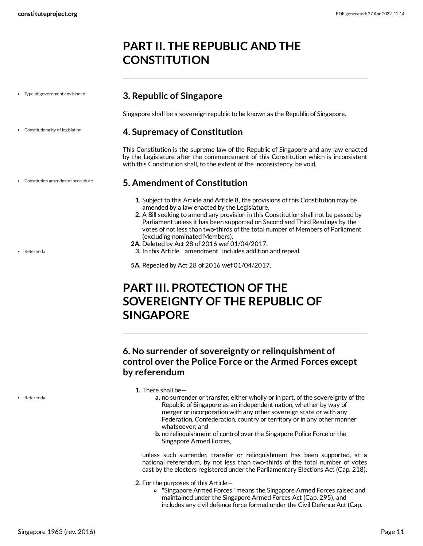# <span id="page-10-2"></span><span id="page-10-1"></span><span id="page-10-0"></span>**PART II. THE REPUBLIC AND THE CONSTITUTION**

| • Type of government envisioned    | 3. Republic of Singapore                                                                                                                                                                                                                                                                                                                                                                                                                                                                                                                                 |
|------------------------------------|----------------------------------------------------------------------------------------------------------------------------------------------------------------------------------------------------------------------------------------------------------------------------------------------------------------------------------------------------------------------------------------------------------------------------------------------------------------------------------------------------------------------------------------------------------|
|                                    | Singapore shall be a sovereign republic to be known as the Republic of Singapore.                                                                                                                                                                                                                                                                                                                                                                                                                                                                        |
| • Constitutionality of legislation | 4. Supremacy of Constitution                                                                                                                                                                                                                                                                                                                                                                                                                                                                                                                             |
|                                    | This Constitution is the supreme law of the Republic of Singapore and any law enacted<br>by the Legislature after the commencement of this Constitution which is inconsistent<br>with this Constitution shall, to the extent of the inconsistency, be void.                                                                                                                                                                                                                                                                                              |
| • Constitution amendment procedure | 5. Amendment of Constitution                                                                                                                                                                                                                                                                                                                                                                                                                                                                                                                             |
| • Referenda                        | <b>1.</b> Subject to this Article and Article 8, the provisions of this Constitution may be<br>amended by a law enacted by the Legislature.<br>2. A Bill seeking to amend any provision in this Constitution shall not be passed by<br>Parliament unless it has been supported on Second and Third Readings by the<br>votes of not less than two-thirds of the total number of Members of Parliament<br>(excluding nominated Members).<br>2A. Deleted by Act 28 of 2016 wef 01/04/2017.<br>3. In this Article, "amendment" includes addition and repeal. |
|                                    | <b>5A.</b> Repealed by Act 28 of 2016 wef 01/04/2017.                                                                                                                                                                                                                                                                                                                                                                                                                                                                                                    |
|                                    | <b>PART III. PROTECTION OF THE</b>                                                                                                                                                                                                                                                                                                                                                                                                                                                                                                                       |

# <span id="page-10-4"></span><span id="page-10-3"></span>**PART III. PROTECTION OF THE SOVEREIGNTY OF THE REPUBLIC OF SINGAPORE**

## <span id="page-10-5"></span>**6. No surrender of sovereignty or relinquishment of control over the Police Force or the Armed Forces except by referendum**

**1.** There shall be—

- **a.** no surrender or transfer, either wholly or in part, of the sovereignty of the Republic of Singapore as an independent nation, whether by way of merger or incorporation with any other sovereign state or with any Federation, Confederation, country or territory or in any other manner whatsoever; and
- **b.** no relinquishment of control over the Singapore Police Force or the Singapore Armed Forces,

unless such surrender, transfer or relinquishment has been supported, at a national referendum, by not less than two-thirds of the total number of votes cast by the electors registered under the Parliamentary Elections Act (Cap. 218).

#### **2.** For the purposes of this Article—

"Singapore Armed Forces" means the Singapore Armed Forces raised and maintained under the Singapore Armed Forces Act (Cap. 295), and includes any civil defence force formed under the Civil Defence Act (Cap.

Referenda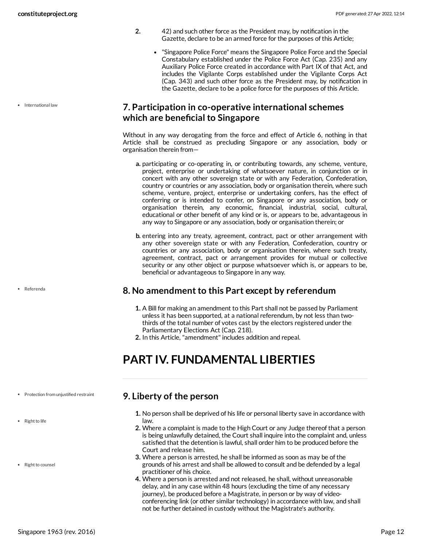- **2.** 42) and such other force as the President may, by notification in the Gazette, declare to be an armed force for the purposes of this Article;
	- "Singapore Police Force" means the Singapore Police Force and the Special Constabulary established under the Police Force Act (Cap. 235) and any Auxiliary Police Force created in accordance with Part IX of that Act, and includes the Vigilante Corps established under the Vigilante Corps Act (Cap. 343) and such other force as the President may, by notification in the Gazette, declare to be a police force for the purposes of this Article.

### <span id="page-11-0"></span>**7. Participation in co-operative international schemes which are beneficial to Singapore**

Without in any way derogating from the force and effect of Article 6, nothing in that Article shall be construed as precluding Singapore or any association, body or organisation therein from—

- **a.** participating or co-operating in, or contributing towards, any scheme, venture, project, enterprise or undertaking of whatsoever nature, in conjunction or in concert with any other sovereign state or with any Federation, Confederation, country or countries or any association, body or organisation therein, where such scheme, venture, project, enterprise or undertaking confers, has the effect of conferring or is intended to confer, on Singapore or any association, body or organisation therein, any economic, financial, industrial, social, cultural, educational or other benefit of any kind or is, or appears to be, advantageous in any way to Singapore or any association, body or organisation therein; or
- **b.** entering into any treaty, agreement, contract, pact or other arrangement with any other sovereign state or with any Federation, Confederation, country or countries or any association, body or organisation therein, where such treaty, agreement, contract, pact or arrangement provides for mutual or collective security or any other object or purpose whatsoever which is, or appears to be, beneficial or advantageous to Singapore in any way.

### <span id="page-11-1"></span>**8. No amendment to this Part except by referendum**

- **1.** A Bill for making an amendment to this Part shall not be passed by Parliament unless it has been supported, at a national referendum, by not less than twothirds of the total number of votes cast by the electors registered under the Parliamentary Elections Act (Cap. 218).
- **2.** In this Article, "amendment" includes addition and repeal.

# <span id="page-11-2"></span>**PART IV. FUNDAMENTAL LIBERTIES**

#### <span id="page-11-3"></span>**9. Liberty of the person**

- **1.** No person shall be deprived of his life or personal liberty save in accordance with law.
- **2.** Where a complaint is made to the High Court or any Judge thereof that a person is being unlawfully detained, the Court shall inquire into the complaint and, unless satisfied that the detention is lawful, shall order him to be produced before the Court and release him.
- **3.** Where a person is arrested, he shall be informed as soon as may be of the grounds of his arrest and shall be allowed to consult and be defended by a legal practitioner of his choice.
- **4.** Where a person is arrested and not released, he shall, without unreasonable delay, and in any case within 48 hours (excluding the time of any necessary journey), be produced before a Magistrate, in person or by way of videoconferencing link (or other similar technology) in accordance with law, and shall not be further detained in custody without the Magistrate's authority.

• International law

Referenda

• Right to life

• Right to counsel

Singapore 1963 (rev. 2016) Page 12

• Protection from unjustified restraint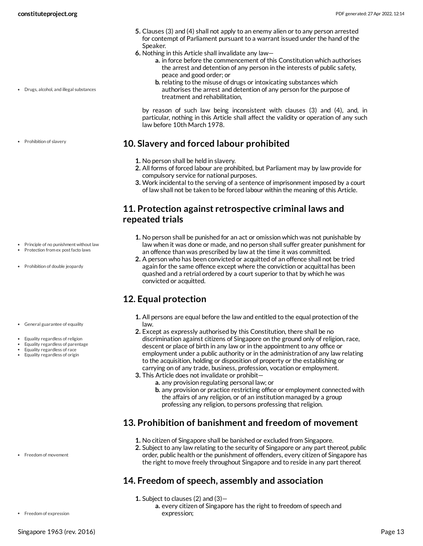Drugs, alcohol, and illegal substances

- **5.** Clauses (3) and (4) shall not apply to an enemy alien or to any person arrested for contempt of Parliament pursuant to a warrant issued under the hand of the Speaker.
- **6.** Nothing in this Article shall invalidate any law
	- **a.** in force before the commencement of this Constitution which authorises the arrest and detention of any person in the interests of public safety, peace and good order; or
	- **b.** relating to the misuse of drugs or intoxicating substances which authorises the arrest and detention of any person for the purpose of treatment and rehabilitation,

by reason of such law being inconsistent with clauses (3) and (4), and, in particular, nothing in this Article shall affect the validity or operation of any such law before 10th March 1978.

# <span id="page-12-0"></span>**10. Slavery and forced labour prohibited**

- **1.** No person shall be held in slavery.
- **2.** All forms of forced labour are prohibited, but Parliament may by law provide for compulsory service for national purposes.
- **3.** Work incidental to the serving of a sentence of imprisonment imposed by a court of law shall not be taken to be forced labour within the meaning of this Article.

### <span id="page-12-1"></span>**11. Protection against retrospective criminal laws and repeated trials**

- **1.** No person shall be punished for an act or omission which was not punishable by law when it was done or made, and no person shall suffer greater punishment for an offence than was prescribed by law at the time it was committed.
- **2.** A person who has been convicted or acquitted of an offence shall not be tried again for the same offence except where the conviction or acquittal has been quashed and a retrial ordered by a court superior to that by which he was convicted or acquitted.

# <span id="page-12-2"></span>**12. Equal protection**

- **1.** All persons are equal before the law and entitled to the equal protection of the law.
- **2.** Except as expressly authorised by this Constitution, there shall be no discrimination against citizens of Singapore on the ground only of religion, race, descent or place of birth in any law or in the appointment to any office or employment under a public authority or in the administration of any law relating to the acquisition, holding or disposition of property or the establishing or carrying on of any trade, business, profession, vocation or employment.
- **3.** This Article does not invalidate or prohibit
	- **a.** any provision regulating personal law; or
		- **b.** any provision or practice restricting office or employment connected with the affairs of any religion, or of an institution managed by a group professing any religion, to persons professing that religion.

# <span id="page-12-3"></span>**13. Prohibition of banishment and freedom of movement**

- **1.** No citizen of Singapore shall be banished or excluded from Singapore.
- **2.** Subject to any law relating to the security of Singapore or any part thereof, public order, public health or the punishment of offenders, every citizen of Singapore has the right to move freely throughout Singapore and to reside in any part thereof.

# <span id="page-12-4"></span>**14. Freedom of speech, assembly and association**

- **1.** Subject to clauses (2) and (3)
	- **a.** every citizen of Singapore has the right to freedom of speech and expression;

• Prohibition of slavery

- $\bullet$  Principle of no punishment without law
- Protection from ex postfacto laws
- Prohibition of double jeopardy
- General guarantee of equality
- Equality regardless of religion
- Equality regardless of parentage
- Equality regardless of race Equality regardless of origin

• Freedom of movement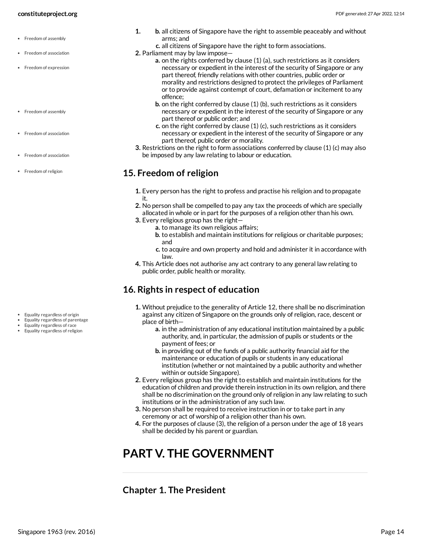- Freedom of assembly
- Freedom of association
- Freedom of expression
- Freedom of assembly
- Freedom of association
- Freedom of association
- Freedom of religion

Equality regardless of origin Equality regardless of parentage Equality regardless of race Equality regardless of religion

- **constituteproject.org** PDF generated: 27 Apr 2022, 12:14
	- **1. b.** all citizens of Singapore have the right to assemble peaceably and without arms; and
	- **c.** all citizens of Singapore have the right to form associations.
	- **2.** Parliament may by law impose
		- **a.** on the rights conferred by clause (1) (a), such restrictions as it considers necessary or expedient in the interest of the security of Singapore or any part thereof, friendly relations with other countries, public order or morality and restrictions designed to protect the privileges of Parliament or to provide against contempt of court, defamation or incitement to any offence;
		- **b.** on the right conferred by clause (1) (b), such restrictions as it considers necessary or expedient in the interest of the security of Singapore or any part thereof or public order; and
		- **c.** on the right conferred by clause (1) (c), such restrictions as it considers necessary or expedient in the interest of the security of Singapore or any part thereof, public order or morality.
	- **3.** Restrictions on the right to form associations conferred by clause (1) (c) may also be imposed by any law relating to labour or education.

# <span id="page-13-0"></span>**15. Freedom of religion**

- **1.** Every person has the right to profess and practise his religion and to propagate it.
- **2.** No person shall be compelled to pay any tax the proceeds of which are specially allocated in whole or in part for the purposes of a religion other than his own.
- **3.** Every religious group has the right
	- **a.** to manage its own religious affairs;
	- **b.** to establish and maintain institutions for religious or charitable purposes; and
	- **c.** to acquire and own property and hold and administer it in accordance with law.
- **4.** This Article does not authorise any act contrary to any general law relating to public order, public health or morality.

# <span id="page-13-1"></span>**16. Rights in respect of education**

- **1.** Without prejudice to the generality of Article 12, there shall be no discrimination against any citizen of Singapore on the grounds only of religion, race, descent or place of birth
	- **a.** in the administration of any educational institution maintained by a public authority, and, in particular, the admission of pupils or students or the payment of fees; or
	- **b.** in providing out of the funds of a public authority financial aid for the maintenance or education of pupils or students in any educational institution (whether or not maintained by a public authority and whether within or outside Singapore).
- **2.** Every religious group has the right to establish and maintain institutions for the education of children and provide therein instruction in its own religion, and there shall be no discrimination on the ground only of religion in any law relating to such institutions or in the administration of any such law.
- **3.** No person shall be required to receive instruction in or to take part in any ceremony or act of worship of a religion other than his own.
- **4.** For the purposes of clause (3), the religion of a person under the age of 18 years shall be decided by his parent or guardian.

# <span id="page-13-2"></span>**PART V. THE GOVERNMENT**

<span id="page-13-3"></span>**Chapter 1. The President**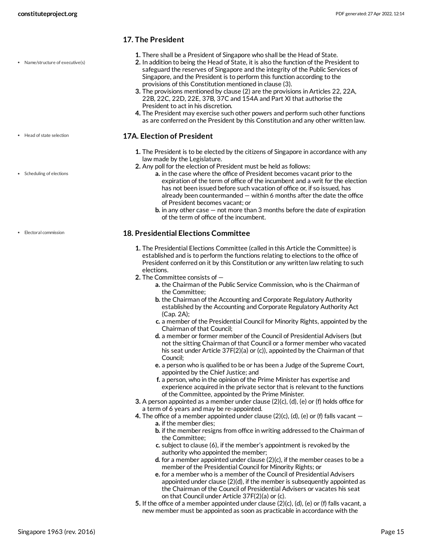Name/structure of executive(s)

### **17. The President**

- **1.** There shall be a President of Singapore who shall be the Head of State.
- **2.** In addition to being the Head of State, it is also the function of the President to safeguard the reserves of Singapore and the integrity of the Public Services of Singapore, and the President is to perform this function according to the provisions of this Constitution mentioned in clause (3).
- **3.** The provisions mentioned by clause (2) are the provisions in Articles 22, 22A, 22B, 22C, 22D, 22E, 37B, 37C and 154A and Part XI that authorise the President to act in his discretion.
- **4.** The President may exercise such other powers and perform such other functions as are conferred on the President by this Constitution and any other written law.

#### **17A. Election of President**

- **1.** The President is to be elected by the citizens of Singapore in accordance with any law made by the Legislature.
- **2.** Any poll for the election of President must be held as follows:
	- **a.** in the case where the office of President becomes vacant prior to the expiration of the term of office of the incumbent and a writ for the election has not been issued before such vacation of office or, if so issued, has already been countermanded — within 6 months after the date the office of President becomes vacant; or
	- **b.** in any other case not more than 3 months before the date of expiration of the term of office of the incumbent.

#### **18. Presidential Elections Committee**

- **1.** The Presidential Elections Committee (called in this Article the Committee) is established and is to perform the functions relating to elections to the office of President conferred on it by this Constitution or any written law relating to such elections.
- **2.** The Committee consists of
	- **a.** the Chairman of the Public Service Commission, who is the Chairman of the Committee;
	- **b.** the Chairman of the Accounting and Corporate Regulatory Authority established by the Accounting and Corporate Regulatory Authority Act (Cap. 2A);
	- **c.** a member of the Presidential Council for Minority Rights, appointed by the Chairman of that Council;
	- **d.** a member or former member of the Council of Presidential Advisers (but not the sitting Chairman of that Council or a former member who vacated his seat under Article 37F(2)(a) or (c)), appointed by the Chairman of that Council;
	- **e.** a person who is qualified to be or has been a Judge of the Supreme Court, appointed by the Chief Justice; and
	- **f.** a person, who in the opinion of the Prime Minister has expertise and experience acquired in the private sector that is relevant to the functions of the Committee, appointed by the Prime Minister.
- **3.** A person appointed as a member under clause (2)(c), (d), (e) or (f) holds office for a term of 6 years and may be re-appointed.
- **4.** The office of a member appointed under clause (2)(c), (d), (e) or (f) falls vacant **a.** if the member dies;
	- **b.** if the member resigns from office in writing addressed to the Chairman of the Committee;
	- **c.** subject to clause (6), if the member's appointment is revoked by the authority who appointed the member;
	- **d.** for a member appointed under clause  $(2)(c)$ , if the member ceases to be a member of the Presidential Council for Minority Rights; or
	- **e.** for a member who is a member of the Council of Presidential Advisers appointed under clause (2)(d), if the member is subsequently appointed as the Chairman of the Council of Presidential Advisers or vacates his seat on that Council under Article 37F(2)(a) or (c).
- **5.** If the office of a member appointed under clause (2)(c), (d), (e) or (f) falls vacant, a new member must be appointed as soon as practicable in accordance with the
- Head of state selection
- Scheduling of elections
- Electoral commission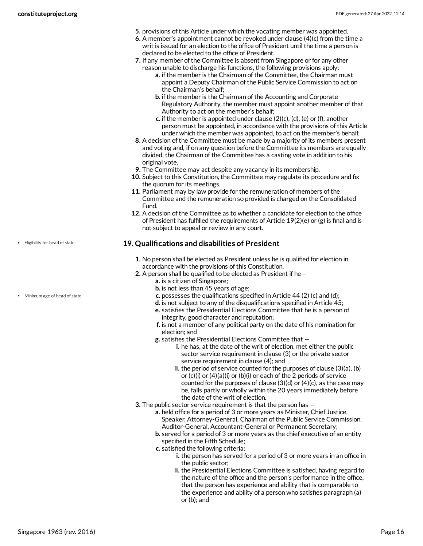- **5.** provisions of this Article under which the vacating member was appointed.
- **6.** A member's appointment cannot be revoked under clause (4)(c) from the time a writ is issued for an election to the office of President until the time a person is declared to be elected to the office of President.
- **7.** If any member of the Committee is absent from Singapore or for any other
	- reason unable to discharge his functions, the following provisions apply: **a.** if the member is the Chairman of the Committee, the Chairman must appoint a Deputy Chairman of the Public Service Commission to act on the Chairman's behalf;
		- **b.** if the member is the Chairman of the Accounting and Corporate Regulatory Authority, the member must appoint another member of that Authority to act on the member's behalf;
		- **c.** if the member is appointed under clause (2)(c), (d), (e) or (f), another person must be appointed, in accordance with the provisions of this Article under which the member was appointed, to act on the member's behalf.
- **8.** A decision of the Committee must be made by a majority of its members present and voting and, if on any question before the Committee its members are equally divided, the Chairman of the Committee has a casting vote in addition to his original vote.
- **9.** The Committee may act despite any vacancy in its membership.
- **10.** Subject to this Constitution, the Committee may regulate its procedure and fix the quorum for its meetings.
- **11.** Parliament may by law provide for the remuneration of members of the Committee and the remuneration so provided is charged on the Consolidated Fund.
- **12.** A decision of the Committee as to whether a candidate for election to the office of President has fulfilled the requirements of Article 19(2)(e) or (g) is final and is not subject to appeal or review in any court.

#### **19. Qualifications and disabilities of President**

- **1.** No person shall be elected as President unless he is qualified for election in accordance with the provisions of this Constitution.
- **2.** A person shall be qualified to be elected as President if he
	- **a.** is a citizen of Singapore;
	- **b.** is not less than 45 years of age;
	- **c.** possesses the qualifications specified in Article 44 (2) (c) and (d);
	- **d.** is not subject to any of the disqualifications specified in Article 45;
	- **e.** satisfies the Presidential Elections Committee that he is a person of integrity, good character and reputation;
	- **f.** is not a member of any political party on the date of his nomination for election; and
	- **g.** satisfies the Presidential Elections Committee that
		- **i.** he has, at the date of the writ of election, met either the public sector service requirement in clause (3) or the private sector service requirement in clause (4); and
		- **ii.** the period of service counted for the purposes of clause (3)(a), (b) or (c)(i) or (4)(a)(i) or (b)(i) or each of the 2 periods of service counted for the purposes of clause (3)(d) or (4)(c), as the case may be, falls partly or wholly within the 20 years immediately before the date of the writ of election.
- **3.** The public sector service requirement is that the person has
	- **a.** held office for a period of 3 or more years as Minister, Chief Justice, Speaker, Attorney-General, Chairman of the Public Service Commission, Auditor-General, Accountant-General or Permanent Secretary;
	- **b.** served for a period of 3 or more years as the chief executive of an entity specified in the Fifth Schedule;
	- **c.** satisfied the following criteria:
		- **i.** the person has served for a period of 3 or more years in an office in the public sector;
		- **ii.** the Presidential Elections Committee is satisfied, having regard to the nature of the office and the person's performance in the office, that the person has experience and ability that is comparable to the experience and ability of a person who satisfies paragraph (a) or (b); and

Eligibility for head of state

Minimum age of head of state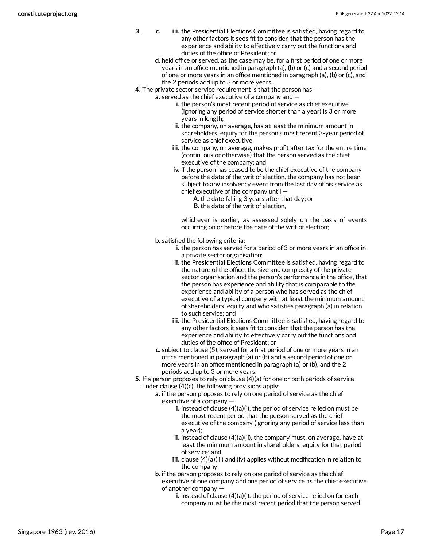- **3. c. iii.** the Presidential Elections Committee is satisfied, having regard to any other factors it sees fit to consider, that the person has the experience and ability to effectively carry out the functions and duties of the office of President; or
	- **d.** held office or served, as the case may be, for a first period of one or more years in an office mentioned in paragraph (a), (b) or (c) and a second period of one or more years in an office mentioned in paragraph (a), (b) or (c), and the 2 periods add up to 3 or more years.
- **4.** The private sector service requirement is that the person has
	- **a.** served as the chief executive of a company and
		- **i.** the person's most recent period of service as chief executive (ignoring any period of service shorter than a year) is 3 or more years in length;
		- **ii.** the company, on average, has at least the minimum amount in shareholders' equity for the person's most recent 3-year period of service as chief executive;
		- **iii.** the company, on average, makes profit after tax for the entire time (continuous or otherwise) that the person served as the chief executive of the company; and
		- **iv.** if the person has ceased to be the chief executive of the company before the date of the writ of election, the company has not been subject to any insolvency event from the last day of his service as chief executive of the company until —
			- **A.** the date falling 3 years after that day; or **B.** the date of the writ of election,

whichever is earlier, as assessed solely on the basis of events occurring on or before the date of the writ of election;

**b.** satisfied the following criteria:

- **i.** the person has served for a period of 3 or more years in an office in a private sector organisation;
- **ii.** the Presidential Elections Committee is satisfied, having regard to the nature of the office, the size and complexity of the private sector organisation and the person's performance in the office, that the person has experience and ability that is comparable to the experience and ability of a person who has served as the chief executive of a typical company with at least the minimum amount of shareholders' equity and who satisfies paragraph (a) in relation to such service; and
- **iii.** the Presidential Elections Committee is satisfied, having regard to any other factors it sees fit to consider, that the person has the experience and ability to effectively carry out the functions and duties of the office of President; or
- **c.** subject to clause (5), served for a first period of one or more years in an office mentioned in paragraph (a) or (b) and a second period of one or more years in an office mentioned in paragraph (a) or (b), and the 2 periods add up to 3 or more years.
- **5.** If a person proposes to rely on clause (4)(a) for one or both periods of service under clause (4)(c), the following provisions apply:
	- **a.** if the person proposes to rely on one period of service as the chief executive of a company
		- **i.** instead of clause (4)(a)(i), the period of service relied on must be the most recent period that the person served as the chief executive of the company (ignoring any period of service less than a year);
		- **ii.** instead of clause (4)(a)(ii), the company must, on average, have at least the minimum amount in shareholders' equity for that period of service; and
		- **iii.** clause (4)(a)(iii) and (iv) applies without modification in relation to the company;
	- **b.** if the person proposes to rely on one period of service as the chief executive of one company and one period of service as the chief executive of another company
		- **i.** instead of clause (4)(a)(i), the period of service relied on for each company must be the most recent period that the person served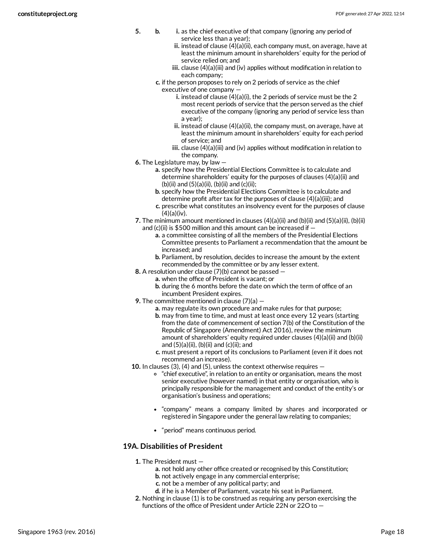- **5. b. i.** as the chief executive of that company (ignoring any period of service less than a year);
	- **ii.** instead of clause (4)(a)(ii), each company must, on average, have at least the minimum amount in shareholders' equity for the period of service relied on; and
	- **iii.** clause (4)(a)(iii) and (iv) applies without modification in relation to each company;
	- **c.** if the person proposes to rely on 2 periods of service as the chief executive of one company
		- **i.** instead of clause (4)(a)(i), the 2 periods of service must be the 2 most recent periods of service that the person served as the chief executive of the company (ignoring any period of service less than a year);
		- **ii.** instead of clause (4)(a)(ii), the company must, on average, have at least the minimum amount in shareholders' equity for each period of service; and
		- **iii.** clause (4)(a)(iii) and (iv) applies without modification in relation to the company.
- **6.** The Legislature may, by law
	- **a.** specify how the Presidential Elections Committee is to calculate and determine shareholders' equity for the purposes of clauses (4)(a)(ii) and (b)(ii) and (5)(a)(ii), (b)(ii) and (c)(ii);
	- **b.** specify how the Presidential Elections Committee is to calculate and determine profit after tax for the purposes of clause (4)(a)(iii); and
	- **c.** prescribe what constitutes an insolvency event for the purposes of clause (4)(a)(iv).
- **7.** The minimum amount mentioned in clauses (4)(a)(ii) and (b)(ii) and (5)(a)(ii), (b)(ii) and (c)(ii) is \$500 million and this amount can be increased if  $$ 
	- **a.** a committee consisting of all the members of the Presidential Elections Committee presents to Parliament a recommendation that the amount be increased; and
	- **b.** Parliament, by resolution, decides to increase the amount by the extent recommended by the committee or by any lesser extent.
- **8.** A resolution under clause (7)(b) cannot be passed —
- **a.** when the office of President is vacant; or
	- **b.** during the 6 months before the date on which the term of office of an incumbent President expires.
- **9.** The committee mentioned in clause (7)(a)
	- **a.** may regulate its own procedure and make rules for that purpose;
	- **b.** may from time to time, and must at least once every 12 years (starting from the date of commencement of section 7(b) of the Constitution of the Republic of Singapore (Amendment) Act 2016), review the minimum amount of shareholders' equity required under clauses (4)(a)(ii) and (b)(ii) and  $(5)(a)(ii)$ ,  $(b)(ii)$  and  $(c)(ii)$ ; and
	- **c.** must present a report of its conclusions to Parliament (even if it does not recommend an increase).
- **10.** In clauses (3), (4) and (5), unless the context otherwise requires
	- "chief executive", in relation to an entity or organisation, means the most senior executive (however named) in that entity or organisation, who is principally responsible for the management and conduct of the entity's or organisation's business and operations;
	- "company" means a company limited by shares and incorporated or registered in Singapore under the general law relating to companies;
	- "period" means continuous period.

#### **19A. Disabilities of President**

- **1.** The President must
	- **a.** not hold any other office created or recognised by this Constitution;
	- **b.** not actively engage in any commercial enterprise;
	- **c.** not be a member of any political party; and
	- **d.** if he is a Member of Parliament, vacate his seat in Parliament.
- **2.** Nothing in clause (1) is to be construed as requiring any person exercising the functions of the office of President under Article 22N or 22O to —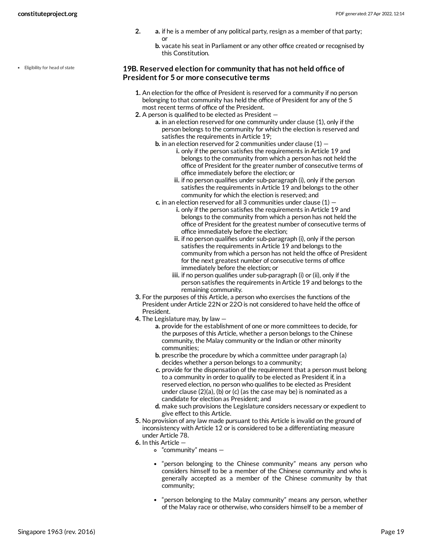- **2. a.** if he is a member of any political party, resign as a member of that party; or
	- **b.** vacate his seat in Parliament or any other office created or recognised by this Constitution.

#### **19B. Reserved election for community that has not held office of Presidentfor 5 or more consecutive terms**

- **1.** An election for the office of President is reserved for a community if no person belonging to that community has held the office of President for any of the 5 most recent terms of office of the President.
- **2.** A person is qualified to be elected as President
	- **a.** in an election reserved for one community under clause (1), only if the person belongs to the community for which the election is reserved and satisfies the requirements in Article 19;
		- **b.** in an election reserved for 2 communities under clause (1) **i.** only if the person satisfies the requirements in Article 19 and belongs to the community from which a person has not held the office of President for the greater number of consecutive terms of office immediately before the election; or
			- **ii.** if no person qualifies under sub-paragraph (i), only if the person satisfies the requirements in Article 19 and belongs to the other community for which the election is reserved; and
		- **c.** in an election reserved for all 3 communities under clause (1)
			- **i.** only if the person satisfies the requirements in Article 19 and belongs to the community from which a person has not held the office of President for the greatest number of consecutive terms of office immediately before the election;
			- **ii.** if no person qualifies under sub‑paragraph (i), only if the person satisfies the requirements in Article 19 and belongs to the community from which a person has not held the office of President for the next greatest number of consecutive terms of office immediately before the election; or
			- **iii.** if no person qualifies under sub‑paragraph (i) or (ii), only if the person satisfies the requirements in Article 19 and belongs to the remaining community.
- **3.** For the purposes of this Article, a person who exercises the functions of the President under Article 22N or 22O is not considered to have held the office of President.
- **4.** The Legislature may, by law
	- **a.** provide for the establishment of one or more committees to decide, for the purposes of this Article, whether a person belongs to the Chinese community, the Malay community or the Indian or other minority communities;
	- **b.** prescribe the procedure by which a committee under paragraph (a) decides whether a person belongs to a community;
	- **c.** provide for the dispensation of the requirement that a person must belong to a community in order to qualify to be elected as President if, in a reserved election, no person who qualifies to be elected as President under clause (2)(a), (b) or (c) (as the case may be) is nominated as a candidate for election as President; and
	- **d.** make such provisions the Legislature considers necessary or expedient to give effect to this Article.
- **5.** No provision of any law made pursuant to this Article is invalid on the ground of inconsistency with Article 12 or is considered to be a differentiating measure under Article 78.
- **6.** In this Article
	- "community" means —
	- "person belonging to the Chinese community" means any person who considers himself to be a member of the Chinese community and who is generally accepted as a member of the Chinese community by that community;
	- "person belonging to the Malay community" means any person, whether of the Malay race or otherwise, who considers himself to be a member of

Eligibility for head of state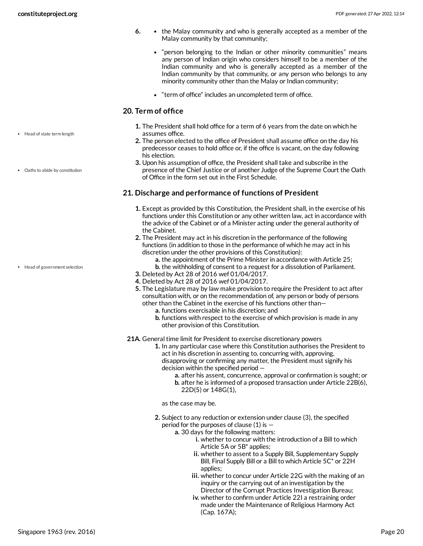- **6.** the Malay community and who is generally accepted as a member of the Malay community by that community;
	- "person belonging to the Indian or other minority communities" means any person of Indian origin who considers himself to be a member of the Indian community and who is generally accepted as a member of the Indian community by that community, or any person who belongs to any minority community other than the Malay or Indian community;
	- "term of office" includes an uncompleted term of office.

#### **20. Term of office**

- **1.** The President shall hold office for a term of 6 years from the date on which he assumes office.
- **2.** The person elected to the office of President shall assume office on the day his predecessor ceases to hold office or, if the office is vacant, on the day following his election.
- **3.** Upon his assumption of office, the President shall take and subscribe in the presence of the Chief Justice or of another Judge of the Supreme Court the Oath of Office in the form set out in the First Schedule.

#### **21. Discharge and performance of functions of President**

- **1.** Except as provided by this Constitution, the President shall, in the exercise of his functions under this Constitution or any other written law, act in accordance with the advice of the Cabinet or of a Minister acting under the general authority of the Cabinet.
- **2.** The President may act in his discretion in the performance of the following functions (in addition to those in the performance of which he may act in his discretion under the other provisions of this Constitution):
	- **a.** the appointment of the Prime Minister in accordance with Article 25;
	- **b.** the withholding of consent to a request for a dissolution of Parliament.
- **3.** Deleted by Act 28 of 2016 wef 01/04/2017.
- **4.** Deleted by Act 28 of 2016 wef 01/04/2017.
- **5.** The Legislature may by law make provision to require the President to act after consultation with, or on the recommendation of, any person or body of persons other than the Cabinet in the exercise of his functions other than
	- **a.** functions exercisable in his discretion; and
	- **b.** functions with respect to the exercise of which provision is made in any other provision of this Constitution.

#### **21A.** General time limit for President to exercise discretionary powers

- **1.** In any particular case where this Constitution authorises the President to act in his discretion in assenting to, concurring with, approving, disapproving or confirming any matter, the President must signify his decision within the specified period
	- **a.** after his assent, concurrence, approval or confirmation is sought; or **b.** after he is informed of a proposed transaction under Article 22B(6),
	- 22D(5) or 148G(1),

as the case may be.

- **2.** Subject to any reduction or extension under clause (3), the specified period for the purposes of clause (1) is
	- **a.** 30 days for the following matters:
		- **i.** whether to concur with the introduction of a Bill to which Article 5A or 5B\* applies;
		- **ii.** whether to assent to a Supply Bill, Supplementary Supply Bill, Final Supply Bill or a Bill to which Article 5C\* or 22H applies;
		- **iii.** whether to concur under Article 22G with the making of an inquiry or the carrying out of an investigation by the Director of the Corrupt Practices Investigation Bureau;
		- **iv.** whether to confirm under Article 22I a restraining order made under the Maintenance of Religious Harmony Act (Cap. 167A);

• Head of state term length

Oaths to abide by constitution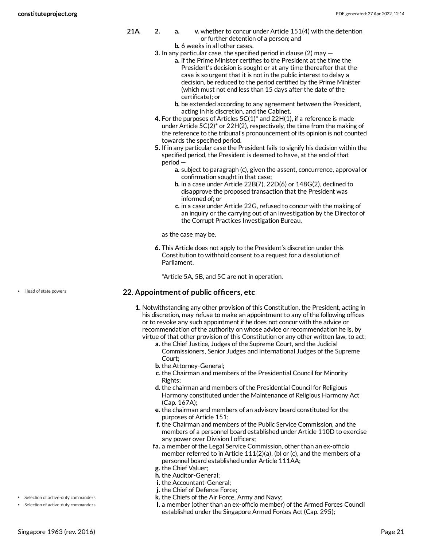- **21A. 2. a. v.** whether to concur under Article 151(4) with the detention or further detention of a person; and **b.** 6 weeks in all other cases.
	- **3.** In any particular case, the specified period in clause (2) may
		- **a.** if the Prime Minister certifies to the President at the time the President's decision is sought or at any time thereafter that the case is so urgent that it is not in the public interest to delay a decision, be reduced to the period certified by the Prime Minister (which must not end less than 15 days after the date of the certificate); or
		- **b.** be extended according to any agreement between the President, acting in his discretion, and the Cabinet.
	- **4.** For the purposes of Articles 5C(1)\* and 22H(1), if a reference is made under Article 5C(2)\* or 22H(2), respectively, the time from the making of the reference to the tribunal's pronouncement of its opinion is not counted towards the specified period.
	- **5.** If in any particular case the President fails to signify his decision within the specified period, the President is deemed to have, at the end of that period
		- **a.** subject to paragraph (c), given the assent, concurrence, approval or confirmation sought in that case;
		- **b.** in a case under Article 22B(7), 22D(6) or 148G(2), declined to disapprove the proposed transaction that the President was informed of; or
		- **c.** in a case under Article 22G, refused to concur with the making of an inquiry or the carrying out of an investigation by the Director of the Corrupt Practices Investigation Bureau,

as the case may be.

**6.** This Article does not apply to the President's discretion under this Constitution to withhold consent to a request for a dissolution of Parliament.

\*Article 5A, 5B, and 5C are not in operation.

#### **22. Appointment of public officers, etc**

- **1.** Notwithstanding any other provision of this Constitution, the President, acting in his discretion, may refuse to make an appointment to any of the following offices or to revoke any such appointment if he does not concur with the advice or recommendation of the authority on whose advice or recommendation he is, by virtue of that other provision of this Constitution or any other written law, to act:
	- **a.** the Chief Justice, Judges of the Supreme Court, and the Judicial Commissioners, Senior Judges and International Judges of the Supreme Court;
	- **b.** the Attorney-General;
	- **c.** the Chairman and members of the Presidential Council for Minority Rights;
	- **d.** the chairman and members of the Presidential Council for Religious Harmony constituted under the Maintenance of Religious Harmony Act (Cap. 167A);
	- **e.** the chairman and members of an advisory board constituted for the purposes of Article 151;
	- **f.** the Chairman and members of the Public Service Commission, and the members of a personnel board established under Article 110D to exercise any power over Division I officers;
	- **fa.** a member of the Legal Service Commission, other than an ex-officio member referred to in Article 111(2)(a), (b) or (c), and the members of a personnel board established under Article 111AA;
	- **g.** the Chief Valuer;
	- **h.** the Auditor-General;
	- **i.** the Accountant-General;
	- **j.** the Chief of Defence Force;
	- **k.** the Chiefs of the Air Force, Army and Navy;
	- **l.** a member (other than an ex-officio member) of the Armed Forces Council established under the Singapore Armed Forces Act (Cap. 295);

• Head of state powers

• Selection of active-duty commanders • Selection of active-duty commanders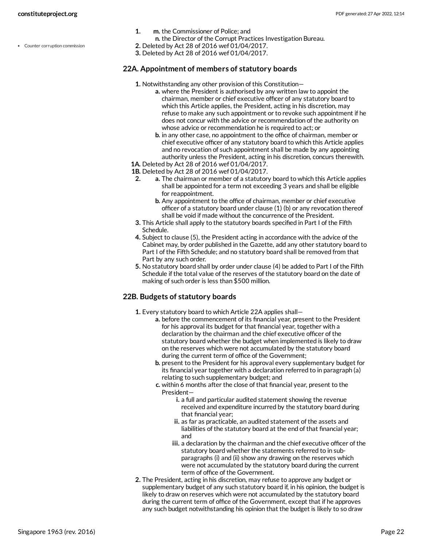- Counter corruption commission
- **1. m.** the Commissioner of Police; and
	- **n.** the Director of the Corrupt Practices Investigation Bureau.
- **2.** Deleted by Act 28 of 2016 wef 01/04/2017.
- **3.** Deleted by Act 28 of 2016 wef 01/04/2017.

#### **22A. Appointment of members of statutory boards**

- **1.** Notwithstanding any other provision of this Constitution
	- **a.** where the President is authorised by any written law to appoint the chairman, member or chief executive officer of any statutory board to which this Article applies, the President, acting in his discretion, may refuse to make any such appointment or to revoke such appointment if he does not concur with the advice or recommendation of the authority on whose advice or recommendation he is required to act; or
		- **b.** in any other case, no appointment to the office of chairman, member or chief executive officer of any statutory board to which this Article applies and no revocation of such appointment shall be made by any appointing authority unless the President, acting in his discretion, concurs therewith.
- **1A.** Deleted by Act 28 of 2016 wef 01/04/2017.
- **1B.** Deleted by Act 28 of 2016 wef 01/04/2017.
- **2. a.** The chairman or member of a statutory board to which this Article applies shall be appointed for a term not exceeding 3 years and shall be eligible for reappointment.
	- **b.** Any appointment to the office of chairman, member or chief executive officer of a statutory board under clause (1) (b) or any revocation thereof shall be void if made without the concurrence of the President.
- **3.** This Article shall apply to the statutory boards specified in Part I of the Fifth Schedule.
- **4.** Subject to clause (5), the President acting in accordance with the advice of the Cabinet may, by order published in the Gazette, add any other statutory board to Part I of the Fifth Schedule; and no statutory board shall be removed from that Part by any such order.
- **5.** No statutory board shall by order under clause (4) be added to Part I of the Fifth Schedule if the total value of the reserves of the statutory board on the date of making of such order is less than \$500 million.

#### **22B. Budgets of statutory boards**

- **1.** Every statutory board to which Article 22A applies shall
	- **a.** before the commencement of its financial year, present to the President for his approval its budget for that financial year, together with a declaration by the chairman and the chief executive officer of the statutory board whether the budget when implemented is likely to draw on the reserves which were not accumulated by the statutory board during the current term of office of the Government;
	- **b.** present to the President for his approval every supplementary budget for its financial year together with a declaration referred to in paragraph (a) relating to such supplementary budget; and
	- **c.** within 6 months after the close of that financial year, present to the President
		- **i.** a full and particular audited statement showing the revenue received and expenditure incurred by the statutory board during that financial year;
		- **ii.** as far as practicable, an audited statement of the assets and liabilities of the statutory board at the end of that financial year; and
		- **iii.** a declaration by the chairman and the chief executive officer of the statutory board whether the statements referred to in subparagraphs (i) and (ii) show any drawing on the reserves which were not accumulated by the statutory board during the current term of office of the Government.
- **2.** The President, acting in his discretion, may refuse to approve any budget or supplementary budget of any such statutory board if, in his opinion, the budget is likely to draw on reserves which were not accumulated by the statutory board during the current term of office of the Government, except that if he approves any such budget notwithstanding his opinion that the budget is likely to so draw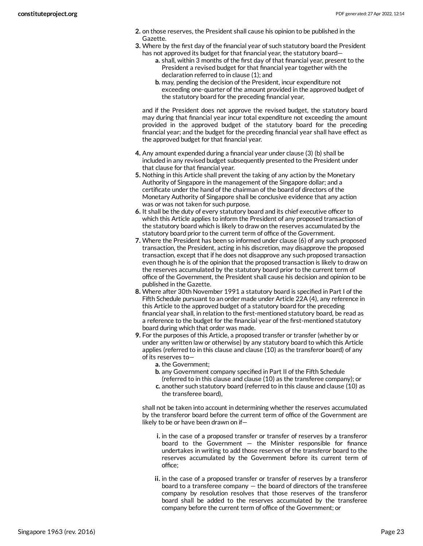- **2.** on those reserves, the President shall cause his opinion to be published in the Gazette.
- **3.** Where by the first day of the financial year of such statutory board the President has not approved its budget for that financial year, the statutory board
	- **a.** shall, within 3 months of the first day of that financial year, present to the President a revised budget for that financial year together with the declaration referred to in clause (1); and
	- **b.** may, pending the decision of the President, incur expenditure not exceeding one-quarter of the amount provided in the approved budget of the statutory board for the preceding financial year,

and if the President does not approve the revised budget, the statutory board may during that financial year incur total expenditure not exceeding the amount provided in the approved budget of the statutory board for the preceding financial year; and the budget for the preceding financial year shall have effect as the approved budget for that financial year.

- **4.** Any amount expended during a financial year under clause (3) (b) shall be included in any revised budget subsequently presented to the President under that clause for that financial year.
- **5.** Nothing in this Article shall prevent the taking of any action by the Monetary Authority of Singapore in the management of the Singapore dollar; and a certificate under the hand of the chairman of the board of directors of the Monetary Authority of Singapore shall be conclusive evidence that any action was or was not taken for such purpose.
- **6.** It shall be the duty of every statutory board and its chief executive officer to which this Article applies to inform the President of any proposed transaction of the statutory board which is likely to draw on the reserves accumulated by the statutory board prior to the current term of office of the Government.
- **7.** Where the President has been so informed under clause (6) of any such proposed transaction, the President, acting in his discretion, may disapprove the proposed transaction, except that if he does not disapprove any such proposed transaction even though he is of the opinion that the proposed transaction is likely to draw on the reserves accumulated by the statutory board prior to the current term of office of the Government, the President shall cause his decision and opinion to be published in the Gazette.
- **8.** Where after 30th November 1991 a statutory board is specified in Part I of the Fifth Schedule pursuant to an order made under Article 22A (4), any reference in this Article to the approved budget of a statutory board for the preceding financial year shall, in relation to the first-mentioned statutory board, be read as a reference to the budget for the financial year of the first-mentioned statutory board during which that order was made.
- **9.** For the purposes of this Article, a proposed transfer or transfer (whether by or under any written law or otherwise) by any statutory board to which this Article applies (referred to in this clause and clause (10) as the transferor board) of any of its reserves to
	- **a.** the Government;
	- **b.** any Government company specified in Part II of the Fifth Schedule (referred to in this clause and clause (10) as the transferee company); or
	- **c.** another such statutory board (referred to in this clause and clause (10) as the transferee board),

shall not be taken into account in determining whether the reserves accumulated by the transferor board before the current term of office of the Government are likely to be or have been drawn on if—

- **i.** in the case of a proposed transfer or transfer of reserves by a transferor board to the Government  $-$  the Minister responsible for finance undertakes in writing to add those reserves of the transferor board to the reserves accumulated by the Government before its current term of office;
- **ii.** in the case of a proposed transfer or transfer of reserves by a transferor board to a transferee company  $-$  the board of directors of the transferee company by resolution resolves that those reserves of the transferor board shall be added to the reserves accumulated by the transferee company before the current term of office of the Government; or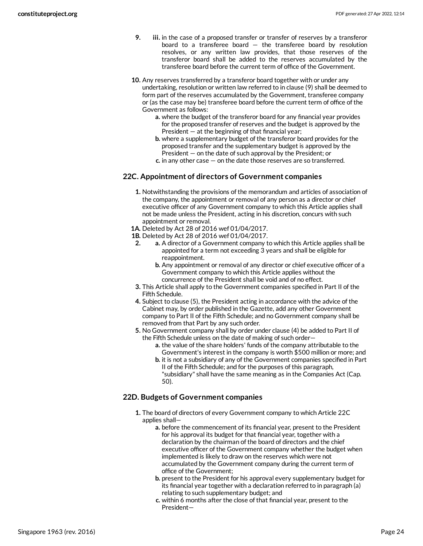- **9. iii.** in the case of a proposed transfer or transfer of reserves by a transferor board to a transferee board  $-$  the transferee board by resolution resolves, or any written law provides, that those reserves of the transferor board shall be added to the reserves accumulated by the transferee board before the current term of office of the Government.
- **10.** Any reserves transferred by a transferor board together with or under any undertaking, resolution or written law referred to in clause (9) shall be deemed to form part of the reserves accumulated by the Government, transferee company or (as the case may be) transferee board before the current term of office of the Government as follows:
	- **a.** where the budget of the transferor board for any financial year provides for the proposed transfer of reserves and the budget is approved by the President  $-$  at the beginning of that financial year;
	- **b.** where a supplementary budget of the transferor board provides for the proposed transfer and the supplementary budget is approved by the President — on the date of such approval by the President; or
	- **c.** in any other case on the date those reserves are so transferred.

#### **22C. Appointment of directors of Government companies**

- **1.** Notwithstanding the provisions of the memorandum and articles of association of the company, the appointment or removal of any person as a director or chief executive officer of any Government company to which this Article applies shall not be made unless the President, acting in his discretion, concurs with such appointment or removal.
- **1A.** Deleted by Act 28 of 2016 wef 01/04/2017.
- **1B.** Deleted by Act 28 of 2016 wef 01/04/2017.
- **2. a.** A director of a Government company to which this Article applies shall be appointed for a term not exceeding 3 years and shall be eligible for reappointment.
	- **b.** Any appointment or removal of any director or chief executive officer of a Government company to which this Article applies without the concurrence of the President shall be void and of no effect.
- **3.** This Article shall apply to the Government companies specified in Part II of the Fifth Schedule.
- **4.** Subject to clause (5), the President acting in accordance with the advice of the Cabinet may, by order published in the Gazette, add any other Government company to Part II of the Fifth Schedule; and no Government company shall be removed from that Part by any such order.
- **5.** No Government company shall by order under clause (4) be added to Part II of the Fifth Schedule unless on the date of making of such order
	- **a.** the value of the share holders' funds of the company attributable to the Government's interest in the company is worth \$500 million or more; and
	- **b.** it is not a subsidiary of any of the Government companies specified in Part II of the Fifth Schedule; and for the purposes of this paragraph, "subsidiary" shall have the same meaning as in the Companies Act (Cap. 50).

#### **22D. Budgets of Government companies**

- **1.** The board of directors of every Government company to which Article 22C applies shall
	- **a.** before the commencement of its financial year, present to the President for his approval its budget for that financial year, together with a declaration by the chairman of the board of directors and the chief executive officer of the Government company whether the budget when implemented is likely to draw on the reserves which were not accumulated by the Government company during the current term of office of the Government;
	- **b.** present to the President for his approval every supplementary budget for its financial year together with a declaration referred to in paragraph (a) relating to such supplementary budget; and
	- **c.** within 6 months after the close of that financial year, present to the President—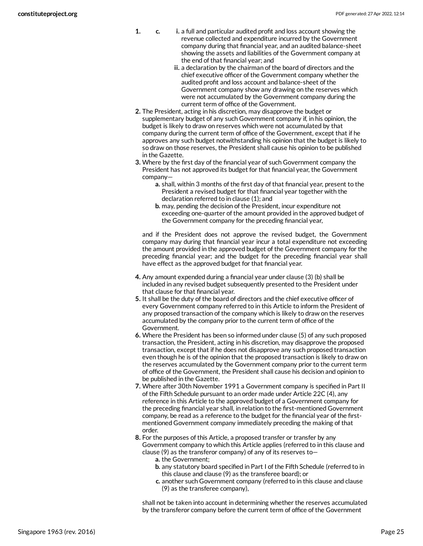- **1. c. i.** a full and particular audited profit and loss account showing the revenue collected and expenditure incurred by the Government company during that financial year, and an audited balance-sheet showing the assets and liabilities of the Government company at the end of that financial year; and
	- **ii.** a declaration by the chairman of the board of directors and the chief executive officer of the Government company whether the audited profit and loss account and balance-sheet of the Government company show any drawing on the reserves which were not accumulated by the Government company during the current term of office of the Government.
- **2.** The President, acting in his discretion, may disapprove the budget or supplementary budget of any such Government company if, in his opinion, the budget is likely to draw on reserves which were not accumulated by that company during the current term of office of the Government, except that if he approves any such budget notwithstanding his opinion that the budget is likely to so draw on those reserves, the President shall cause his opinion to be published in the Gazette.
- **3.** Where by the first day of the financial year of such Government company the President has not approved its budget for that financial year, the Government company
	- **a.** shall, within 3 months of the first day of that financial year, present to the President a revised budget for that financial year together with the declaration referred to in clause (1); and
	- **b.** may, pending the decision of the President, incur expenditure not exceeding one-quarter of the amount provided in the approved budget of the Government company for the preceding financial year,

and if the President does not approve the revised budget, the Government company may during that financial year incur a total expenditure not exceeding the amount provided in the approved budget of the Government company for the preceding financial year; and the budget for the preceding financial year shall have effect as the approved budget for that financial year.

- **4.** Any amount expended during a financial year under clause (3) (b) shall be included in any revised budget subsequently presented to the President under that clause for that financial year.
- **5.** It shall be the duty of the board of directors and the chief executive officer of every Government company referred to in this Article to inform the President of any proposed transaction of the company which is likely to draw on the reserves accumulated by the company prior to the current term of office of the Government.
- **6.** Where the President has been so informed under clause (5) of any such proposed transaction, the President, acting in his discretion, may disapprove the proposed transaction, except that if he does not disapprove any such proposed transaction even though he is of the opinion that the proposed transaction is likely to draw on the reserves accumulated by the Government company prior to the current term of office of the Government, the President shall cause his decision and opinion to be published in the Gazette.
- **7.** Where after 30th November 1991 a Government company is specified in Part II of the Fifth Schedule pursuant to an order made under Article 22C (4), any reference in this Article to the approved budget of a Government company for the preceding financial year shall, in relation to the first-mentioned Government company, be read as a reference to the budget for the financial year of the firstmentioned Government company immediately preceding the making of that order.
- **8.** For the purposes of this Article, a proposed transfer or transfer by any Government company to which this Article applies (referred to in this clause and clause (9) as the transferor company) of any of its reserves to
	- **a.** the Government;
	- **b.** any statutory board specified in Part I of the Fifth Schedule (referred to in this clause and clause (9) as the transferee board); or
	- **c.** another such Government company (referred to in this clause and clause (9) as the transferee company),

shall not be taken into account in determining whether the reserves accumulated by the transferor company before the current term of office of the Government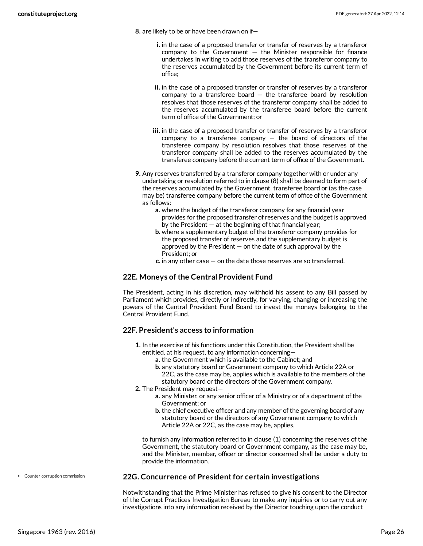- **8.** are likely to be or have been drawn on if
	- **i.** in the case of a proposed transfer or transfer of reserves by a transferor company to the Government  $-$  the Minister responsible for finance undertakes in writing to add those reserves of the transferor company to the reserves accumulated by the Government before its current term of office;
	- **ii.** in the case of a proposed transfer or transfer of reserves by a transferor company to a transferee board  $-$  the transferee board by resolution resolves that those reserves of the transferor company shall be added to the reserves accumulated by the transferee board before the current term of office of the Government; or
	- **iii.** in the case of a proposed transfer or transfer of reserves by a transferor company to a transferee company  $-$  the board of directors of the transferee company by resolution resolves that those reserves of the transferor company shall be added to the reserves accumulated by the transferee company before the current term of office of the Government.
- **9.** Any reserves transferred by a transferor company together with or under any undertaking or resolution referred to in clause (8) shall be deemed to form part of the reserves accumulated by the Government, transferee board or (as the case may be) transferee company before the current term of office of the Government as follows:
	- **a.** where the budget of the transferor company for any financial year provides for the proposed transfer of reserves and the budget is approved by the President  $-$  at the beginning of that financial year;
	- **b.** where a supplementary budget of the transferor company provides for the proposed transfer of reserves and the supplementary budget is approved by the President  $-$  on the date of such approval by the President; or
	- **c.** in any other case on the date those reserves are so transferred.

#### **22E. Moneys of the Central Provident Fund**

The President, acting in his discretion, may withhold his assent to any Bill passed by Parliament which provides, directly or indirectly, for varying, changing or increasing the powers of the Central Provident Fund Board to invest the moneys belonging to the Central Provident Fund.

#### **22F. President's access to information**

- **1.** In the exercise of his functions under this Constitution, the President shall be entitled, at his request, to any information concerning
	- **a.** the Government which is available to the Cabinet; and
	- **b.** any statutory board or Government company to which Article 22A or 22C, as the case may be, applies which is available to the members of the statutory board or the directors of the Government company.
- **2.** The President may request
	- **a.** any Minister, or any senior officer of a Ministry or of a department of the Government; or
	- **b.** the chief executive officer and any member of the governing board of any statutory board or the directors of any Government company to which Article 22A or 22C, as the case may be, applies,

to furnish any information referred to in clause (1) concerning the reserves of the Government, the statutory board or Government company, as the case may be, and the Minister, member, officer or director concerned shall be under a duty to provide the information.

Counter corruption commission

#### **22G. Concurrence of Presidentfor certain investigations**

Notwithstanding that the Prime Minister has refused to give his consent to the Director of the Corrupt Practices Investigation Bureau to make any inquiries or to carry out any investigations into any information received by the Director touching upon the conduct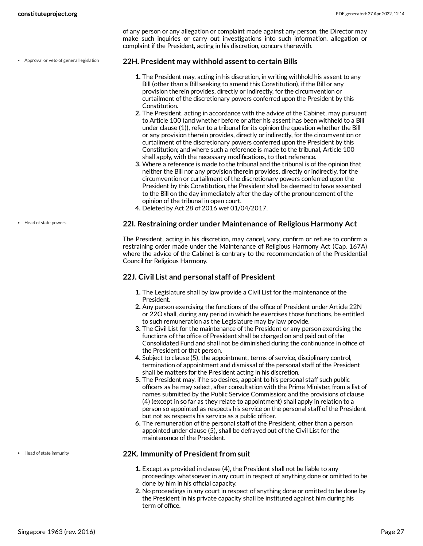Approval or veto of general legislation

of any person or any allegation or complaint made against any person, the Director may make such inquiries or carry out investigations into such information, allegation or complaint if the President, acting in his discretion, concurs therewith.

#### **22H. President may withhold assentto certain Bills**

- **1.** The President may, acting in his discretion, in writing withhold his assent to any Bill (other than a Bill seeking to amend this Constitution), if the Bill or any provision therein provides, directly or indirectly, for the circumvention or curtailment of the discretionary powers conferred upon the President by this Constitution.
- **2.** The President, acting in accordance with the advice of the Cabinet, may pursuant to Article 100 (and whether before or after his assent has been withheld to a Bill under clause (1)), refer to a tribunal for its opinion the question whether the Bill or any provision therein provides, directly or indirectly, for the circumvention or curtailment of the discretionary powers conferred upon the President by this Constitution; and where such a reference is made to the tribunal, Article 100 shall apply, with the necessary modifications, to that reference.
- **3.** Where a reference is made to the tribunal and the tribunal is of the opinion that neither the Bill nor any provision therein provides, directly or indirectly, for the circumvention or curtailment of the discretionary powers conferred upon the President by this Constitution, the President shall be deemed to have assented to the Bill on the day immediately after the day of the pronouncement of the opinion of the tribunal in open court.
- **4.** Deleted by Act 28 of 2016 wef 01/04/2017.

#### **22I. Restraining order under Maintenance of Religious Harmony Act**

The President, acting in his discretion, may cancel, vary, confirm or refuse to confirm a restraining order made under the Maintenance of Religious Harmony Act (Cap. 167A) where the advice of the Cabinet is contrary to the recommendation of the Presidential Council for Religious Harmony.

#### **22J. Civil List and personal staff of President**

- **1.** The Legislature shall by law provide a Civil List for the maintenance of the President.
- **2.** Any person exercising the functions of the office of President under Article 22N or 22O shall, during any period in which he exercises those functions, be entitled to such remuneration as the Legislature may by law provide.
- **3.** The Civil List for the maintenance of the President or any person exercising the functions of the office of President shall be charged on and paid out of the Consolidated Fund and shall not be diminished during the continuance in office of the President or that person.
- **4.** Subject to clause (5), the appointment, terms of service, disciplinary control, termination of appointment and dismissal of the personal staff of the President shall be matters for the President acting in his discretion.
- **5.** The President may, if he so desires, appoint to his personal staff such public officers as he may select, after consultation with the Prime Minister, from a list of names submitted by the Public Service Commission; and the provisions of clause (4) (except in so far as they relate to appointment) shall apply in relation to a person so appointed as respects his service on the personal staff of the President but not as respects his service as a public officer.
- **6.** The remuneration of the personal staff of the President, other than a person appointed under clause (5), shall be defrayed out of the Civil List for the maintenance of the President.

#### **22K. Immunity of Presidentfrom suit**

- **1.** Except as provided in clause (4), the President shall not be liable to any proceedings whatsoever in any court in respect of anything done or omitted to be done by him in his official capacity.
- **2.** No proceedings in any court in respect of anything done or omitted to be done by the President in his private capacity shall be instituted against him during his term of office.

• Head of state powers

• Head of state immunity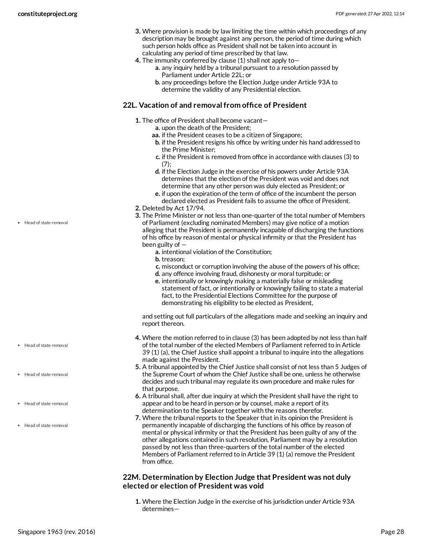- **3.** Where provision is made by law limiting the time within which proceedings of any description may be brought against any person, the period of time during which such person holds office as President shall not be taken into account in calculating any period of time prescribed by that law.
- **4.** The immunity conferred by clause (1) shall not apply to
	- **a.** any inquiry held by a tribunal pursuant to a resolution passed by Parliament under Article 22L; or
	- **b.** any proceedings before the Election Judge under Article 93A to determine the validity of any Presidential election.

#### **22L. Vacation of and removal from office of President**

- **1.** The office of President shall become vacant
	- **a.** upon the death of the President;
	- **aa.** if the President ceases to be a citizen of Singapore;
	- **b.** if the President resigns his office by writing under his hand addressed to the Prime Minister;
	- **c.** if the President is removed from office in accordance with clauses (3) to  $(7)$
	- **d.** if the Election Judge in the exercise of his powers under Article 93A determines that the election of the President was void and does not determine that any other person was duly elected as President; or
	- **e.** if upon the expiration of the term of office of the incumbent the person declared elected as President fails to assume the office of President.
- **2.** Deleted by Act 17/94.
- **3.** The Prime Minister or not less than one-quarter of the total number of Members of Parliament (excluding nominated Members) may give notice of a motion alleging that the President is permanently incapable of discharging the functions of his office by reason of mental or physical infirmity or that the President has been guilty of
	- **a.** intentional violation of the Constitution;
	- **b.** treason;
	- **c.** misconduct or corruption involving the abuse of the powers of his office;
	- **d.** any offence involving fraud, dishonesty or moral turpitude; or
	- **e.** intentionally or knowingly making a materially false or misleading statement of fact, or intentionally or knowingly failing to state a material fact, to the Presidential Elections Committee for the purpose of demonstrating his eligibility to be elected as President,

and setting out full particulars of the allegations made and seeking an inquiry and report thereon.

- **4.** Where the motion referred to in clause (3) has been adopted by not less than half of the total number of the elected Members of Parliament referred to in Article 39 (1) (a), the Chief Justice shall appoint a tribunal to inquire into the allegations made against the President.
- **5.** A tribunal appointed by the Chief Justice shall consist of not less than 5 Judges of the Supreme Court of whom the Chief Justice shall be one, unless he otherwise decides and such tribunal may regulate its own procedure and make rules for that purpose.
- **6.** A tribunal shall, after due inquiry at which the President shall have the right to appear and to be heard in person or by counsel, make a report of its determination to the Speaker together with the reasons therefor.
- **7.** Where the tribunal reports to the Speaker that in its opinion the President is permanently incapable of discharging the functions of his office by reason of mental or physical infirmity or that the President has been guilty of any of the other allegations contained in such resolution, Parliament may by a resolution passed by not less than three-quarters of the total number of the elected Members of Parliament referred to in Article 39 (1) (a) remove the President from office.

#### **22M. Determination by Election Judge that President was not duly elected or election of President was void**

**1.** Where the Election Judge in the exercise of his jurisdiction under Article 93A determines—

• Head of state removal

- Head of state removal
- Head of state removal
- Head of state removal
- Head of state removal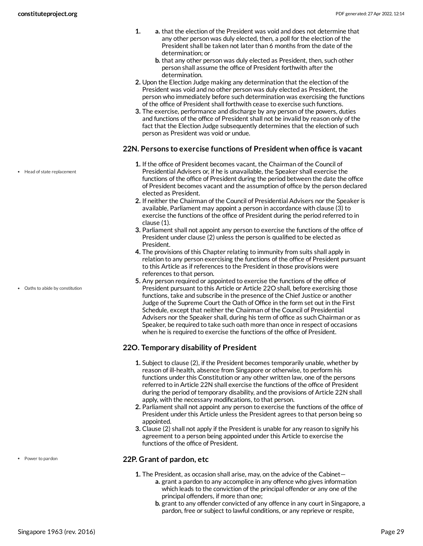- **1. a.** that the election of the President was void and does not determine that any other person was duly elected, then, a poll for the election of the President shall be taken not later than 6 months from the date of the determination; or
	- **b.** that any other person was duly elected as President, then, such other person shall assume the office of President forthwith after the determination.
- **2.** Upon the Election Judge making any determination that the election of the President was void and no other person was duly elected as President, the person who immediately before such determination was exercising the functions of the office of President shall forthwith cease to exercise such functions.
- **3.** The exercise, performance and discharge by any person of the powers, duties and functions of the office of President shall not be invalid by reason only of the fact that the Election Judge subsequently determines that the election of such person as President was void or undue.

#### **22N. Persons to exercise functions of President when office is vacant**

- **1.** If the office of President becomes vacant, the Chairman of the Council of Presidential Advisers or, if he is unavailable, the Speaker shall exercise the functions of the office of President during the period between the date the office of President becomes vacant and the assumption of office by the person declared elected as President.
- **2.** If neither the Chairman of the Council of Presidential Advisers nor the Speaker is available, Parliament may appoint a person in accordance with clause (3) to exercise the functions of the office of President during the period referred to in clause (1).
- **3.** Parliament shall not appoint any person to exercise the functions of the office of President under clause (2) unless the person is qualified to be elected as President.
- **4.** The provisions of this Chapter relating to immunity from suits shall apply in relation to any person exercising the functions of the office of President pursuant to this Article as if references to the President in those provisions were references to that person.
- **5.** Any person required or appointed to exercise the functions of the office of President pursuant to this Article or Article 22O shall, before exercising those functions, take and subscribe in the presence of the Chief Justice or another Judge of the Supreme Court the Oath of Office in the form set out in the First Schedule, except that neither the Chairman of the Council of Presidential Advisers nor the Speaker shall, during his term of office as such Chairman or as Speaker, be required to take such oath more than once in respect of occasions when he is required to exercise the functions of the office of President.

#### **22O. Temporary disability of President**

- **1.** Subject to clause (2), if the President becomes temporarily unable, whether by reason of ill-health, absence from Singapore or otherwise, to perform his functions under this Constitution or any other written law, one of the persons referred to in Article 22N shall exercise the functions of the office of President during the period of temporary disability, and the provisions of Article 22N shall apply, with the necessary modifications, to that person.
- **2.** Parliament shall not appoint any person to exercise the functions of the office of President under this Article unless the President agrees to that person being so appointed.
- **3.** Clause (2) shall not apply if the President is unable for any reason to signify his agreement to a person being appointed under this Article to exercise the functions of the office of President.

#### **22P. Grant of pardon, etc**

- **1.** The President, as occasion shall arise, may, on the advice of the Cabinet
	- **a.** grant a pardon to any accomplice in any offence who gives information which leads to the conviction of the principal offender or any one of the principal offenders, if more than one;
	- **b.** grant to any offender convicted of any offence in any court in Singapore, a pardon, free or subject to lawful conditions, or any reprieve or respite,

Head of state replacement

Oaths to abide by constitution

• Power to pardon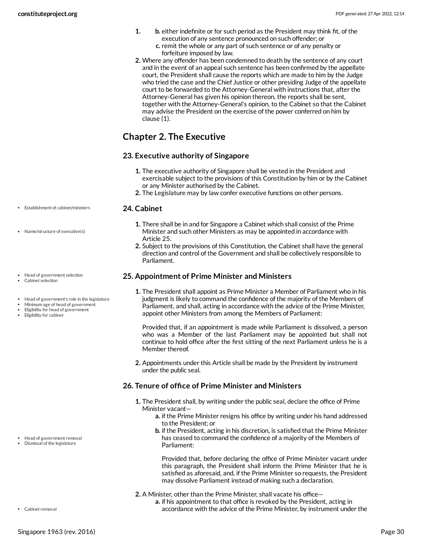- **1. b.** either indefinite or for such period as the President may think fit, of the execution of any sentence pronounced on such offender; or
	- **c.** remit the whole or any part of such sentence or of any penalty or forfeiture imposed by law.
- **2.** Where any offender has been condemned to death by the sentence of any court and in the event of an appeal such sentence has been confirmed by the appellate court, the President shall cause the reports which are made to him by the Judge who tried the case and the Chief Justice or other presiding Judge of the appellate court to be forwarded to the Attorney-General with instructions that, after the Attorney-General has given his opinion thereon, the reports shall be sent, together with the Attorney-General's opinion, to the Cabinet so that the Cabinet may advise the President on the exercise of the power conferred on him by clause (1).

# <span id="page-29-0"></span>**Chapter 2. The Executive**

#### **23. Executive authority of Singapore**

- **1.** The executive authority of Singapore shall be vested in the President and exercisable subject to the provisions of this Constitution by him or by the Cabinet or any Minister authorised by the Cabinet.
- **2.** The Legislature may by law confer executive functions on other persons.

#### **24. Cabinet**

- **1.** There shall be in and for Singapore a Cabinet which shall consist of the Prime Minister and such other Ministers as may be appointed in accordance with Article 25.
- **2.** Subject to the provisions of this Constitution, the Cabinet shall have the general direction and control of the Government and shall be collectively responsible to Parliament.

#### **25. Appointment of Prime Minister and Ministers**

**1.** The President shall appoint as Prime Minister a Member of Parliament who in his judgment is likely to command the confidence of the majority of the Members of Parliament, and shall, acting in accordance with the advice of the Prime Minister, appoint other Ministers from among the Members of Parliament:

Provided that, if an appointment is made while Parliament is dissolved, a person who was a Member of the last Parliament may be appointed but shall not continue to hold office after the first sitting of the next Parliament unless he is a Member thereof.

**2.** Appointments under this Article shall be made by the President by instrument under the public seal.

#### **26. Tenure of office of Prime Minister and Ministers**

- **1.** The President shall, by writing under the public seal, declare the office of Prime Minister vacant
	- **a.** if the Prime Minister resigns his office by writing under his hand addressed to the President; or
	- **b.** if the President, acting in his discretion, is satisfied that the Prime Minister has ceased to command the confidence of a majority of the Members of Parliament:

Provided that, before declaring the office of Prime Minister vacant under this paragraph, the President shall inform the Prime Minister that he is satisfied as aforesaid, and, if the Prime Minister so requests, the President may dissolve Parliament instead of making such a declaration.

- **2.** A Minister, other than the Prime Minister, shall vacate his office
	- **a.** if his appointment to that office is revoked by the President, acting in accordance with the advice of the Prime Minister, by instrument under the

Establishment of cabinet/ministers

- Name/structure of executive(s)
- Head of government selection Cabinet selection
- 
- Head of government's role in the legislature Minimum age of head of government
- Eligibility for head of government
- Eligibility for cabinet

- Head of government removal
- Dismissal of the legislature

Cabinet removal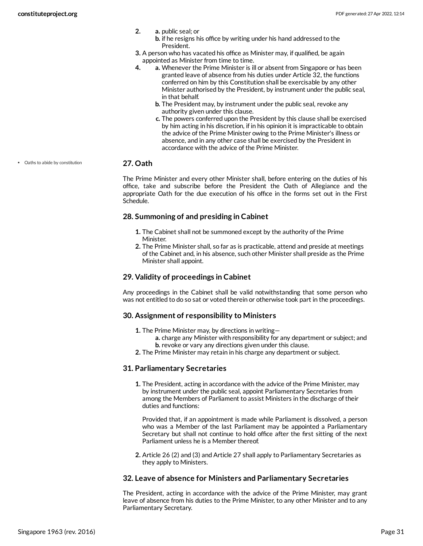- **2. a.** public seal; or
	- **b.** if he resigns his office by writing under his hand addressed to the President.
- **3.** A person who has vacated his office as Minister may, if qualified, be again appointed as Minister from time to time.
- **4. a.** Whenever the Prime Minister is ill or absent from Singapore or has been granted leave of absence from his duties under Article 32, the functions conferred on him by this Constitution shall be exercisable by any other Minister authorised by the President, by instrument under the public seal, in that behalf.
	- **b.** The President may, by instrument under the public seal, revoke any authority given under this clause.
	- **c.** The powers conferred upon the President by this clause shall be exercised by him acting in his discretion, if in his opinion it is impracticable to obtain the advice of the Prime Minister owing to the Prime Minister's illness or absence, and in any other case shall be exercised by the President in accordance with the advice of the Prime Minister.

Oaths to abide by constitution

#### **27. Oath**

The Prime Minister and every other Minister shall, before entering on the duties of his office, take and subscribe before the President the Oath of Allegiance and the appropriate Oath for the due execution of his office in the forms set out in the First Schedule.

#### **28. Summoning of and presiding in Cabinet**

- **1.** The Cabinet shall not be summoned except by the authority of the Prime Minister.
- **2.** The Prime Minister shall, so far as is practicable, attend and preside at meetings of the Cabinet and, in his absence, such other Minister shall preside as the Prime Minister shall appoint.

#### **29. Validity of proceedings in Cabinet**

Any proceedings in the Cabinet shall be valid notwithstanding that some person who was not entitled to do so sat or voted therein or otherwise took part in the proceedings.

#### **30. Assignment of responsibility to Ministers**

- **1.** The Prime Minister may, by directions in writing
	- **a.** charge any Minister with responsibility for any department or subject; and **b.** revoke or vary any directions given under this clause.
- **2.** The Prime Minister may retain in his charge any department or subject.

#### **31. Parliamentary Secretaries**

**1.** The President, acting in accordance with the advice of the Prime Minister, may by instrument under the public seal, appoint Parliamentary Secretaries from among the Members of Parliament to assist Ministers in the discharge of their duties and functions:

Provided that, if an appointment is made while Parliament is dissolved, a person who was a Member of the last Parliament may be appointed a Parliamentary Secretary but shall not continue to hold office after the first sitting of the next Parliament unless he is a Member thereof.

**2.** Article 26 (2) and (3) and Article 27 shall apply to Parliamentary Secretaries as they apply to Ministers.

#### **32. Leave of absence for Ministers and Parliamentary Secretaries**

The President, acting in accordance with the advice of the Prime Minister, may grant leave of absence from his duties to the Prime Minister, to any other Minister and to any Parliamentary Secretary.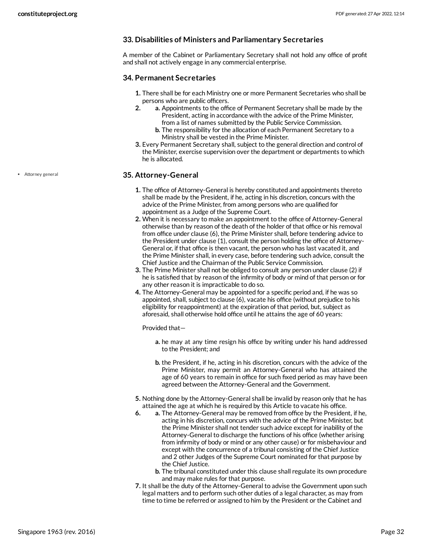#### **33. Disabilities of Ministers and Parliamentary Secretaries**

A member of the Cabinet or Parliamentary Secretary shall not hold any office of profit and shall not actively engage in any commercial enterprise.

#### **34. Permanent Secretaries**

- **1.** There shall be for each Ministry one or more Permanent Secretaries who shall be persons who are public officers.
- **2. a.** Appointments to the office of Permanent Secretary shall be made by the President, acting in accordance with the advice of the Prime Minister, from a list of names submitted by the Public Service Commission.
	- **b.** The responsibility for the allocation of each Permanent Secretary to a Ministry shall be vested in the Prime Minister.
- **3.** Every Permanent Secretary shall, subject to the general direction and control of the Minister, exercise supervision over the department or departments to which he is allocated.

#### **35. Attorney-General**

- **1.** The office of Attorney-General is hereby constituted and appointments thereto shall be made by the President, if he, acting in his discretion, concurs with the advice of the Prime Minister, from among persons who are qualified for appointment as a Judge of the Supreme Court.
- **2.** When it is necessary to make an appointment to the office of Attorney-General otherwise than by reason of the death of the holder of that office or his removal from office under clause (6), the Prime Minister shall, before tendering advice to the President under clause (1), consult the person holding the office of Attorney-General or, if that office is then vacant, the person who has last vacated it, and the Prime Minister shall, in every case, before tendering such advice, consult the Chief Justice and the Chairman of the Public Service Commission.
- **3.** The Prime Minister shall not be obliged to consult any person under clause (2) if he is satisfied that by reason of the infirmity of body or mind of that person or for any other reason it is impracticable to do so.
- **4.** The Attorney-General may be appointed for a specific period and, if he was so appointed, shall, subject to clause (6), vacate his office (without prejudice to his eligibility for reappointment) at the expiration of that period, but, subject as aforesaid, shall otherwise hold office until he attains the age of 60 years:

Provided that—

- **a.** he may at any time resign his office by writing under his hand addressed to the President; and
- **b.** the President, if he, acting in his discretion, concurs with the advice of the Prime Minister, may permit an Attorney-General who has attained the age of 60 years to remain in office for such fixed period as may have been agreed between the Attorney-General and the Government.
- **5.** Nothing done by the Attorney-General shall be invalid by reason only that he has attained the age at which he is required by this Article to vacate his office.
- **6. a.** The Attorney-General may be removed from office by the President, if he, acting in his discretion, concurs with the advice of the Prime Minister, but the Prime Minister shall not tender such advice except for inability of the Attorney-General to discharge the functions of his office (whether arising from infirmity of body or mind or any other cause) or for misbehaviour and except with the concurrence of a tribunal consisting of the Chief Justice and 2 other Judges of the Supreme Court nominated for that purpose by the Chief Justice.
	- **b.** The tribunal constituted under this clause shall regulate its own procedure and may make rules for that purpose.
- **7.** It shall be the duty of the Attorney-General to advise the Government upon such legal matters and to perform such other duties of a legal character, as may from time to time be referred or assigned to him by the President or the Cabinet and

Attorney general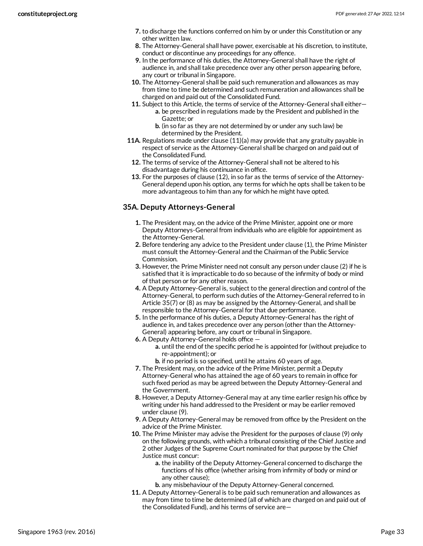- **7.** to discharge the functions conferred on him by or under this Constitution or any other written law.
- **8.** The Attorney-General shall have power, exercisable at his discretion, to institute, conduct or discontinue any proceedings for any offence.
- **9.** In the performance of his duties, the Attorney-General shall have the right of audience in, and shall take precedence over any other person appearing before, any court or tribunal in Singapore.
- **10.** The Attorney-General shall be paid such remuneration and allowances as may from time to time be determined and such remuneration and allowances shall be charged on and paid out of the Consolidated Fund.
- **11.** Subject to this Article, the terms of service of the Attorney-General shall either **a.** be prescribed in regulations made by the President and published in the Gazette; or
	- **b.** (in so far as they are not determined by or under any such law) be determined by the President.
- **11A.** Regulations made under clause (11)(a) may provide that any gratuity payable in respect of service as the Attorney-General shall be charged on and paid out of the Consolidated Fund.
- **12.** The terms of service of the Attorney-General shall not be altered to his disadvantage during his continuance in office.
- **13.** For the purposes of clause (12), in so far as the terms of service of the Attorney-General depend upon his option, any terms for which he opts shall be taken to be more advantageous to him than any for which he might have opted.

#### **35A. Deputy Attorneys-General**

- **1.** The President may, on the advice of the Prime Minister, appoint one or more Deputy Attorneys-General from individuals who are eligible for appointment as the Attorney-General.
- **2.** Before tendering any advice to the President under clause (1), the Prime Minister must consult the Attorney-General and the Chairman of the Public Service Commission.
- **3.** However, the Prime Minister need not consult any person under clause (2) if he is satisfied that it is impracticable to do so because of the infirmity of body or mind of that person or for any other reason.
- **4.** A Deputy Attorney-General is, subject to the general direction and control of the Attorney-General, to perform such duties of the Attorney-General referred to in Article 35(7) or (8) as may be assigned by the Attorney-General, and shall be responsible to the Attorney-General for that due performance.
- **5.** In the performance of his duties, a Deputy Attorney-General has the right of audience in, and takes precedence over any person (other than the Attorney-General) appearing before, any court or tribunal in Singapore.
- **6.** A Deputy Attorney-General holds office
	- **a.** until the end of the specific period he is appointed for (without prejudice to re-appointment); or
	- **b.** if no period is so specified, until he attains 60 years of age.
- **7.** The President may, on the advice of the Prime Minister, permit a Deputy Attorney-General who has attained the age of 60 years to remain in office for such fixed period as may be agreed between the Deputy Attorney-General and the Government.
- **8.** However, a Deputy Attorney-General may at any time earlier resign his office by writing under his hand addressed to the President or may be earlier removed under clause (9).
- **9.** A Deputy Attorney-General may be removed from office by the President on the advice of the Prime Minister.
- **10.** The Prime Minister may advise the President for the purposes of clause (9) only on the following grounds, with which a tribunal consisting of the Chief Justice and 2 other Judges of the Supreme Court nominated for that purpose by the Chief Justice must concur:
	- **a.** the inability of the Deputy Attorney-General concerned to discharge the functions of his office (whether arising from infirmity of body or mind or any other cause);
	- **b.** any misbehaviour of the Deputy Attorney-General concerned.
- **11.** A Deputy Attorney-General is to be paid such remuneration and allowances as may from time to time be determined (all of which are charged on and paid out of the Consolidated Fund), and his terms of service are—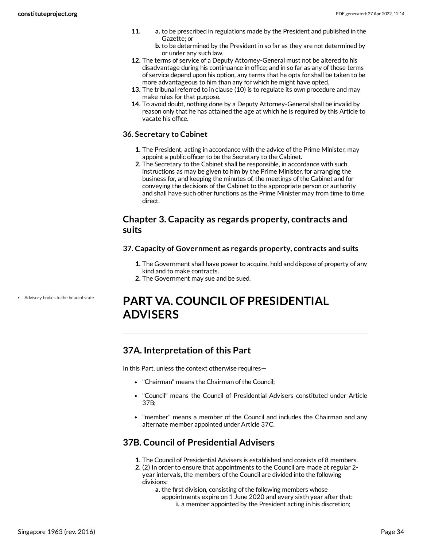- **11. a.** to be prescribed in regulations made by the President and published in the Gazette; or
	- **b.** to be determined by the President in so far as they are not determined by or under any such law.
- **12.** The terms of service of a Deputy Attorney-General must not be altered to his disadvantage during his continuance in office; and in so far as any of those terms of service depend upon his option, any terms that he opts for shall be taken to be more advantageous to him than any for which he might have opted.
- **13.** The tribunal referred to in clause (10) is to regulate its own procedure and may make rules for that purpose.
- **14.** To avoid doubt, nothing done by a Deputy Attorney-General shall be invalid by reason only that he has attained the age at which he is required by this Article to vacate his office.

#### **36. Secretary to Cabinet**

- **1.** The President, acting in accordance with the advice of the Prime Minister, may appoint a public officer to be the Secretary to the Cabinet.
- **2.** The Secretary to the Cabinet shall be responsible, in accordance with such instructions as may be given to him by the Prime Minister, for arranging the business for, and keeping the minutes of, the meetings of the Cabinet and for conveying the decisions of the Cabinet to the appropriate person or authority and shall have such other functions as the Prime Minister may from time to time direct.

# <span id="page-33-0"></span>**Chapter 3. Capacity as regards property, contracts and suits**

#### **37. Capacity of Government as regards property, contracts and suits**

- **1.** The Government shall have power to acquire, hold and dispose of property of any kind and to make contracts.
- **2.** The Government may sue and be sued.
- Advisory bodies to the head of state

# <span id="page-33-1"></span>**PART VA. COUNCIL OF PRESIDENTIAL ADVISERS**

# <span id="page-33-2"></span>**37A. Interpretation of this Part**

In this Part, unless the context otherwise requires—

- "Chairman" means the Chairman of the Council;
- "Council" means the Council of Presidential Advisers constituted under Article 37B;
- "member" means a member of the Council and includes the Chairman and any alternate member appointed under Article 37C.

# <span id="page-33-3"></span>**37B. Council of Presidential Advisers**

- **1.** The Council of Presidential Advisers is established and consists of 8 members.
- **2.** (2) In order to ensure that appointments to the Council are made at regular 2 year intervals, the members of the Council are divided into the following divisions:
	- **a.** the first division, consisting of the following members whose appointments expire on 1 June 2020 and every sixth year after that: **i.** a member appointed by the President acting in his discretion;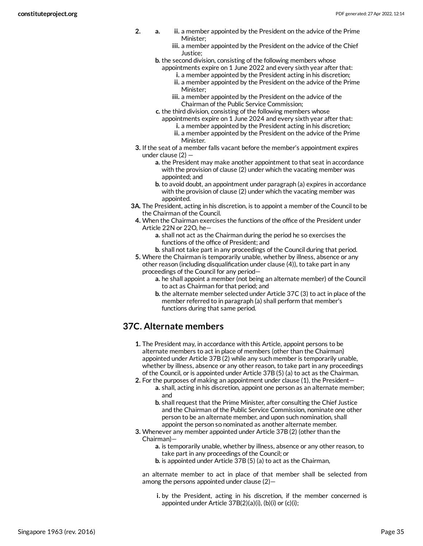- **2. a. ii.** a member appointed by the President on the advice of the Prime Minister;
	- **iii.** a member appointed by the President on the advice of the Chief Justice;
	- **b.** the second division, consisting of the following members whose
		- appointments expire on 1 June 2022 and every sixth year after that: **i.** a member appointed by the President acting in his discretion;
			- **ii.** a member appointed by the President on the advice of the Prime Minister;
			- **iii.** a member appointed by the President on the advice of the Chairman of the Public Service Commission;
	- **c.** the third division, consisting of the following members whose appointments expire on 1 June 2024 and every sixth year after that:
		- **i.** a member appointed by the President acting in his discretion;
		- **ii.** a member appointed by the President on the advice of the Prime Minister.
- **3.** If the seat of a member falls vacant before the member's appointment expires under clause (2)
	- **a.** the President may make another appointment to that seat in accordance with the provision of clause (2) under which the vacating member was appointed; and
	- **b.** to avoid doubt, an appointment under paragraph (a) expires in accordance with the provision of clause (2) under which the vacating member was appointed.
- **3A.** The President, acting in his discretion, is to appoint a member of the Council to be the Chairman of the Council.
- **4.** When the Chairman exercises the functions of the office of the President under Article 22N or 22O, he
	- **a.** shall not act as the Chairman during the period he so exercises the functions of the office of President; and
	- **b.** shall not take part in any proceedings of the Council during that period.

**5.** Where the Chairman is temporarily unable, whether by illness, absence or any other reason (including disqualification under clause (4)), to take part in any proceedings of the Council for any period—

- **a.** he shall appoint a member (not being an alternate member) of the Council to act as Chairman for that period; and
- **b.** the alternate member selected under Article 37C (3) to act in place of the member referred to in paragraph (a) shall perform that member's functions during that same period.

### <span id="page-34-0"></span>**37C. Alternate members**

- **1.** The President may, in accordance with this Article, appoint persons to be alternate members to act in place of members (other than the Chairman) appointed under Article 37B (2) while any such member is temporarily unable, whether by illness, absence or any other reason, to take part in any proceedings of the Council, or is appointed under Article 37B (5) (a) to act as the Chairman.
- **2.** For the purposes of making an appointment under clause (1), the President
	- **a.** shall, acting in his discretion, appoint one person as an alternate member; and
		- **b.** shall request that the Prime Minister, after consulting the Chief Justice and the Chairman of the Public Service Commission, nominate one other person to be an alternate member, and upon such nomination, shall appoint the person so nominated as another alternate member.
- **3.** Whenever any member appointed under Article 37B (2) (other than the Chairman)
	- **a.** is temporarily unable, whether by illness, absence or any other reason, to take part in any proceedings of the Council; or
	- **b.** is appointed under Article 37B (5) (a) to act as the Chairman,

an alternate member to act in place of that member shall be selected from among the persons appointed under clause  $(2)$  –

**i.** by the President, acting in his discretion, if the member concerned is appointed under Article 37B(2)(a)(i), (b)(i) or (c)(i);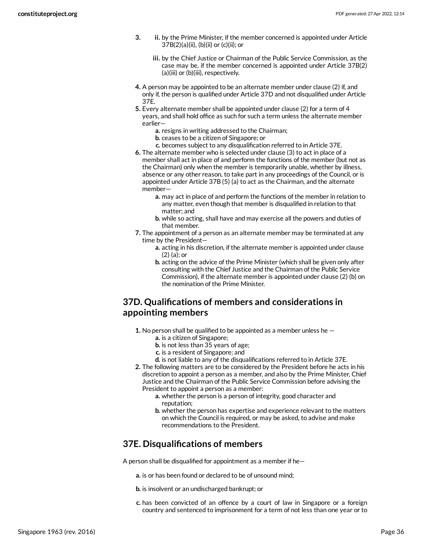- **3. ii.** by the Prime Minister, if the member concerned is appointed under Article 37B(2)(a)(ii), (b)(ii) or (c)(ii); or
	- **iii.** by the Chief Justice or Chairman of the Public Service Commission, as the case may be, if the member concerned is appointed under Article 37B(2) (a)(iii) or (b)(iii), respectively.
- **4.** A person may be appointed to be an alternate member under clause (2) if, and only if, the person is qualified under Article 37D and not disqualified under Article 37E.
- **5.** Every alternate member shall be appointed under clause (2) for a term of 4 years, and shall hold office as such for such a term unless the alternate member earlier
	- **a.** resigns in writing addressed to the Chairman;
	- **b.** ceases to be a citizen of Singapore; or
	- **c.** becomes subject to any disqualification referred to in Article 37E.
- **6.** The alternate member who is selected under clause (3) to act in place of a member shall act in place of and perform the functions of the member (but not as the Chairman) only when the member is temporarily unable, whether by illness, absence or any other reason, to take part in any proceedings of the Council, or is appointed under Article 37B (5) (a) to act as the Chairman, and the alternate member
	- **a.** may act in place of and perform the functions of the member in relation to any matter, even though that member is disqualified in relation to that matter; and
	- **b.** while so acting, shall have and may exercise all the powers and duties of that member.
- **7.** The appointment of a person as an alternate member may be terminated at any time by the President
	- **a.** acting in his discretion, if the alternate member is appointed under clause (2) (a); or
	- **b.** acting on the advice of the Prime Minister (which shall be given only after consulting with the Chief Justice and the Chairman of the Public Service Commission), if the alternate member is appointed under clause (2) (b) on the nomination of the Prime Minister.

# <span id="page-35-0"></span>**37D. Qualifications of members and considerations in appointing members**

- **1.** No person shall be qualified to be appointed as a member unless he
	- **a.** is a citizen of Singapore;
		- **b.** is not less than 35 years of age;
		- **c.** is a resident of Singapore; and
	- **d.** is not liable to any of the disqualifications referred to in Article 37E.
- **2.** The following matters are to be considered by the President before he acts in his discretion to appoint a person as a member, and also by the Prime Minister, Chief Justice and the Chairman of the Public Service Commission before advising the President to appoint a person as a member:
	- **a.** whether the person is a person of integrity, good character and reputation;
	- **b.** whether the person has expertise and experience relevant to the matters on which the Council is required, or may be asked, to advise and make recommendations to the President.

# <span id="page-35-1"></span>**37E. Disqualifications of members**

A person shall be disqualified for appointment as a member if he—

**a.** is or has been found or declared to be of unsound mind;

**b.** is insolvent or an undischarged bankrupt; or

**c.** has been convicted of an offence by a court of law in Singapore or a foreign country and sentenced to imprisonment for a term of not less than one year or to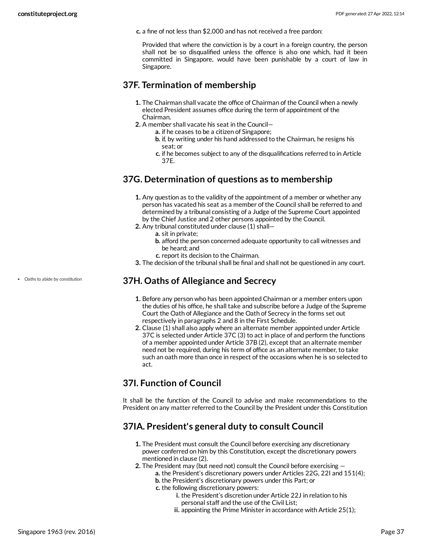**c.** a fine of not less than \$2,000 and has not received a free pardon:

Provided that where the conviction is by a court in a foreign country, the person shall not be so disqualified unless the offence is also one which, had it been committed in Singapore, would have been punishable by a court of law in Singapore.

#### **37F. Termination of membership**

- **1.** The Chairman shall vacate the office of Chairman of the Council when a newly elected President assumes office during the term of appointment of the Chairman.
- **2.** A member shall vacate his seat in the Council
	- **a.** if he ceases to be a citizen of Singapore;
		- **b.** if, by writing under his hand addressed to the Chairman, he resigns his seat; or
		- **c.** if he becomes subject to any of the disqualifications referred to in Article 37E.

# **37G. Determination of questions as to membership**

- **1.** Any question as to the validity of the appointment of a member or whether any person has vacated his seat as a member of the Council shall be referred to and determined by a tribunal consisting of a Judge of the Supreme Court appointed by the Chief Justice and 2 other persons appointed by the Council.
- **2.** Any tribunal constituted under clause (1) shall
	- **a.** sit in private;
	- **b.** afford the person concerned adequate opportunity to call witnesses and be heard; and
	- **c.** report its decision to the Chairman.
- **3.** The decision of the tribunal shall be final and shall not be questioned in any court.

#### **37H. Oaths of Allegiance and Secrecy**

- **1.** Before any person who has been appointed Chairman or a member enters upon the duties of his office, he shall take and subscribe before a Judge of the Supreme Court the Oath of Allegiance and the Oath of Secrecy in the forms set out respectively in paragraphs 2 and 8 in the First Schedule.
- **2.** Clause (1) shall also apply where an alternate member appointed under Article 37C is selected under Article 37C (3) to act in place of and perform the functions of a member appointed under Article 37B (2), except that an alternate member need not be required, during his term of office as an alternate member, to take such an oath more than once in respect of the occasions when he is so selected to act.

# **37I. Function of Council**

It shall be the function of the Council to advise and make recommendations to the President on any matter referred to the Council by the President under this Constitution

# **37IA. President's general duty to consult Council**

- **1.** The President must consult the Council before exercising any discretionary power conferred on him by this Constitution, except the discretionary powers mentioned in clause (2).
- **2.** The President may (but need not) consult the Council before exercising
	- **a.** the President's discretionary powers under Articles 22G, 22I and 151(4);
		- **b.** the President's discretionary powers under this Part; or
		- **c.** the following discretionary powers:
			- **i.** the President's discretion under Article 22J in relation to his personal staff and the use of the Civil List;
				- **ii.** appointing the Prime Minister in accordance with Article 25(1);

Oaths to abide by constitution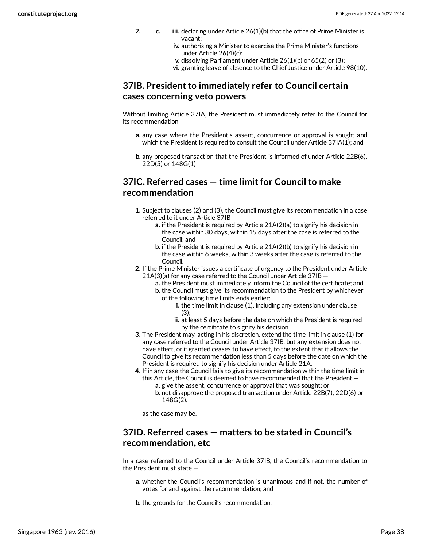- **2. c. iii.** declaring under Article 26(1)(b) that the office of Prime Minister is vacant;
	- **iv.** authorising a Minister to exercise the Prime Minister's functions under Article 26(4)(c);
	- **v.** dissolving Parliament under Article 26(1)(b) or 65(2) or (3);
	- **vi.** granting leave of absence to the Chief Justice under Article 98(10).

#### **37IB. President to immediately refer to Council certain cases concerning veto powers**

Without limiting Article 37IA, the President must immediately refer to the Council for its recommendation —

- **a.** any case where the President's assent, concurrence or approval is sought and which the President is required to consult the Council under Article 37IA(1); and
- **b.** any proposed transaction that the President is informed of under Article 22B(6), 22D(5) or 148G(1)

#### **37IC. Referred cases — time limit for Council to make recommendation**

- **1.** Subject to clauses (2) and (3), the Council must give its recommendation in a case referred to it under Article 37IB
	- **a.** if the President is required by Article 21A(2)(a) to signify his decision in the case within 30 days, within 15 days after the case is referred to the Council; and
	- **b.** if the President is required by Article 21A(2)(b) to signify his decision in the case within 6 weeks, within 3 weeks after the case is referred to the Council.
- **2.** If the Prime Minister issues a certificate of urgency to the President under Article 21A(3)(a) for any case referred to the Council under Article 37IB
	- **a.** the President must immediately inform the Council of the certificate; and
	- **b.** the Council must give its recommendation to the President by whichever of the following time limits ends earlier:
		- **i.** the time limit in clause (1), including any extension under clause (3);
		- **ii.** at least 5 days before the date on which the President is required by the certificate to signify his decision.
- **3.** The President may, acting in his discretion, extend the time limit in clause (1) for any case referred to the Council under Article 37IB, but any extension does not have effect, or if granted ceases to have effect, to the extent that it allows the Council to give its recommendation less than 5 days before the date on which the President is required to signify his decision under Article 21A.
- **4.** If in any case the Council fails to give its recommendation within the time limit in this Article, the Council is deemed to have recommended that the President
	- **a.** give the assent, concurrence or approval that was sought; or
	- **b.** not disapprove the proposed transaction under Article 22B(7), 22D(6) or 148G(2),

as the case may be.

#### **37ID. Referred cases — matters to be stated in Council's recommendation, etc**

In a case referred to the Council under Article 37IB, the Council's recommendation to the President must state —

**a.** whether the Council's recommendation is unanimous and if not, the number of votes for and against the recommendation; and

**b.** the grounds for the Council's recommendation.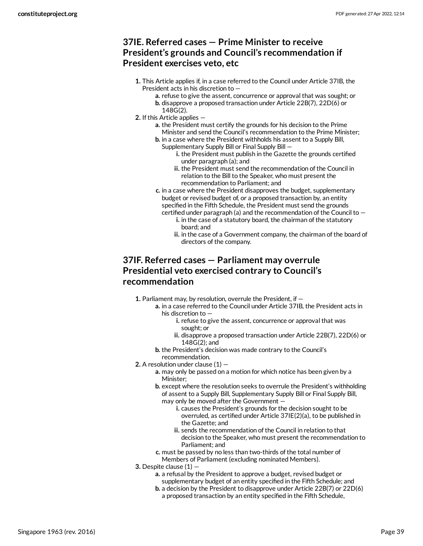# **37IE. Referred cases — Prime Minister to receive President's grounds and Council's recommendation if President exercises veto, etc**

- **1.** This Article applies if, in a case referred to the Council under Article 37IB, the President acts in his discretion to
	- **a.** refuse to give the assent, concurrence or approval that was sought; or **b.** disapprove a proposed transaction under Article 22B(7), 22D(6) or 148G(2).
- **2.** If this Article applies
	- **a.** the President must certify the grounds for his decision to the Prime Minister and send the Council's recommendation to the Prime Minister;
	- **b.** in a case where the President withholds his assent to a Supply Bill, Supplementary Supply Bill or Final Supply Bill
		- **i.** the President must publish in the Gazette the grounds certified under paragraph (a); and
		- **ii.** the President must send the recommendation of the Council in relation to the Bill to the Speaker, who must present the recommendation to Parliament; and
	- **c.** in a case where the President disapproves the budget, supplementary budget or revised budget of, or a proposed transaction by, an entity specified in the Fifth Schedule, the President must send the grounds certified under paragraph (a) and the recommendation of the Council to  $$ 
		- **i.** in the case of a statutory board, the chairman of the statutory board; and
		- **ii.** in the case of a Government company, the chairman of the board of directors of the company.

#### **37IF. Referred cases — Parliament may overrule Presidential veto exercised contrary to Council's recommendation**

- **1.** Parliament may, by resolution, overrule the President, if
	- **a.** in a case referred to the Council under Article 37IB, the President acts in his discretion to
		- **i.** refuse to give the assent, concurrence or approval that was sought; or
		- **ii.** disapprove a proposed transaction under Article 22B(7), 22D(6) or 148G(2); and
	- **b.** the President's decision was made contrary to the Council's recommendation.
- **2.** A resolution under clause (1)
	- **a.** may only be passed on a motion for which notice has been given by a Minister;
	- **b.** except where the resolution seeks to overrule the President's withholding of assent to a Supply Bill, Supplementary Supply Bill or Final Supply Bill, may only be moved after the Government
		- **i.** causes the President's grounds for the decision sought to be overruled, as certified under Article 37IE(2)(a), to be published in the Gazette; and
		- **ii.** sends the recommendation of the Council in relation to that decision to the Speaker, who must present the recommendation to Parliament; and
	- **c.** must be passed by no less than two-thirds of the total number of Members of Parliament (excluding nominated Members).
- **3.** Despite clause (1)
	- **a.** a refusal by the President to approve a budget, revised budget or supplementary budget of an entity specified in the Fifth Schedule; and
	- **b.** a decision by the President to disapprove under Article 22B(7) or 22D(6)
	- a proposed transaction by an entity specified in the Fifth Schedule,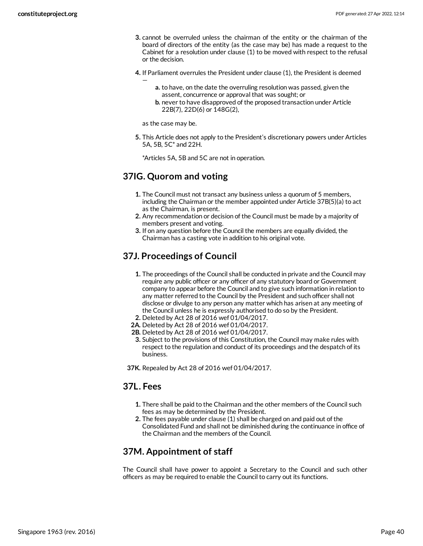- **3.** cannot be overruled unless the chairman of the entity or the chairman of the board of directors of the entity (as the case may be) has made a request to the Cabinet for a resolution under clause (1) to be moved with respect to the refusal or the decision.
- **4.** If Parliament overrules the President under clause (1), the President is deemed
	- **a.** to have, on the date the overruling resolution was passed, given the assent, concurrence or approval that was sought; or
	- **b.** never to have disapproved of the proposed transaction under Article 22B(7), 22D(6) or 148G(2),

as the case may be.

—

**5.** This Article does not apply to the President's discretionary powers under Articles 5A, 5B, 5C\* and 22H.

\*Articles 5A, 5B and 5C are not in operation.

# **37IG. Quorom and voting**

- **1.** The Council must not transact any business unless a quorum of 5 members, including the Chairman or the member appointed under Article 37B(5)(a) to act as the Chairman, is present.
- **2.** Any recommendation or decision of the Council must be made by a majority of members present and voting.
- **3.** If on any question before the Council the members are equally divided, the Chairman has a casting vote in addition to his original vote.

# **37J. Proceedings of Council**

- **1.** The proceedings of the Council shall be conducted in private and the Council may require any public officer or any officer of any statutory board or Government company to appear before the Council and to give such information in relation to any matter referred to the Council by the President and such officer shall not disclose or divulge to any person any matter which has arisen at any meeting of the Council unless he is expressly authorised to do so by the President.
- **2.** Deleted by Act 28 of 2016 wef 01/04/2017.
- **2A.** Deleted by Act 28 of 2016 wef 01/04/2017.
- **2B.** Deleted by Act 28 of 2016 wef 01/04/2017.
- **3.** Subject to the provisions of this Constitution, the Council may make rules with respect to the regulation and conduct of its proceedings and the despatch of its business.
- **37K.** Repealed by Act 28 of 2016 wef 01/04/2017.

#### **37L. Fees**

- **1.** There shall be paid to the Chairman and the other members of the Council such fees as may be determined by the President.
- **2.** The fees payable under clause (1) shall be charged on and paid out of the Consolidated Fund and shall not be diminished during the continuance in office of the Chairman and the members of the Council.

# **37M. Appointment of staff**

The Council shall have power to appoint a Secretary to the Council and such other officers as may be required to enable the Council to carry out its functions.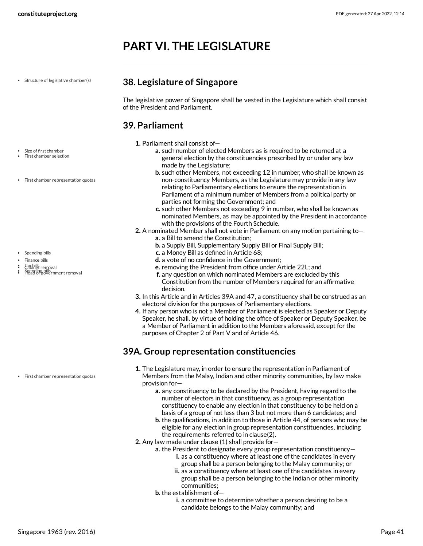# **PART VI. THE LEGISLATURE**

• Structure of legislative chamber(s)

#### **38. Legislature of Singapore**

The legislative power of Singapore shall be vested in the Legislature which shall consist of the President and Parliament.

#### **39. Parliament**

- **1.** Parliament shall consist of
	- **a.** such number of elected Members as is required to be returned at a general election by the constituencies prescribed by or under any law made by the Legislature;
	- **b.** such other Members, not exceeding 12 in number, who shall be known as non-constituency Members, as the Legislature may provide in any law relating to Parliamentary elections to ensure the representation in Parliament of a minimum number of Members from a political party or parties not forming the Government; and
	- **c.** such other Members not exceeding 9 in number, who shall be known as nominated Members, as may be appointed by the President in accordance with the provisions of the Fourth Schedule.
- **2.** A nominated Member shall not vote in Parliament on any motion pertaining to **a.** a Bill to amend the Constitution;
	- **b.** a Supply Bill, Supplementary Supply Bill or Final Supply Bill;
	- **c.** a Money Bill as defined in Article 68;
	- **d.** a vote of no confidence in the Government;
	- **e.** removing the President from office under Article 22L; and
	- **f.** any question on which nominated Members are excluded by this Constitution from the number of Members required for an affirmative decision.
- **3.** In this Article and in Articles 39A and 47, a constituency shall be construed as an electoral division for the purposes of Parliamentary elections.
- **4.** If any person who is not a Member of Parliament is elected as Speaker or Deputy Speaker, he shall, by virtue of holding the office of Speaker or Deputy Speaker, be a Member of Parliament in addition to the Members aforesaid, except for the purposes of Chapter 2 of Part V and of Article 46.

# **39A. Group representation constituencies**

- **1.** The Legislature may, in order to ensure the representation in Parliament of Members from the Malay, Indian and other minority communities, by law make provision for
	- **a.** any constituency to be declared by the President, having regard to the number of electors in that constituency, as a group representation constituency to enable any election in that constituency to be held on a basis of a group of not less than 3 but not more than 6 candidates; and
	- **b.** the qualifications, in addition to those in Article 44, of persons who may be eligible for any election in group representation constituencies, including the requirements referred to in clause(2).
- **2.** Any law made under clause (1) shall provide for
	- **a.** the President to designate every group representation constituency **i.** as a constituency where at least one of the candidates in every group shall be a person belonging to the Malay community; or
		- **ii.** as a constituency where at least one of the candidates in every group shall be a person belonging to the Indian or other minority communities;
	- **b.** the establishment of
		- **i.** a committee to determine whether a person desiring to be a candidate belongs to the Malay community; and

Size of first chamber First chamber selection

• First chamber representation quotas

- Spending bills
- Finance bills
- 
- Tax bills<br>भिक्ष्ट्यर्य एक कार्णकार<br>भिक्ष्ट्यर्य एक पुरसिक्ष राजाना पर पाठण्या

First chamber representation quotas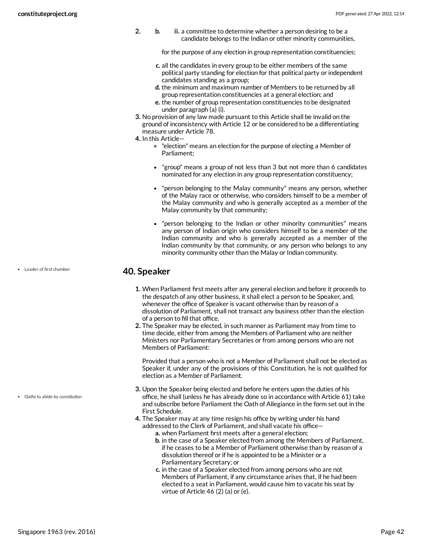**2. b. ii.** a committee to determine whether a person desiring to be a candidate belongs to the Indian or other minority communities,

for the purpose of any election in group representation constituencies;

- **c.** all the candidates in every group to be either members of the same political party standing for election for that political party or independent candidates standing as a group;
- **d.** the minimum and maximum number of Members to be returned by all group representation constituencies at a general election; and
- **e.** the number of group representation constituencies to be designated under paragraph (a) (i).
- **3.** No provision of any law made pursuant to this Article shall be invalid on the ground of inconsistency with Article 12 or be considered to be a differentiating measure under Article 78.
- **4.** In this Article—
	- "election" means an election for the purpose of electing a Member of Parliament;
	- "group" means a group of not less than 3 but not more than 6 candidates nominated for any election in any group representation constituency;
	- "person belonging to the Malay community" means any person, whether of the Malay race or otherwise, who considers himself to be a member of the Malay community and who is generally accepted as a member of the Malay community by that community;
	- "person belonging to the Indian or other minority communities" means any person of Indian origin who considers himself to be a member of the Indian community and who is generally accepted as a member of the Indian community by that community, or any person who belongs to any minority community other than the Malay or Indian community.

#### **40. Speaker**

- **1.** When Parliament first meets after any general election and before it proceeds to the despatch of any other business, it shall elect a person to be Speaker, and, whenever the office of Speaker is vacant otherwise than by reason of a dissolution of Parliament, shall not transact any business other than the election of a person to fill that office.
- **2.** The Speaker may be elected, in such manner as Parliament may from time to time decide, either from among the Members of Parliament who are neither Ministers nor Parliamentary Secretaries or from among persons who are not Members of Parliament:

Provided that a person who is not a Member of Parliament shall not be elected as Speaker if, under any of the provisions of this Constitution, he is not qualified for election as a Member of Parliament.

- **3.** Upon the Speaker being elected and before he enters upon the duties of his office, he shall (unless he has already done so in accordance with Article 61) take and subscribe before Parliament the Oath of Allegiance in the form set out in the First Schedule.
- **4.** The Speaker may at any time resign his office by writing under his hand addressed to the Clerk of Parliament, and shall vacate his office
	- **a.** when Parliament first meets after a general election;
	- **b.** in the case of a Speaker elected from among the Members of Parliament, if he ceases to be a Member of Parliament otherwise than by reason of a dissolution thereof or if he is appointed to be a Minister or a Parliamentary Secretary; or
	- **c.** in the case of a Speaker elected from among persons who are not Members of Parliament, if any circumstance arises that, if he had been elected to a seat in Parliament, would cause him to vacate his seat by virtue of Article 46 (2) (a) or (e).

Leader of first chamber

Oaths to abide by constitution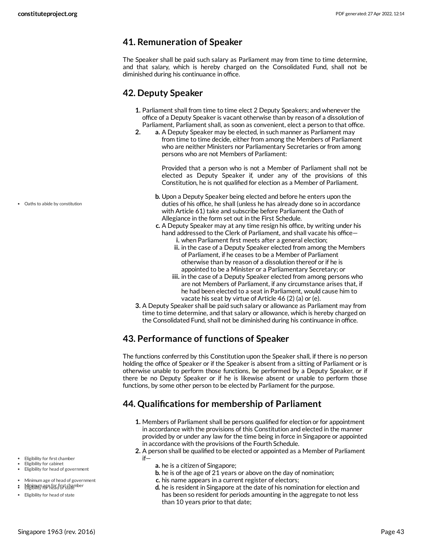Oaths to abide by constitution

#### **41. Remuneration of Speaker**

The Speaker shall be paid such salary as Parliament may from time to time determine, and that salary, which is hereby charged on the Consolidated Fund, shall not be diminished during his continuance in office.

#### **42. Deputy Speaker**

- **1.** Parliament shall from time to time elect 2 Deputy Speakers; and whenever the office of a Deputy Speaker is vacant otherwise than by reason of a dissolution of Parliament, Parliament shall, as soon as convenient, elect a person to that office.
- **2. a.** A Deputy Speaker may be elected, in such manner as Parliament may from time to time decide, either from among the Members of Parliament who are neither Ministers nor Parliamentary Secretaries or from among persons who are not Members of Parliament:

Provided that a person who is not a Member of Parliament shall not be elected as Deputy Speaker if, under any of the provisions of this Constitution, he is not qualified for election as a Member of Parliament.

- **b.** Upon a Deputy Speaker being elected and before he enters upon the duties of his office, he shall (unless he has already done so in accordance with Article 61) take and subscribe before Parliament the Oath of Allegiance in the form set out in the First Schedule.
- **c.** A Deputy Speaker may at any time resign his office, by writing under his hand addressed to the Clerk of Parliament, and shall vacate his office **i.** when Parliament first meets after a general election;
	- **ii.** in the case of a Deputy Speaker elected from among the Members of Parliament, if he ceases to be a Member of Parliament otherwise than by reason of a dissolution thereof or if he is appointed to be a Minister or a Parliamentary Secretary; or
	- **iii.** in the case of a Deputy Speaker elected from among persons who are not Members of Parliament, if any circumstance arises that, if he had been elected to a seat in Parliament, would cause him to vacate his seat by virtue of Article 46 (2) (a) or (e).
- **3.** A Deputy Speaker shall be paid such salary or allowance as Parliament may from time to time determine, and that salary or allowance, which is hereby charged on the Consolidated Fund, shall not be diminished during his continuance in office.

# **43. Performance of functions of Speaker**

The functions conferred by this Constitution upon the Speaker shall, if there is no person holding the office of Speaker or if the Speaker is absent from a sitting of Parliament or is otherwise unable to perform those functions, be performed by a Deputy Speaker, or if there be no Deputy Speaker or if he is likewise absent or unable to perform those functions, by some other person to be elected by Parliament for the purpose.

# **44. Qualifications for membership of Parliament**

- **1.** Members of Parliament shall be persons qualified for election or for appointment in accordance with the provisions of this Constitution and elected in the manner provided by or under any law for the time being in force in Singapore or appointed in accordance with the provisions of the Fourth Schedule.
- **2.** A person shall be qualified to be elected or appointed as a Member of Parliament if
	- **a.** he is a citizen of Singapore;
	- **b.** he is of the age of 21 years or above on the day of nomination;
	- **c.** his name appears in a current register of electors;
	- **d.** he is resident in Singapore at the date of his nomination for election and has been so resident for periods amounting in the aggregate to not less than 10 years prior to that date;
- Eligibility for first chamber
- Eligibility for cabinet Eligibility for head of government
- Minimum age of head of government
- $\cdot$  Minimum age for first chamber
- Eligibility for head of state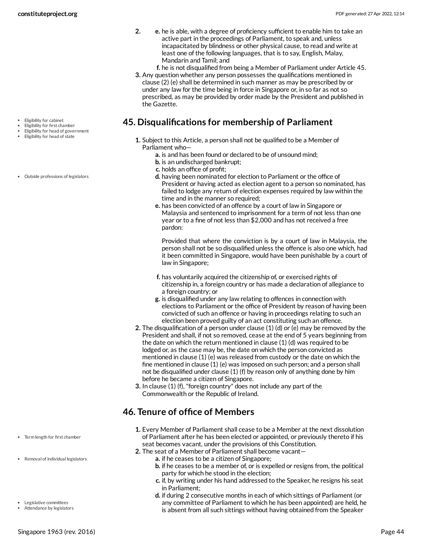- **2. e.** he is able, with a degree of proficiency sufficient to enable him to take an active part in the proceedings of Parliament, to speak and, unless incapacitated by blindness or other physical cause, to read and write at least one of the following languages, that is to say, English, Malay, Mandarin and Tamil; and
	- **f.** he is not disqualified from being a Member of Parliament under Article 45.
- **3.** Any question whether any person possesses the qualifications mentioned in clause (2) (e) shall be determined in such manner as may be prescribed by or under any law for the time being in force in Singapore or, in so far as not so prescribed, as may be provided by order made by the President and published in the Gazette.

#### **45. Disqualifications for membership of Parliament**

- **1.** Subject to this Article, a person shall not be qualified to be a Member of Parliament who
	- **a.** is and has been found or declared to be of unsound mind;
	- **b.** is an undischarged bankrupt;
	- **c.** holds an office of profit;
	- **d.** having been nominated for election to Parliament or the office of President or having acted as election agent to a person so nominated, has failed to lodge any return of election expenses required by law within the time and in the manner so required;
	- **e.** has been convicted of an offence by a court of law in Singapore or Malaysia and sentenced to imprisonment for a term of not less than one year or to a fine of not less than \$2,000 and has not received a free pardon:

Provided that where the conviction is by a court of law in Malaysia, the person shall not be so disqualified unless the offence is also one which, had it been committed in Singapore, would have been punishable by a court of law in Singapore;

- **f.** has voluntarily acquired the citizenship of, or exercised rights of citizenship in, a foreign country or has made a declaration of allegiance to a foreign country; or
- **g.** is disqualified under any law relating to offences in connection with elections to Parliament or the office of President by reason of having been convicted of such an offence or having in proceedings relating to such an election been proved guilty of an act constituting such an offence.
- **2.** The disqualification of a person under clause (1) (d) or (e) may be removed by the President and shall, if not so removed, cease at the end of 5 years beginning from the date on which the return mentioned in clause (1) (d) was required to be lodged or, as the case may be, the date on which the person convicted as mentioned in clause (1) (e) was released from custody or the date on which the fine mentioned in clause (1) (e) was imposed on such person; and a person shall not be disqualified under clause (1) (f) by reason only of anything done by him before he became a citizen of Singapore.
- **3.** In clause (1) (f), "foreign country" does not include any part of the Commonwealth or the Republic of Ireland.

#### **46. Tenure of office of Members**

- **1.** Every Member of Parliament shall cease to be a Member at the next dissolution of Parliament after he has been elected or appointed, or previously thereto if his seat becomes vacant, under the provisions of this Constitution.
- **2.** The seat of a Member of Parliament shall become vacant
	- **a.** if he ceases to be a citizen of Singapore;
	- **b.** if he ceases to be a member of, or is expelled or resigns from, the political party for which he stood in the election;
	- **c.** if, by writing under his hand addressed to the Speaker, he resigns his seat in Parliament;
	- **d.** if during 2 consecutive months in each of which sittings of Parliament (or any committee of Parliament to which he has been appointed) are held, he is absent from all such sittings without having obtained from the Speaker
- Eligibility for cabinet
- Eligibility for first chamber Eligibility for head of government
- Eligibility for head of state
- Outside professions of legislators

- Term length for first chamber
- Removal of individual legislators
- Legislative committees Attendance by legislators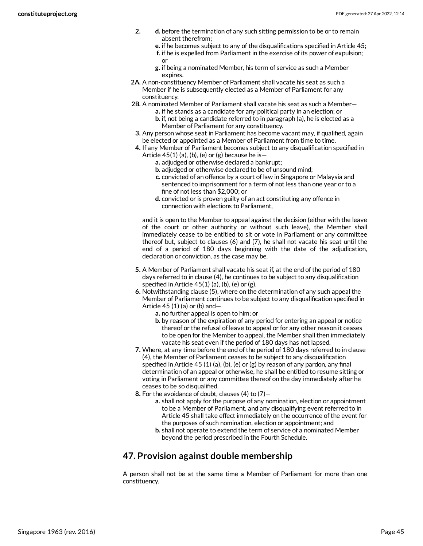- **2. d.** before the termination of any such sitting permission to be or to remain absent therefrom;
	- **e.** if he becomes subject to any of the disqualifications specified in Article 45;
	- **f.** if he is expelled from Parliament in the exercise of its power of expulsion; or
	- **g.** if being a nominated Member, his term of service as such a Member expires.
- **2A.** A non-constituency Member of Parliament shall vacate his seat as such a Member if he is subsequently elected as a Member of Parliament for any constituency.
- **2B.** A nominated Member of Parliament shall vacate his seat as such a Member
	- **a.** if he stands as a candidate for any political party in an election; or
	- **b.** if, not being a candidate referred to in paragraph (a), he is elected as a Member of Parliament for any constituency.
	- **3.** Any person whose seat in Parliament has become vacant may, if qualified, again be elected or appointed as a Member of Parliament from time to time.
	- **4.** If any Member of Parliament becomes subject to any disqualification specified in Article 45(1) (a), (b), (e) or (g) because he is
		- **a.** adjudged or otherwise declared a bankrupt;
		- **b.** adjudged or otherwise declared to be of unsound mind;
		- **c.** convicted of an offence by a court of law in Singapore or Malaysia and sentenced to imprisonment for a term of not less than one year or to a fine of not less than \$2,000; or
		- **d.** convicted or is proven guilty of an act constituting any offence in connection with elections to Parliament,

and it is open to the Member to appeal against the decision (either with the leave of the court or other authority or without such leave), the Member shall immediately cease to be entitled to sit or vote in Parliament or any committee thereof but, subject to clauses (6) and (7), he shall not vacate his seat until the end of a period of 180 days beginning with the date of the adjudication, declaration or conviction, as the case may be.

- **5.** A Member of Parliament shall vacate his seat if, at the end of the period of 180 days referred to in clause (4), he continues to be subject to any disqualification specified in Article 45(1) (a), (b), (e) or (g).
- **6.** Notwithstanding clause (5), where on the determination of any such appeal the Member of Parliament continues to be subject to any disqualification specified in Article 45 (1) (a) or (b) and
	- **a.** no further appeal is open to him; or
	- **b.** by reason of the expiration of any period for entering an appeal or notice thereof or the refusal of leave to appeal or for any other reason it ceases to be open for the Member to appeal, the Member shall then immediately vacate his seat even if the period of 180 days has not lapsed.
- **7.** Where, at any time before the end of the period of 180 days referred to in clause (4), the Member of Parliament ceases to be subject to any disqualification specified in Article 45 (1) (a), (b), (e) or (g) by reason of any pardon, any final determination of an appeal or otherwise, he shall be entitled to resume sitting or voting in Parliament or any committee thereof on the day immediately after he ceases to be so disqualified.
- **8.** For the avoidance of doubt, clauses (4) to (7)
	- **a.** shall not apply for the purpose of any nomination, election or appointment to be a Member of Parliament, and any disqualifying event referred to in Article 45 shall take effect immediately on the occurrence of the event for the purposes of such nomination, election or appointment; and
	- **b.** shall not operate to extend the term of service of a nominated Member beyond the period prescribed in the Fourth Schedule.

# **47. Provision against double membership**

A person shall not be at the same time a Member of Parliament for more than one constituency.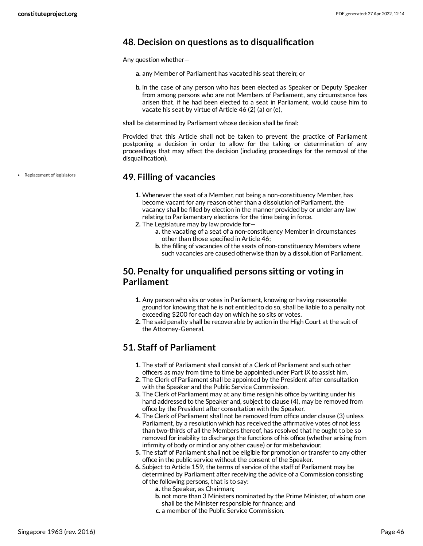#### **48. Decision on questions as to disqualification**

Any question whether—

- **a.** any Member of Parliament has vacated his seat therein; or
- **b.** in the case of any person who has been elected as Speaker or Deputy Speaker from among persons who are not Members of Parliament, any circumstance has arisen that, if he had been elected to a seat in Parliament, would cause him to vacate his seat by virtue of Article 46 (2) (a) or (e),

shall be determined by Parliament whose decision shall be final:

Provided that this Article shall not be taken to prevent the practice of Parliament postponing a decision in order to allow for the taking or determination of any proceedings that may affect the decision (including proceedings for the removal of the disqualification).

#### **49. Filling of vacancies**

- **1.** Whenever the seat of a Member, not being a non-constituency Member, has become vacant for any reason other than a dissolution of Parliament, the vacancy shall be filled by election in the manner provided by or under any law relating to Parliamentary elections for the time being in force.
- **2.** The Legislature may by law provide for
	- **a.** the vacating of a seat of a non-constituency Member in circumstances other than those specified in Article 46;
	- **b.** the filling of vacancies of the seats of non-constituency Members where such vacancies are caused otherwise than by a dissolution of Parliament.

#### **50. Penalty for unqualified persons sitting or voting in Parliament**

- **1.** Any person who sits or votes in Parliament, knowing or having reasonable ground for knowing that he is not entitled to do so, shall be liable to a penalty not exceeding \$200 for each day on which he so sits or votes.
- **2.** The said penalty shall be recoverable by action in the High Court at the suit of the Attorney-General.

# **51. Staff of Parliament**

- **1.** The staff of Parliament shall consist of a Clerk of Parliament and such other officers as may from time to time be appointed under Part IX to assist him.
- **2.** The Clerk of Parliament shall be appointed by the President after consultation with the Speaker and the Public Service Commission.
- **3.** The Clerk of Parliament may at any time resign his office by writing under his hand addressed to the Speaker and, subject to clause (4), may be removed from office by the President after consultation with the Speaker.
- **4.** The Clerk of Parliament shall not be removed from office under clause (3) unless Parliament, by a resolution which has received the affirmative votes of not less than two-thirds of all the Members thereof, has resolved that he ought to be so removed for inability to discharge the functions of his office (whether arising from infirmity of body or mind or any other cause) or for misbehaviour.
- **5.** The staff of Parliament shall not be eligible for promotion or transfer to any other office in the public service without the consent of the Speaker.
- **6.** Subject to Article 159, the terms of service of the staff of Parliament may be determined by Parliament after receiving the advice of a Commission consisting of the following persons, that is to say:
	- **a.** the Speaker, as Chairman;
	- **b.** not more than 3 Ministers nominated by the Prime Minister, of whom one shall be the Minister responsible for finance; and
	- **c.** a member of the Public Service Commission.

• Replacement of legislators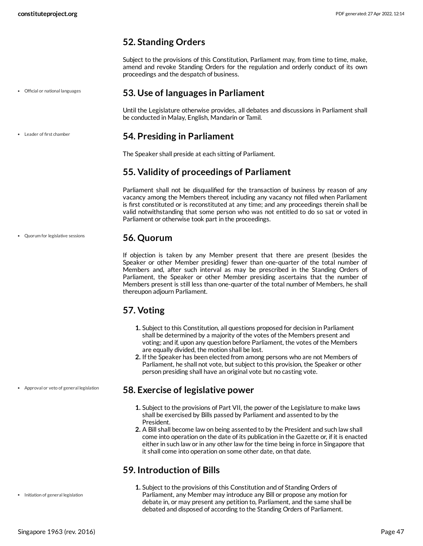Official or national languages

• Leader of first chamber

# **52. Standing Orders**

Subject to the provisions of this Constitution, Parliament may, from time to time, make, amend and revoke Standing Orders for the regulation and orderly conduct of its own proceedings and the despatch of business.

**53. Use of languages in Parliament**

Until the Legislature otherwise provides, all debates and discussions in Parliament shall be conducted in Malay, English, Mandarin or Tamil.

#### **54. Presiding in Parliament**

The Speaker shall preside at each sitting of Parliament.

#### **55. Validity of proceedings of Parliament**

Parliament shall not be disqualified for the transaction of business by reason of any vacancy among the Members thereof, including any vacancy not filled when Parliament is first constituted or is reconstituted at any time; and any proceedings therein shall be valid notwithstanding that some person who was not entitled to do so sat or voted in Parliament or otherwise took part in the proceedings.

#### **56. Quorum** Quorum for legislative sessions

If objection is taken by any Member present that there are present (besides the Speaker or other Member presiding) fewer than one-quarter of the total number of Members and, after such interval as may be prescribed in the Standing Orders of Parliament, the Speaker or other Member presiding ascertains that the number of Members present is still less than one-quarter of the total number of Members, he shall thereupon adjourn Parliament.

# **57. Voting**

- **1.** Subject to this Constitution, all questions proposed for decision in Parliament shall be determined by a majority of the votes of the Members present and voting; and if, upon any question before Parliament, the votes of the Members are equally divided, the motion shall be lost.
- **2.** If the Speaker has been elected from among persons who are not Members of Parliament, he shall not vote, but subject to this provision, the Speaker or other person presiding shall have an original vote but no casting vote.

#### **58. Exercise of legislative power**

- **1.** Subject to the provisions of Part VII, the power of the Legislature to make laws shall be exercised by Bills passed by Parliament and assented to by the President.
- **2.** A Bill shall become law on being assented to by the President and such law shall come into operation on the date of its publication in the Gazette or, if it is enacted either in such law or in any other law for the time being in force in Singapore that it shall come into operation on some other date, on that date.

# **59. Introduction of Bills**

**1.** Subject to the provisions of this Constitution and of Standing Orders of Parliament, any Member may introduce any Bill or propose any motion for debate in, or may present any petition to, Parliament, and the same shall be debated and disposed of according to the Standing Orders of Parliament.

Approval or veto of general legislation

• Initiation of general legislation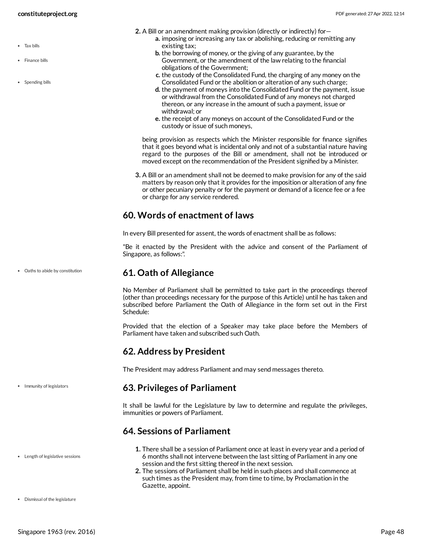- Tax bills
- Finance hills
- Spending bills
- **2.** A Bill or an amendment making provision (directly or indirectly) for
	- **a.** imposing or increasing any tax or abolishing, reducing or remitting any existing tax;
	- **b.** the borrowing of money, or the giving of any guarantee, by the Government, or the amendment of the law relating to the financial obligations of the Government;
	- **c.** the custody of the Consolidated Fund, the charging of any money on the Consolidated Fund or the abolition or alteration of any such charge;
	- **d.** the payment of moneys into the Consolidated Fund or the payment, issue or withdrawal from the Consolidated Fund of any moneys not charged thereon, or any increase in the amount of such a payment, issue or withdrawal; or
	- **e.** the receipt of any moneys on account of the Consolidated Fund or the custody or issue of such moneys,

being provision as respects which the Minister responsible for finance signifies that it goes beyond what is incidental only and not of a substantial nature having regard to the purposes of the Bill or amendment, shall not be introduced or moved except on the recommendation of the President signified by a Minister.

**3.** A Bill or an amendment shall not be deemed to make provision for any of the said matters by reason only that it provides for the imposition or alteration of any fine or other pecuniary penalty or for the payment or demand of a licence fee or a fee or charge for any service rendered.

# **60. Words of enactment of laws**

In every Bill presented for assent, the words of enactment shall be as follows:

"Be it enacted by the President with the advice and consent of the Parliament of Singapore, as follows:".

# **61. Oath of Allegiance**

No Member of Parliament shall be permitted to take part in the proceedings thereof (other than proceedings necessary for the purpose of this Article) until he has taken and subscribed before Parliament the Oath of Allegiance in the form set out in the First Schedule:

Provided that the election of a Speaker may take place before the Members of Parliament have taken and subscribed such Oath.

# **62. Address by President**

The President may address Parliament and may send messages thereto.

#### **63. Privileges of Parliament**

It shall be lawful for the Legislature by law to determine and regulate the privileges, immunities or powers of Parliament.

# **64. Sessions of Parliament**

- **1.** There shall be a session of Parliament once at least in every year and a period of 6 months shall not intervene between the last sitting of Parliament in any one session and the first sitting thereof in the next session.
- **2.** The sessions of Parliament shall be held in such places and shall commence at such times as the President may, from time to time, by Proclamation in the Gazette, appoint.

• Immunity of legislators

Oaths to abide by constitution

Length of legislative sessions

Dismissal of the legislature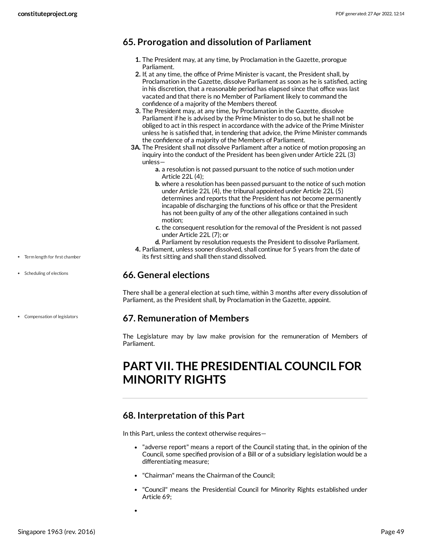# **65. Prorogation and dissolution of Parliament**

- **1.** The President may, at any time, by Proclamation in the Gazette, prorogue Parliament.
- **2.** If, at any time, the office of Prime Minister is vacant, the President shall, by Proclamation in the Gazette, dissolve Parliament as soon as he is satisfied, acting in his discretion, that a reasonable period has elapsed since that office was last vacated and that there is no Member of Parliament likely to command the confidence of a majority of the Members thereof.
- **3.** The President may, at any time, by Proclamation in the Gazette, dissolve Parliament if he is advised by the Prime Minister to do so, but he shall not be obliged to act in this respect in accordance with the advice of the Prime Minister unless he is satisfied that, in tendering that advice, the Prime Minister commands the confidence of a majority of the Members of Parliament.
- **3A.** The President shall not dissolve Parliament after a notice of motion proposing an inquiry into the conduct of the President has been given under Article 22L (3) unless
	- **a.** a resolution is not passed pursuant to the notice of such motion under Article 22L (4);
	- **b.** where a resolution has been passed pursuant to the notice of such motion under Article 22L (4), the tribunal appointed under Article 22L (5) determines and reports that the President has not become permanently incapable of discharging the functions of his office or that the President has not been guilty of any of the other allegations contained in such motion;
	- **c.** the consequent resolution for the removal of the President is not passed under Article 22L (7); or
	- **d.** Parliament by resolution requests the President to dissolve Parliament.
- **4.** Parliament, unless sooner dissolved, shall continue for 5 years from the date of its first sitting and shall then stand dissolved.

#### **66. General elections**

There shall be a general election at such time, within 3 months after every dissolution of Parliament, as the President shall, by Proclamation in the Gazette, appoint.

#### **67. Remuneration of Members**

The Legislature may by law make provision for the remuneration of Members of Parliament.

# **PART VII. THE PRESIDENTIAL COUNCIL FOR MINORITY RIGHTS**

# **68. Interpretation of this Part**

In this Part, unless the context otherwise requires—

- "adverse report" means a report of the Council stating that, in the opinion of the Council, some specified provision of a Bill or of a subsidiary legislation would be a differentiating measure;
- "Chairman" means the Chairman of the Council;
- "Council" means the Presidential Council for Minority Rights established under Article 69;

Term length for first chamber

• Scheduling of elections

Compensation of legislators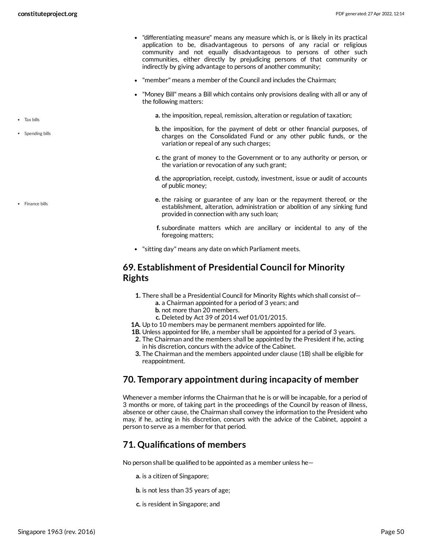Tax bills

• Spending bills

• Finance bills

- "differentiating measure" means any measure which is, or is likely in its practical application to be, disadvantageous to persons of any racial or religious community and not equally disadvantageous to persons of other such communities, either directly by prejudicing persons of that community or indirectly by giving advantage to persons of another community;
- "member" means a member of the Council and includes the Chairman;
- "Money Bill" means a Bill which contains only provisions dealing with all or any of the following matters:
	- **a.** the imposition, repeal, remission, alteration or regulation of taxation;
	- **b.** the imposition, for the payment of debt or other financial purposes, of charges on the Consolidated Fund or any other public funds, or the variation or repeal of any such charges;
	- **c.** the grant of money to the Government or to any authority or person, or the variation or revocation of any such grant;
	- **d.** the appropriation, receipt, custody, investment, issue or audit of accounts of public money;
	- **e.** the raising or guarantee of any loan or the repayment thereof, or the establishment, alteration, administration or abolition of any sinking fund provided in connection with any such loan;
	- **f.** subordinate matters which are ancillary or incidental to any of the foregoing matters;
- "sitting day" means any date on which Parliament meets.

#### **69. Establishment of Presidential Council for Minority Rights**

- **1.** There shall be a Presidential Council for Minority Rights which shall consist of **a.** a Chairman appointed for a period of 3 years; and
	- **b.** not more than 20 members.
	- **c.** Deleted by Act 39 of 2014 wef 01/01/2015.
- **1A.** Up to 10 members may be permanent members appointed for life.
- **1B.** Unless appointed for life, a member shall be appointed for a period of 3 years.
	- **2.** The Chairman and the members shall be appointed by the President if he, acting in his discretion, concurs with the advice of the Cabinet.
	- **3.** The Chairman and the members appointed under clause (1B) shall be eligible for reappointment.

#### **70. Temporary appointment during incapacity of member**

Whenever a member informs the Chairman that he is or will be incapable, for a period of 3 months or more, of taking part in the proceedings of the Council by reason of illness, absence or other cause, the Chairman shall convey the information to the President who may, if he, acting in his discretion, concurs with the advice of the Cabinet, appoint a person to serve as a member for that period.

#### **71. Qualifications of members**

No person shall be qualified to be appointed as a member unless he—

- **a.** is a citizen of Singapore;
- **b.** is not less than 35 years of age;
- **c.** is resident in Singapore; and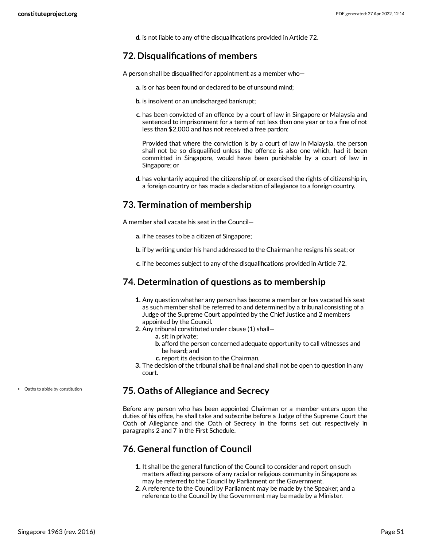**d.** is not liable to any of the disqualifications provided in Article 72.

#### **72. Disqualifications of members**

A person shall be disqualified for appointment as a member who—

- **a.** is or has been found or declared to be of unsound mind;
- **b.** is insolvent or an undischarged bankrupt;
- **c.** has been convicted of an offence by a court of law in Singapore or Malaysia and sentenced to imprisonment for a term of not less than one year or to a fine of not less than \$2,000 and has not received a free pardon:

Provided that where the conviction is by a court of law in Malaysia, the person shall not be so disqualified unless the offence is also one which, had it been committed in Singapore, would have been punishable by a court of law in Singapore; or

**d.** has voluntarily acquired the citizenship of, or exercised the rights of citizenship in, a foreign country or has made a declaration of allegiance to a foreign country.

#### **73. Termination of membership**

A member shall vacate his seat in the Council—

- **a.** if he ceases to be a citizen of Singapore;
- **b.** if by writing under his hand addressed to the Chairman he resigns his seat; or
- **c.** if he becomes subject to any of the disqualifications provided in Article 72.

#### **74. Determination of questions as to membership**

- **1.** Any question whether any person has become a member or has vacated his seat as such member shall be referred to and determined by a tribunal consisting of a Judge of the Supreme Court appointed by the Chief Justice and 2 members appointed by the Council.
- **2.** Any tribunal constituted under clause (1) shall
	- **a.** sit in private;
		- **b.** afford the person concerned adequate opportunity to call witnesses and be heard; and
	- **c.** report its decision to the Chairman.
- **3.** The decision of the tribunal shall be final and shall not be open to question in any court.

#### Oaths to abide by constitution

#### **75. Oaths of Allegiance and Secrecy**

Before any person who has been appointed Chairman or a member enters upon the duties of his office, he shall take and subscribe before a Judge of the Supreme Court the Oath of Allegiance and the Oath of Secrecy in the forms set out respectively in paragraphs 2 and 7 in the First Schedule.

#### **76. General function of Council**

- **1.** It shall be the general function of the Council to consider and report on such matters affecting persons of any racial or religious community in Singapore as may be referred to the Council by Parliament or the Government.
- **2.** A reference to the Council by Parliament may be made by the Speaker, and a reference to the Council by the Government may be made by a Minister.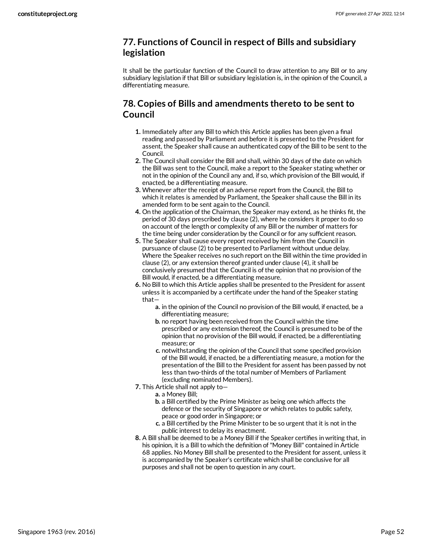#### **77. Functions of Council in respect of Bills and subsidiary legislation**

It shall be the particular function of the Council to draw attention to any Bill or to any subsidiary legislation if that Bill or subsidiary legislation is, in the opinion of the Council, a differentiating measure.

#### **78. Copies of Bills and amendments thereto to be sent to Council**

- **1.** Immediately after any Bill to which this Article applies has been given a final reading and passed by Parliament and before it is presented to the President for assent, the Speaker shall cause an authenticated copy of the Bill to be sent to the Council.
- **2.** The Council shall consider the Bill and shall, within 30 days of the date on which the Bill was sent to the Council, make a report to the Speaker stating whether or not in the opinion of the Council any and, if so, which provision of the Bill would, if enacted, be a differentiating measure.
- **3.** Whenever after the receipt of an adverse report from the Council, the Bill to which it relates is amended by Parliament, the Speaker shall cause the Bill in its amended form to be sent again to the Council.
- **4.** On the application of the Chairman, the Speaker may extend, as he thinks fit, the period of 30 days prescribed by clause (2), where he considers it proper to do so on account of the length or complexity of any Bill or the number of matters for the time being under consideration by the Council or for any sufficient reason.
- **5.** The Speaker shall cause every report received by him from the Council in pursuance of clause (2) to be presented to Parliament without undue delay. Where the Speaker receives no such report on the Bill within the time provided in clause (2), or any extension thereof granted under clause (4), it shall be conclusively presumed that the Council is of the opinion that no provision of the Bill would, if enacted, be a differentiating measure.
- **6.** No Bill to which this Article applies shall be presented to the President for assent unless it is accompanied by a certificate under the hand of the Speaker stating that
	- **a.** in the opinion of the Council no provision of the Bill would, if enacted, be a differentiating measure;
	- **b.** no report having been received from the Council within the time prescribed or any extension thereof, the Council is presumed to be of the opinion that no provision of the Bill would, if enacted, be a differentiating measure; or
	- **c.** notwithstanding the opinion of the Council that some specified provision of the Bill would, if enacted, be a differentiating measure, a motion for the presentation of the Bill to the President for assent has been passed by not less than two-thirds of the total number of Members of Parliament (excluding nominated Members).
- **7.** This Article shall not apply to
	- **a.** a Money Bill;
		- **b.** a Bill certified by the Prime Minister as being one which affects the defence or the security of Singapore or which relates to public safety, peace or good order in Singapore; or
		- **c.** a Bill certified by the Prime Minister to be so urgent that it is not in the public interest to delay its enactment.
- **8.** A Bill shall be deemed to be a Money Bill if the Speaker certifies in writing that, in his opinion, it is a Bill to which the definition of"Money Bill" contained in Article 68 applies. No Money Bill shall be presented to the President for assent, unless it is accompanied by the Speaker's certificate which shall be conclusive for all purposes and shall not be open to question in any court.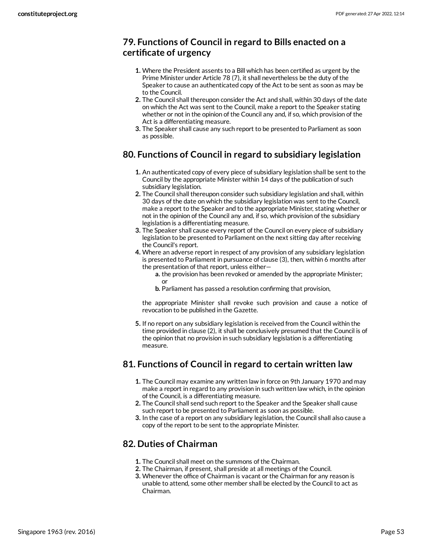#### **79. Functions of Council in regard to Bills enacted on a certificate of urgency**

- **1.** Where the President assents to a Bill which has been certified as urgent by the Prime Minister under Article 78 (7), it shall nevertheless be the duty of the Speaker to cause an authenticated copy of the Act to be sent as soon as may be to the Council.
- **2.** The Council shall thereupon consider the Act and shall, within 30 days of the date on which the Act was sent to the Council, make a report to the Speaker stating whether or not in the opinion of the Council any and, if so, which provision of the Act is a differentiating measure.
- **3.** The Speaker shall cause any such report to be presented to Parliament as soon as possible.

# **80. Functions of Council in regard to subsidiary legislation**

- **1.** An authenticated copy of every piece of subsidiary legislation shall be sent to the Council by the appropriate Minister within 14 days of the publication of such subsidiary legislation.
- **2.** The Council shall thereupon consider such subsidiary legislation and shall, within 30 days of the date on which the subsidiary legislation was sent to the Council, make a report to the Speaker and to the appropriate Minister, stating whether or not in the opinion of the Council any and, if so, which provision of the subsidiary legislation is a differentiating measure.
- **3.** The Speaker shall cause every report of the Council on every piece of subsidiary legislation to be presented to Parliament on the next sitting day after receiving the Council's report.
- **4.** Where an adverse report in respect of any provision of any subsidiary legislation is presented to Parliament in pursuance of clause (3), then, within 6 months after the presentation of that report, unless either
	- **a.** the provision has been revoked or amended by the appropriate Minister; or
	- **b.** Parliament has passed a resolution confirming that provision,

the appropriate Minister shall revoke such provision and cause a notice of revocation to be published in the Gazette.

**5.** If no report on any subsidiary legislation is received from the Council within the time provided in clause (2), it shall be conclusively presumed that the Council is of the opinion that no provision in such subsidiary legislation is a differentiating measure.

# **81. Functions of Council in regard to certain written law**

- **1.** The Council may examine any written law in force on 9th January 1970 and may make a report in regard to any provision in such written law which, in the opinion of the Council, is a differentiating measure.
- **2.** The Council shall send such report to the Speaker and the Speaker shall cause such report to be presented to Parliament as soon as possible.
- **3.** In the case of a report on any subsidiary legislation, the Council shall also cause a copy of the report to be sent to the appropriate Minister.

# **82. Duties of Chairman**

- **1.** The Council shall meet on the summons of the Chairman.
- **2.** The Chairman, if present, shall preside at all meetings of the Council.
- **3.** Whenever the office of Chairman is vacant or the Chairman for any reason is unable to attend, some other member shall be elected by the Council to act as Chairman.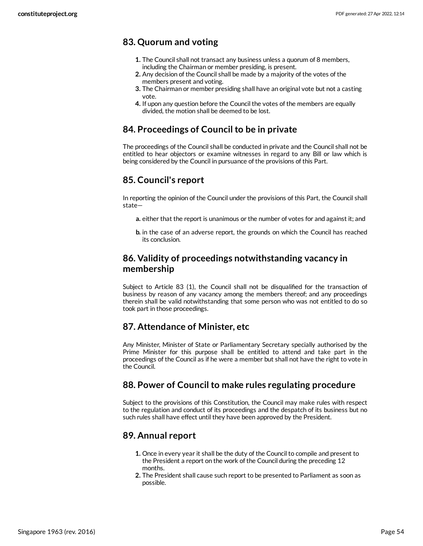#### **83. Quorum and voting**

- **1.** The Council shall not transact any business unless a quorum of 8 members, including the Chairman or member presiding, is present.
- **2.** Any decision of the Council shall be made by a majority of the votes of the members present and voting.
- **3.** The Chairman or member presiding shall have an original vote but not a casting vote.
- **4.** If upon any question before the Council the votes of the members are equally divided, the motion shall be deemed to be lost.

#### **84. Proceedings of Council to be in private**

The proceedings of the Council shall be conducted in private and the Council shall not be entitled to hear objectors or examine witnesses in regard to any Bill or law which is being considered by the Council in pursuance of the provisions of this Part.

#### **85. Council's report**

In reporting the opinion of the Council under the provisions of this Part, the Council shall state—

- **a.** either that the report is unanimous or the number of votes for and against it; and
- **b.** in the case of an adverse report, the grounds on which the Council has reached its conclusion.

#### **86. Validity of proceedings notwithstanding vacancy in membership**

Subject to Article 83 (1), the Council shall not be disqualified for the transaction of business by reason of any vacancy among the members thereof; and any proceedings therein shall be valid notwithstanding that some person who was not entitled to do so took part in those proceedings.

#### **87. Attendance of Minister, etc**

Any Minister, Minister of State or Parliamentary Secretary specially authorised by the Prime Minister for this purpose shall be entitled to attend and take part in the proceedings of the Council as if he were a member but shall not have the right to vote in the Council.

#### **88. Power of Council to make rules regulating procedure**

Subject to the provisions of this Constitution, the Council may make rules with respect to the regulation and conduct of its proceedings and the despatch of its business but no such rules shall have effect until they have been approved by the President.

#### **89. Annual report**

- **1.** Once in every year it shall be the duty of the Council to compile and present to the President a report on the work of the Council during the preceding 12 months.
- **2.** The President shall cause such report to be presented to Parliament as soon as possible.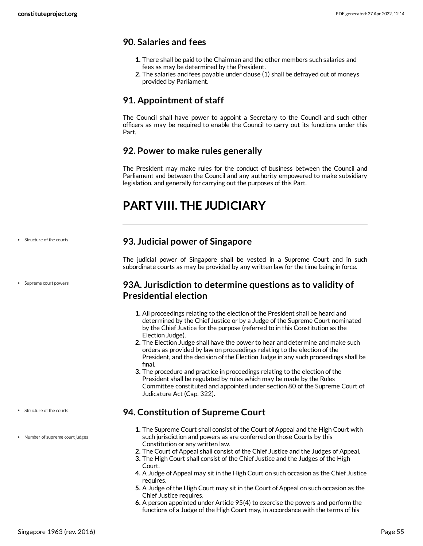# **90. Salaries and fees**

- **1.** There shall be paid to the Chairman and the other members such salaries and fees as may be determined by the President.
- **2.** The salaries and fees payable under clause (1) shall be defrayed out of moneys provided by Parliament.

# **91. Appointment of staff**

The Council shall have power to appoint a Secretary to the Council and such other officers as may be required to enable the Council to carry out its functions under this Part.

# **92. Power to make rules generally**

The President may make rules for the conduct of business between the Council and Parliament and between the Council and any authority empowered to make subsidiary legislation, and generally for carrying out the purposes of this Part.

# **PART VIII. THE JUDICIARY**

Structure of the courts

#### **93. Judicial power of Singapore**

The judicial power of Singapore shall be vested in a Supreme Court and in such subordinate courts as may be provided by any written law for the time being in force.

#### **93A. Jurisdiction to determine questions as to validity of Presidential election**

- **1.** All proceedings relating to the election of the President shall be heard and determined by the Chief Justice or by a Judge of the Supreme Court nominated by the Chief Justice for the purpose (referred to in this Constitution as the Election Judge).
- **2.** The Election Judge shall have the power to hear and determine and make such orders as provided by law on proceedings relating to the election of the President, and the decision of the Election Judge in any such proceedings shall be final.
- **3.** The procedure and practice in proceedings relating to the election of the President shall be regulated by rules which may be made by the Rules Committee constituted and appointed under section 80 of the Supreme Court of Judicature Act (Cap. 322).

# **94. Constitution of Supreme Court**

- **1.** The Supreme Court shall consist of the Court of Appeal and the High Court with such jurisdiction and powers as are conferred on those Courts by this Constitution or any written law.
- **2.** The Court of Appeal shall consist of the Chief Justice and the Judges of Appeal.
- **3.** The High Court shall consist of the Chief Justice and the Judges of the High Court.
- **4.** A Judge of Appeal may sit in the High Court on such occasion as the Chief Justice requires.
- **5.** A Judge of the High Court may sit in the Court of Appeal on such occasion as the Chief Justice requires.
- **6.** A person appointed under Article 95(4) to exercise the powers and perform the functions of a Judge of the High Court may, in accordance with the terms of his

Supreme court powers

Structure of the courts

• Number of supreme court judges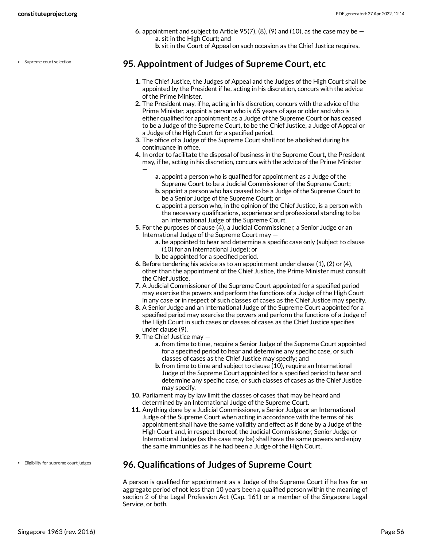**6.** appointment and subject to Article 95(7), (8), (9) and (10), as the case may be  $$ **a.** sit in the High Court; and **b.** sit in the Court of Appeal on such occasion as the Chief Justice requires.

• Supreme court selection

#### **95. Appointment of Judges of Supreme Court, etc**

- **1.** The Chief Justice, the Judges of Appeal and the Judges of the High Court shall be appointed by the President if he, acting in his discretion, concurs with the advice of the Prime Minister.
- **2.** The President may, if he, acting in his discretion, concurs with the advice of the Prime Minister, appoint a person who is 65 years of age or older and who is either qualified for appointment as a Judge of the Supreme Court or has ceased to be a Judge of the Supreme Court, to be the Chief Justice, a Judge of Appeal or a Judge of the High Court for a specified period.
- **3.** The office of a Judge of the Supreme Court shall not be abolished during his continuance in office.
- **4.** In order to facilitate the disposal of business in the Supreme Court, the President may, if he, acting in his discretion, concurs with the advice of the Prime Minister
	- **a.** appoint a person who is qualified for appointment as a Judge of the Supreme Court to be a Judicial Commissioner of the Supreme Court;
	- **b.** appoint a person who has ceased to be a Judge of the Supreme Court to be a Senior Judge of the Supreme Court; or
	- **c.** appoint a person who, in the opinion of the Chief Justice, is a person with the necessary qualifications, experience and professional standing to be an International Judge of the Supreme Court.
- **5.** For the purposes of clause (4), a Judicial Commissioner, a Senior Judge or an International Judge of the Supreme Court may
	- **a.** be appointed to hear and determine a specific case only (subject to clause (10) for an International Judge); or
	- **b.** be appointed for a specified period.
- **6.** Before tendering his advice as to an appointment under clause (1), (2) or (4), other than the appointment of the Chief Justice, the Prime Minister must consult the Chief Justice.
- **7.** A Judicial Commissioner of the Supreme Court appointed for a specified period may exercise the powers and perform the functions of a Judge of the High Court in any case or in respect of such classes of cases as the Chief Justice may specify.
- **8.** A Senior Judge and an International Judge of the Supreme Court appointed for a specified period may exercise the powers and perform the functions of a Judge of the High Court in such cases or classes of cases as the Chief Justice specifies under clause (9).
- **9.** The Chief Justice may
	- **a.** from time to time, require a Senior Judge of the Supreme Court appointed for a specified period to hear and determine any specific case, or such classes of cases as the Chief Justice may specify; and
	- **b.** from time to time and subject to clause (10), require an International Judge of the Supreme Court appointed for a specified period to hear and determine any specific case, or such classes of cases as the Chief Justice may specify.
- **10.** Parliament may by law limit the classes of cases that may be heard and determined by an International Judge of the Supreme Court.
- **11.** Anything done by a Judicial Commissioner, a Senior Judge or an International Judge of the Supreme Court when acting in accordance with the terms of his appointment shall have the same validity and effect as if done by a Judge of the High Court and, in respect thereof, the Judicial Commissioner, Senior Judge or International Judge (as the case may be) shall have the same powers and enjoy the same immunities as if he had been a Judge of the High Court.

# **96. Qualifications of Judges of Supreme Court**

A person is qualified for appointment as a Judge of the Supreme Court if he has for an aggregate period of not less than 10 years been a qualified person within the meaning of section 2 of the Legal Profession Act (Cap. 161) or a member of the Singapore Legal Service, or both.

• Eligibility for supreme court judges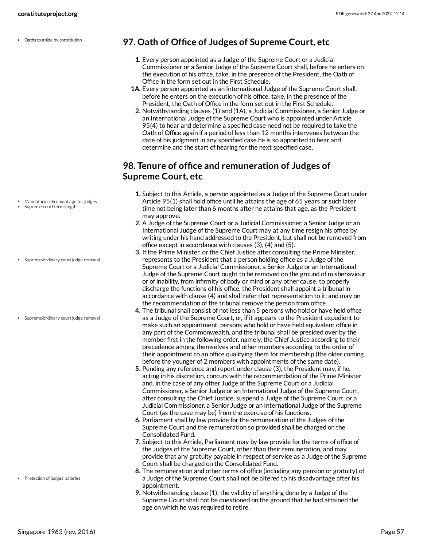Oaths to abide by constitution

• Supreme/ordinary court judge removal

Mandatory retirement age for judges Supreme court term length

• Supreme/ordinary court judge removal

• Protection of judges' salaries

#### **97. Oath of Office of Judges of Supreme Court, etc**

- **1.** Every person appointed as a Judge of the Supreme Court or a Judicial Commissioner or a Senior Judge of the Supreme Court shall, before he enters on the execution of his office, take, in the presence of the President, the Oath of Office in the form set out in the First Schedule.
- **1A.** Every person appointed as an International Judge of the Supreme Court shall, before he enters on the execution of his office, take, in the presence of the President, the Oath of Office in the form set out in the First Schedule.
- **2.** Notwithstanding clauses (1) and (1A), a Judicial Commissioner, a Senior Judge or an International Judge of the Supreme Court who is appointed under Article 95(4) to hear and determine a specified case need not be required to take the Oath of Office again if a period of less than 12 months intervenes between the date of his judgment in any specified case he is so appointed to hear and determine and the start of hearing for the next specified case.

# **98. Tenure of office and remuneration of Judges of Supreme Court, etc**

- **1.** Subject to this Article, a person appointed as a Judge of the Supreme Court under Article 95(1) shall hold office until he attains the age of 65 years or such later time not being later than 6 months after he attains that age, as the President may approve.
- **2.** A Judge of the Supreme Court or a Judicial Commissioner, a Senior Judge or an International Judge of the Supreme Court may at any time resign his office by writing under his hand addressed to the President, but shall not be removed from office except in accordance with clauses (3), (4) and (5).
- **3.** If the Prime Minister, or the Chief Justice after consulting the Prime Minister, represents to the President that a person holding office as a Judge of the Supreme Court or a Judicial Commissioner, a Senior Judge or an International Judge of the Supreme Court ought to be removed on the ground of misbehaviour or of inability, from infirmity of body or mind or any other cause, to properly discharge the functions of his office, the President shall appoint a tribunal in accordance with clause (4) and shall refer that representation to it; and may on the recommendation of the tribunal remove the person from office.
- **4.** The tribunal shall consist of not less than 5 persons who hold or have held office as a Judge of the Supreme Court, or, if it appears to the President expedient to make such an appointment, persons who hold or have held equivalent office in any part of the Commonwealth, and the tribunal shall be presided over by the member first in the following order, namely, the Chief Justice according to their precedence among themselves and other members according to the order of their appointment to an office qualifying them for membership (the older coming before the younger of 2 members with appointments of the same date).
- **5.** Pending any reference and report under clause (3), the President may, if he, acting in his discretion, concurs with the recommendation of the Prime Minister and, in the case of any other Judge of the Supreme Court or a Judicial Commissioner, a Senior Judge or an International Judge of the Supreme Court, after consulting the Chief Justice, suspend a Judge of the Supreme Court, or a Judicial Commissioner, a Senior Judge or an International Judge of the Supreme Court (as the case may be) from the exercise of his functions.
- **6.** Parliament shall by law provide for the remuneration of the Judges of the Supreme Court and the remuneration so provided shall be charged on the Consolidated Fund.
- **7.** Subject to this Article, Parliament may by law provide for the terms of office of the Judges of the Supreme Court, other than their remuneration, and may provide that any gratuity payable in respect of service as a Judge of the Supreme Court shall be charged on the Consolidated Fund.
- **8.** The remuneration and other terms of office (including any pension or gratuity) of a Judge of the Supreme Court shall not be altered to his disadvantage after his appointment.
- **9.** Notwithstanding clause (1), the validity of anything done by a Judge of the Supreme Court shall not be questioned on the ground that he had attained the age on which he was required to retire.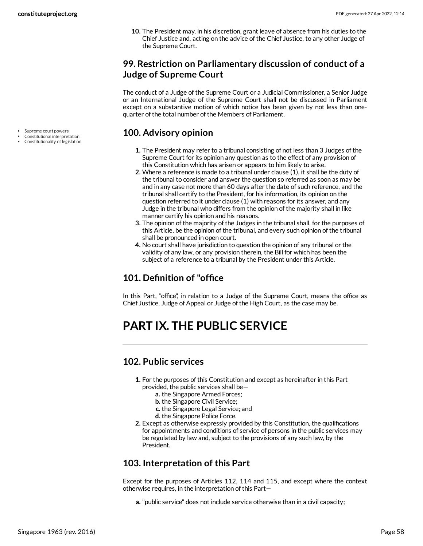- Supreme court powers
- Constitutional interpretation
- Constitutionality of legislation

**10.** The President may, in his discretion, grant leave of absence from his duties to the Chief Justice and, acting on the advice of the Chief Justice, to any other Judge of the Supreme Court.

#### **99. Restriction on Parliamentary discussion of conduct of a Judge of Supreme Court**

The conduct of a Judge of the Supreme Court or a Judicial Commissioner, a Senior Judge or an International Judge of the Supreme Court shall not be discussed in Parliament except on a substantive motion of which notice has been given by not less than onequarter of the total number of the Members of Parliament.

#### **100. Advisory opinion**

- **1.** The President may refer to a tribunal consisting of not less than 3 Judges of the Supreme Court for its opinion any question as to the effect of any provision of this Constitution which has arisen or appears to him likely to arise.
- **2.** Where a reference is made to a tribunal under clause (1), it shall be the duty of the tribunal to consider and answer the question so referred as soon as may be and in any case not more than 60 days after the date of such reference, and the tribunal shall certify to the President, for his information, its opinion on the question referred to it under clause (1) with reasons for its answer, and any Judge in the tribunal who differs from the opinion of the majority shall in like manner certify his opinion and his reasons.
- **3.** The opinion of the majority of the Judges in the tribunal shall, for the purposes of this Article, be the opinion of the tribunal, and every such opinion of the tribunal shall be pronounced in open court.
- **4.** No court shall have jurisdiction to question the opinion of any tribunal or the validity of any law, or any provision therein, the Bill for which has been the subject of a reference to a tribunal by the President under this Article.

# **101. Definition of "office**

In this Part, "office", in relation to a Judge of the Supreme Court, means the office as Chief Justice, Judge of Appeal or Judge of the High Court, as the case may be.

# **PART IX. THE PUBLIC SERVICE**

# **102. Public services**

- **1.** For the purposes of this Constitution and except as hereinafter in this Part provided, the public services shall be
	- **a.** the Singapore Armed Forces;
	- **b.** the Singapore Civil Service;
	- **c.** the Singapore Legal Service; and
	- **d.** the Singapore Police Force.
- **2.** Except as otherwise expressly provided by this Constitution, the qualifications for appointments and conditions of service of persons in the public services may be regulated by law and, subject to the provisions of any such law, by the President.

# **103. Interpretation of this Part**

Except for the purposes of Articles 112, 114 and 115, and except where the context otherwise requires, in the interpretation of this Part—

**a.** "public service" does not include service otherwise than in a civil capacity;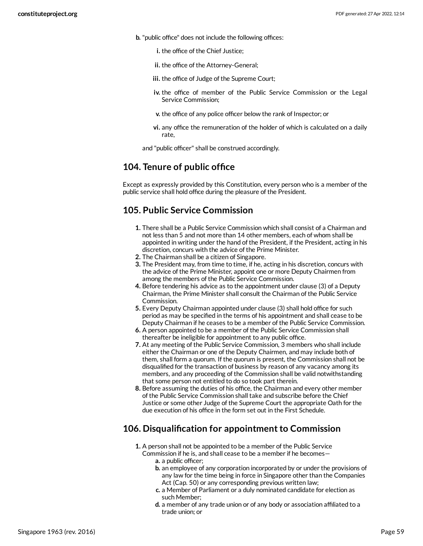**b.** "public office" does not include the following offices:

- **i.** the office of the Chief Justice;
- **ii.** the office of the Attorney-General;
- **iii.** the office of Judge of the Supreme Court;
- **iv.** the office of member of the Public Service Commission or the Legal Service Commission;
- **v.** the office of any police officer below the rank of Inspector; or
- **vi.** any office the remuneration of the holder of which is calculated on a daily rate,

and "public officer" shall be construed accordingly.

# **104. Tenure of public office**

Except as expressly provided by this Constitution, every person who is a member of the public service shall hold office during the pleasure of the President.

# **105. Public Service Commission**

- **1.** There shall be a Public Service Commission which shall consist of a Chairman and not less than 5 and not more than 14 other members, each of whom shall be appointed in writing under the hand of the President, if the President, acting in his discretion, concurs with the advice of the Prime Minister.
- **2.** The Chairman shall be a citizen of Singapore.
- **3.** The President may, from time to time, if he, acting in his discretion, concurs with the advice of the Prime Minister, appoint one or more Deputy Chairmen from among the members of the Public Service Commission.
- **4.** Before tendering his advice as to the appointment under clause (3) of a Deputy Chairman, the Prime Minister shall consult the Chairman of the Public Service Commission.
- **5.** Every Deputy Chairman appointed under clause (3) shall hold office for such period as may be specified in the terms of his appointment and shall cease to be Deputy Chairman if he ceases to be a member of the Public Service Commission.
- **6.** A person appointed to be a member of the Public Service Commission shall thereafter be ineligible for appointment to any public office.
- **7.** At any meeting of the Public Service Commission, 3 members who shall include either the Chairman or one of the Deputy Chairmen, and may include both of them, shall form a quorum. If the quorum is present, the Commission shall not be disqualified for the transaction of business by reason of any vacancy among its members, and any proceeding of the Commission shall be valid notwithstanding that some person not entitled to do so took part therein.
- **8.** Before assuming the duties of his office, the Chairman and every other member of the Public Service Commission shall take and subscribe before the Chief Justice or some other Judge of the Supreme Court the appropriate Oath for the due execution of his office in the form set out in the First Schedule.

# **106. Disqualification for appointment to Commission**

- **1.** A person shall not be appointed to be a member of the Public Service Commission if he is, and shall cease to be a member if he becomes **a.** a public officer;
	- **b.** an employee of any corporation incorporated by or under the provisions of any law for the time being in force in Singapore other than the Companies Act (Cap. 50) or any corresponding previous written law;
	- **c.** a Member of Parliament or a duly nominated candidate for election as such Member;
	- **d.** a member of any trade union or of any body or association affiliated to a trade union; or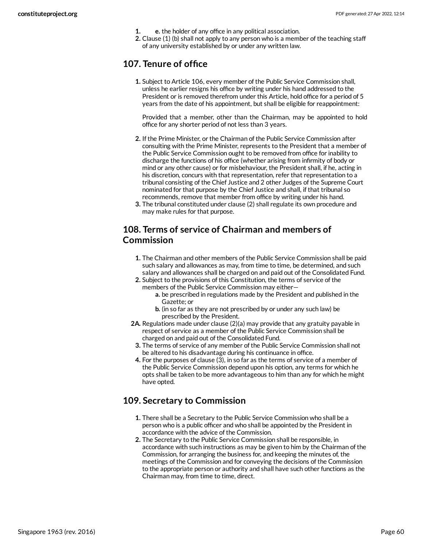- **1. e.** the holder of any office in any political association.
- **2.** Clause (1) (b) shall not apply to any person who is a member of the teaching staff of any university established by or under any written law.

# **107. Tenure of office**

**1.** Subject to Article 106, every member of the Public Service Commission shall, unless he earlier resigns his office by writing under his hand addressed to the President or is removed therefrom under this Article, hold office for a period of 5 years from the date of his appointment, but shall be eligible for reappointment:

Provided that a member, other than the Chairman, may be appointed to hold office for any shorter period of not less than 3 years.

- **2.** If the Prime Minister, or the Chairman of the Public Service Commission after consulting with the Prime Minister, represents to the President that a member of the Public Service Commission ought to be removed from office for inability to discharge the functions of his office (whether arising from infirmity of body or mind or any other cause) or for misbehaviour, the President shall, if he, acting in his discretion, concurs with that representation, refer that representation to a tribunal consisting of the Chief Justice and 2 other Judges of the Supreme Court nominated for that purpose by the Chief Justice and shall, if that tribunal so recommends, remove that member from office by writing under his hand.
- **3.** The tribunal constituted under clause (2) shall regulate its own procedure and may make rules for that purpose.

# **108. Terms of service of Chairman and members of Commission**

- **1.** The Chairman and other members of the Public Service Commission shall be paid such salary and allowances as may, from time to time, be determined, and such salary and allowances shall be charged on and paid out of the Consolidated Fund.
- **2.** Subject to the provisions of this Constitution, the terms of service of the members of the Public Service Commission may either
	- **a.** be prescribed in regulations made by the President and published in the Gazette; or
	- **b.** (in so far as they are not prescribed by or under any such law) be prescribed by the President.
- **2A.** Regulations made under clause (2)(a) may provide that any gratuity payable in respect of service as a member of the Public Service Commission shall be charged on and paid out of the Consolidated Fund.
- **3.** The terms of service of any member of the Public Service Commission shall not be altered to his disadvantage during his continuance in office.
- **4.** For the purposes of clause (3), in so far as the terms of service of a member of the Public Service Commission depend upon his option, any terms for which he opts shall be taken to be more advantageous to him than any for which he might have opted.

# **109. Secretary to Commission**

- **1.** There shall be a Secretary to the Public Service Commission who shall be a person who is a public officer and who shall be appointed by the President in accordance with the advice of the Commission.
- **2.** The Secretary to the Public Service Commission shall be responsible, in accordance with such instructions as may be given to him by the Chairman of the Commission, for arranging the business for, and keeping the minutes of, the meetings of the Commission and for conveying the decisions of the Commission to the appropriate person or authority and shall have such other functions as the Chairman may, from time to time, direct.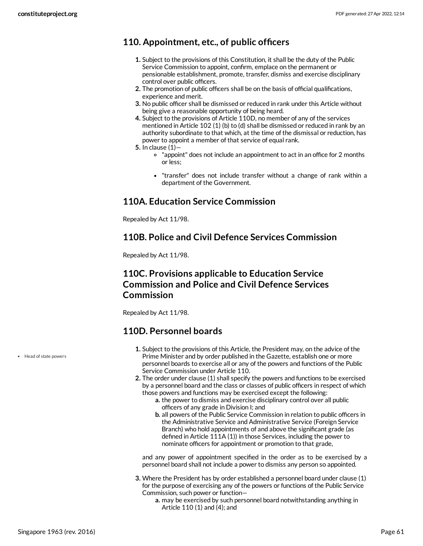#### **110. Appointment, etc., of public officers**

- **1.** Subject to the provisions of this Constitution, it shall be the duty of the Public Service Commission to appoint, confirm, emplace on the permanent or pensionable establishment, promote, transfer, dismiss and exercise disciplinary control over public officers.
- **2.** The promotion of public officers shall be on the basis of official qualifications, experience and merit.
- **3.** No public officer shall be dismissed or reduced in rank under this Article without being give a reasonable opportunity of being heard.
- **4.** Subject to the provisions of Article 110D, no member of any of the services mentioned in Article 102 (1) (b) to (d) shall be dismissed or reduced in rank by an authority subordinate to that which, at the time of the dismissal or reduction, has power to appoint a member of that service of equal rank.
- **5.** In clause (1)—
	- "appoint" does not include an appointment to act in an office for 2 months or less;
	- "transfer" does not include transfer without a change of rank within a department of the Government.

#### **110A. Education Service Commission**

Repealed by Act 11/98.

#### **110B. Police and Civil Defence Services Commission**

Repealed by Act 11/98.

#### **110C. Provisions applicable to Education Service Commission and Police and Civil Defence Services Commission**

Repealed by Act 11/98.

#### **110D. Personnel boards**

- **1.** Subject to the provisions of this Article, the President may, on the advice of the Prime Minister and by order published in the Gazette, establish one or more personnel boards to exercise all or any of the powers and functions of the Public Service Commission under Article 110.
- **2.** The order under clause (1) shall specify the powers and functions to be exercised by a personnel board and the class or classes of public officers in respect of which those powers and functions may be exercised except the following:
	- **a.** the power to dismiss and exercise disciplinary control over all public officers of any grade in Division I; and
	- **b.** all powers of the Public Service Commission in relation to public officers in the Administrative Service and Administrative Service (Foreign Service Branch) who hold appointments of and above the significant grade (as defined in Article 111A (1)) in those Services, including the power to nominate officers for appointment or promotion to that grade,

and any power of appointment specified in the order as to be exercised by a personnel board shall not include a power to dismiss any person so appointed.

- **3.** Where the President has by order established a personnel board under clause (1) for the purpose of exercising any of the powers or functions of the Public Service Commission, such power or function
	- **a.** may be exercised by such personnel board notwithstanding anything in Article 110 (1) and (4); and

Head of state powers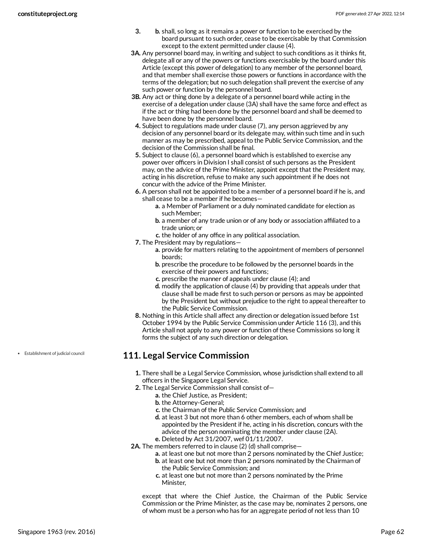- **3. b.** shall, so long as it remains a power or function to be exercised by the board pursuant to such order, cease to be exercisable by that Commission except to the extent permitted under clause (4).
- **3A.** Any personnel board may, in writing and subject to such conditions as it thinks fit, delegate all or any of the powers or functions exercisable by the board under this Article (except this power of delegation) to any member of the personnel board, and that member shall exercise those powers or functions in accordance with the terms of the delegation; but no such delegation shall prevent the exercise of any such power or function by the personnel board.
- **3B.** Any act or thing done by a delegate of a personnel board while acting in the exercise of a delegation under clause (3A) shall have the same force and effect as if the act or thing had been done by the personnel board and shall be deemed to have been done by the personnel board.
- **4.** Subject to regulations made under clause (7), any person aggrieved by any decision of any personnel board or its delegate may, within such time and in such manner as may be prescribed, appeal to the Public Service Commission, and the decision of the Commission shall be final.
- **5.** Subject to clause (6), a personnel board which is established to exercise any power over officers in Division I shall consist of such persons as the President may, on the advice of the Prime Minister, appoint except that the President may, acting in his discretion, refuse to make any such appointment if he does not concur with the advice of the Prime Minister.
- **6.** A person shall not be appointed to be a member of a personnel board if he is, and shall cease to be a member if he becomes
	- **a.** a Member of Parliament or a duly nominated candidate for election as such Member;
	- **b.** a member of any trade union or of any body or association affiliated to a trade union; or
	- **c.** the holder of any office in any political association.
- **7.** The President may by regulations
	- **a.** provide for matters relating to the appointment of members of personnel boards;
	- **b.** prescribe the procedure to be followed by the personnel boards in the exercise of their powers and functions;
	- **c.** prescribe the manner of appeals under clause (4); and
	- **d.** modify the application of clause (4) by providing that appeals under that clause shall be made first to such person or persons as may be appointed by the President but without prejudice to the right to appeal thereafter to the Public Service Commission.
- **8.** Nothing in this Article shall affect any direction or delegation issued before 1st October 1994 by the Public Service Commission under Article 116 (3), and this Article shall not apply to any power or function of these Commissions so long it forms the subject of any such direction or delegation.

# **111. Legal Service Commission**

- **1.** There shall be a Legal Service Commission, whose jurisdiction shall extend to all officers in the Singapore Legal Service.
- **2.** The Legal Service Commission shall consist of
	- **a.** the Chief Justice, as President;
	- **b.** the Attorney-General;
	- **c.** the Chairman of the Public Service Commission; and
	- **d.** at least 3 but not more than 6 other members, each of whom shall be appointed by the President if he, acting in his discretion, concurs with the advice of the person nominating the member under clause (2A).
	- **e.** Deleted by Act 31/2007, wef 01/11/2007.
- **2A.** The members referred to in clause (2) (d) shall comprise
	- **a.** at least one but not more than 2 persons nominated by the Chief Justice; **b.** at least one but not more than 2 persons nominated by the Chairman of
	- the Public Service Commission; and
	- **c.** at least one but not more than 2 persons nominated by the Prime Minister,

except that where the Chief Justice, the Chairman of the Public Service Commission or the Prime Minister, as the case may be, nominates 2 persons, one of whom must be a person who has for an aggregate period of not less than 10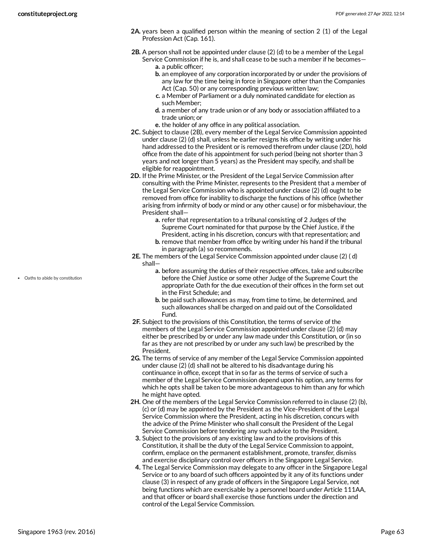- **2A.** years been a qualified person within the meaning of section 2 (1) of the Legal Profession Act (Cap. 161).
- **2B.** A person shall not be appointed under clause (2) (d) to be a member of the Legal Service Commission if he is, and shall cease to be such a member if he becomes
	- **a.** a public officer; **b.** an employee of any corporation incorporated by or under the provisions of any law for the time being in force in Singapore other than the Companies
	- Act (Cap. 50) or any corresponding previous written law; **c.** a Member of Parliament or a duly nominated candidate for election as such Member;
	- **d.** a member of any trade union or of any body or association affiliated to a trade union; or
	- **e.** the holder of any office in any political association.
- **2C.** Subject to clause (2B), every member of the Legal Service Commission appointed under clause (2) (d) shall, unless he earlier resigns his office by writing under his hand addressed to the President or is removed therefrom under clause (2D), hold office from the date of his appointment for such period (being not shorter than 3 years and not longer than 5 years) as the President may specify, and shall be eligible for reappointment.
- **2D.** If the Prime Minister, or the President of the Legal Service Commission after consulting with the Prime Minister, represents to the President that a member of the Legal Service Commission who is appointed under clause (2) (d) ought to be removed from office for inability to discharge the functions of his office (whether arising from infirmity of body or mind or any other cause) or for misbehaviour, the President shall
	- **a.** refer that representation to a tribunal consisting of 2 Judges of the Supreme Court nominated for that purpose by the Chief Justice, if the President, acting in his discretion, concurs with that representation; and
	- **b.** remove that member from office by writing under his hand if the tribunal in paragraph (a) so recommends.
- **2E.** The members of the Legal Service Commission appointed under clause (2) ( d) shall
	- **a.** before assuming the duties of their respective offices, take and subscribe before the Chief Justice or some other Judge of the Supreme Court the appropriate Oath for the due execution of their offices in the form set out in the First Schedule; and
	- **b.** be paid such allowances as may, from time to time, be determined, and such allowances shall be charged on and paid out of the Consolidated Fund.
- **2F.** Subject to the provisions of this Constitution, the terms of service of the members of the Legal Service Commission appointed under clause (2) (d) may either be prescribed by or under any law made under this Constitution, or (in so far as they are not prescribed by or under any such law) be prescribed by the President.
- **2G.** The terms of service of any member of the Legal Service Commission appointed under clause (2) (d) shall not be altered to his disadvantage during his continuance in office, except that in so far as the terms of service of such a member of the Legal Service Commission depend upon his option, any terms for which he opts shall be taken to be more advantageous to him than any for which he might have opted.
- **2H.** One of the members of the Legal Service Commission referred to in clause (2) (b), (c) or (d) may be appointed by the President as the Vice-President of the Legal Service Commission where the President, acting in his discretion, concurs with the advice of the Prime Minister who shall consult the President of the Legal Service Commission before tendering any such advice to the President.
	- **3.** Subject to the provisions of any existing law and to the provisions of this Constitution, it shall be the duty of the Legal Service Commission to appoint, confirm, emplace on the permanent establishment, promote, transfer, dismiss and exercise disciplinary control over officers in the Singapore Legal Service.
	- **4.** The Legal Service Commission may delegate to any officer in the Singapore Legal Service or to any board of such officers appointed by it any of its functions under clause (3) in respect of any grade of officers in the Singapore Legal Service, not being functions which are exercisable by a personnel board under Article 111AA, and that officer or board shall exercise those functions under the direction and control of the Legal Service Commission.

Oaths to abide by constitution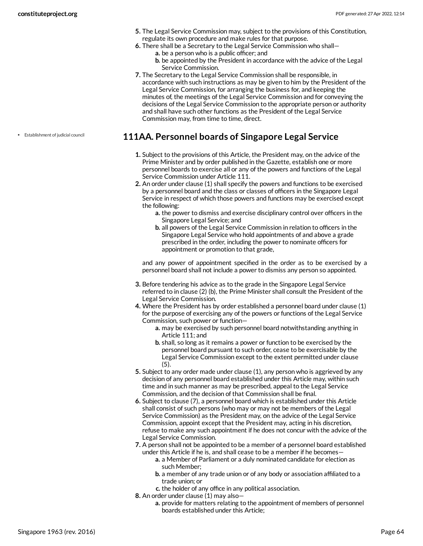- **5.** The Legal Service Commission may, subject to the provisions of this Constitution, regulate its own procedure and make rules for that purpose.
- **6.** There shall be a Secretary to the Legal Service Commission who shall **a.** be a person who is a public officer; and
	- **b.** be appointed by the President in accordance with the advice of the Legal Service Commission.
- **7.** The Secretary to the Legal Service Commission shall be responsible, in accordance with such instructions as may be given to him by the President of the Legal Service Commission, for arranging the business for, and keeping the minutes of, the meetings of the Legal Service Commission and for conveying the decisions of the Legal Service Commission to the appropriate person or authority and shall have such other functions as the President of the Legal Service Commission may, from time to time, direct.

#### **111AA. Personnel boards of Singapore Legal Service**

- **1.** Subject to the provisions of this Article, the President may, on the advice of the Prime Minister and by order published in the Gazette, establish one or more personnel boards to exercise all or any of the powers and functions of the Legal Service Commission under Article 111.
- **2.** An order under clause (1) shall specify the powers and functions to be exercised by a personnel board and the class or classes of officers in the Singapore Legal Service in respect of which those powers and functions may be exercised except the following:
	- **a.** the power to dismiss and exercise disciplinary control over officers in the Singapore Legal Service; and
	- **b.** all powers of the Legal Service Commission in relation to officers in the Singapore Legal Service who hold appointments of and above a grade prescribed in the order, including the power to nominate officers for appointment or promotion to that grade,

and any power of appointment specified in the order as to be exercised by a personnel board shall not include a power to dismiss any person so appointed.

- **3.** Before tendering his advice as to the grade in the Singapore Legal Service referred to in clause (2) (b), the Prime Minister shall consult the President of the Legal Service Commission.
- **4.** Where the President has by order established a personnel board under clause (1) for the purpose of exercising any of the powers or functions of the Legal Service Commission, such power or function
	- **a.** may be exercised by such personnel board notwithstanding anything in Article 111; and
	- **b.** shall, so long as it remains a power or function to be exercised by the personnel board pursuant to such order, cease to be exercisable by the Legal Service Commission except to the extent permitted under clause (5).
- **5.** Subject to any order made under clause (1), any person who is aggrieved by any decision of any personnel board established under this Article may, within such time and in such manner as may be prescribed, appeal to the Legal Service Commission, and the decision of that Commission shall be final.
- **6.** Subject to clause (7), a personnel board which is established under this Article shall consist of such persons (who may or may not be members of the Legal Service Commission) as the President may, on the advice of the Legal Service Commission, appoint except that the President may, acting in his discretion, refuse to make any such appointment if he does not concur with the advice of the Legal Service Commission.
- **7.** A person shall not be appointed to be a member of a personnel board established under this Article if he is, and shall cease to be a member if he becomes
	- **a.** a Member of Parliament or a duly nominated candidate for election as such Member;
	- **b.** a member of any trade union or of any body or association affiliated to a trade union; or
	- **c.** the holder of any office in any political association.
- **8.** An order under clause (1) may also
	- **a.** provide for matters relating to the appointment of members of personnel boards established under this Article;

Establishment of judicial council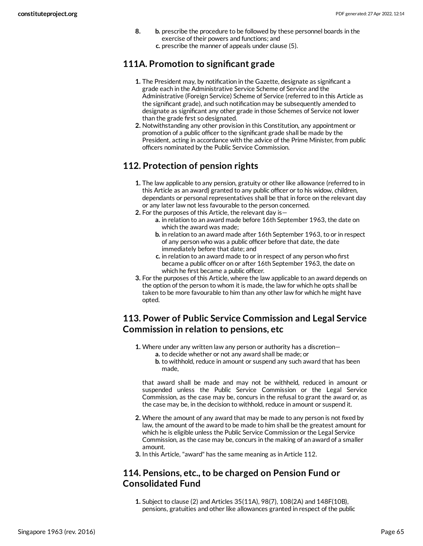- **8. b.** prescribe the procedure to be followed by these personnel boards in the exercise of their powers and functions; and
	- **c.** prescribe the manner of appeals under clause (5).

# **111A. Promotion to significant grade**

- **1.** The President may, by notification in the Gazette, designate as significant a grade each in the Administrative Service Scheme of Service and the Administrative (Foreign Service) Scheme of Service (referred to in this Article as the significant grade), and such notification may be subsequently amended to designate as significant any other grade in those Schemes of Service not lower than the grade first so designated.
- **2.** Notwithstanding any other provision in this Constitution, any appointment or promotion of a public officer to the significant grade shall be made by the President, acting in accordance with the advice of the Prime Minister, from public officers nominated by the Public Service Commission.

# **112. Protection of pension rights**

- **1.** The law applicable to any pension, gratuity or other like allowance (referred to in this Article as an award) granted to any public officer or to his widow, children, dependants or personal representatives shall be that in force on the relevant day or any later law not less favourable to the person concerned.
- **2.** For the purposes of this Article, the relevant day is
	- **a.** in relation to an award made before 16th September 1963, the date on which the award was made;
	- **b.** in relation to an award made after 16th September 1963, to or in respect of any person who was a public officer before that date, the date immediately before that date; and
	- **c.** in relation to an award made to or in respect of any person who first became a public officer on or after 16th September 1963, the date on which he first became a public officer.
- **3.** For the purposes of this Article, where the law applicable to an award depends on the option of the person to whom it is made, the law for which he opts shall be taken to be more favourable to him than any other law for which he might have opted.

# **113. Power of Public Service Commission and Legal Service Commission in relation to pensions, etc**

- **1.** Where under any written law any person or authority has a discretion
	- **a.** to decide whether or not any award shall be made; or
	- **b.** to withhold, reduce in amount or suspend any such award that has been made,

that award shall be made and may not be withheld, reduced in amount or suspended unless the Public Service Commission or the Legal Service Commission, as the case may be, concurs in the refusal to grant the award or, as the case may be, in the decision to withhold, reduce in amount or suspend it.

- **2.** Where the amount of any award that may be made to any person is not fixed by law, the amount of the award to be made to him shall be the greatest amount for which he is eligible unless the Public Service Commission or the Legal Service Commission, as the case may be, concurs in the making of an award of a smaller amount.
- **3.** In this Article, "award" has the same meaning as in Article 112.

# **114. Pensions, etc., to be charged on Pension Fund or Consolidated Fund**

**1.** Subject to clause (2) and Articles 35(11A), 98(7), 108(2A) and 148F(10B), pensions, gratuities and other like allowances granted in respect of the public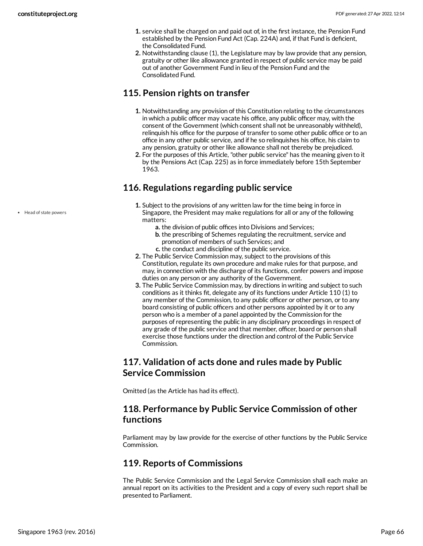- **1.** service shall be charged on and paid out of, in the first instance, the Pension Fund established by the Pension Fund Act (Cap. 224A) and, if that Fund is deficient, the Consolidated Fund.
- **2.** Notwithstanding clause (1), the Legislature may by law provide that any pension, gratuity or other like allowance granted in respect of public service may be paid out of another Government Fund in lieu of the Pension Fund and the Consolidated Fund.

# **115. Pension rights on transfer**

- **1.** Notwithstanding any provision of this Constitution relating to the circumstances in which a public officer may vacate his office, any public officer may, with the consent of the Government (which consent shall not be unreasonably withheld), relinquish his office for the purpose of transfer to some other public office or to an office in any other public service, and if he so relinquishes his office, his claim to any pension, gratuity or other like allowance shall not thereby be prejudiced.
- **2.** For the purposes of this Article, "other public service" has the meaning given to it by the Pensions Act (Cap. 225) as in force immediately before 15th September 1963.

# **116. Regulations regarding public service**

• Head of state powers

**1.** Subject to the provisions of any written law for the time being in force in Singapore, the President may make regulations for all or any of the following matters:

- **a.** the division of public offices into Divisions and Services;
- **b.** the prescribing of Schemes regulating the recruitment, service and promotion of members of such Services; and
- **c.** the conduct and discipline of the public service.
- **2.** The Public Service Commission may, subject to the provisions of this Constitution, regulate its own procedure and make rules for that purpose, and may, in connection with the discharge of its functions, confer powers and impose duties on any person or any authority of the Government.
- **3.** The Public Service Commission may, by directions in writing and subject to such conditions as it thinks fit, delegate any of its functions under Article 110 (1) to any member of the Commission, to any public officer or other person, or to any board consisting of public officers and other persons appointed by it or to any person who is a member of a panel appointed by the Commission for the purposes of representing the public in any disciplinary proceedings in respect of any grade of the public service and that member, officer, board or person shall exercise those functions under the direction and control of the Public Service Commission.

# **117. Validation of acts done and rules made by Public Service Commission**

Omitted (as the Article has had its effect).

# **118. Performance by Public Service Commission of other functions**

Parliament may by law provide for the exercise of other functions by the Public Service Commission.

# **119. Reports of Commissions**

The Public Service Commission and the Legal Service Commission shall each make an annual report on its activities to the President and a copy of every such report shall be presented to Parliament.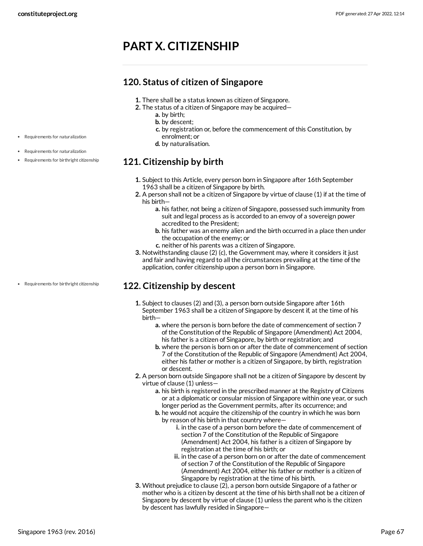# **PART X. CITIZENSHIP**

#### **120. Status of citizen of Singapore**

- **1.** There shall be a status known as citizen of Singapore.
- **2.** The status of a citizen of Singapore may be acquired
	- **a.** by birth;
	- **b.** by descent;
	- **c.** by registration or, before the commencement of this Constitution, by enrolment; or
	- **d.** by naturalisation.

# **121. Citizenship by birth**

- **1.** Subject to this Article, every person born in Singapore after 16th September 1963 shall be a citizen of Singapore by birth.
- **2.** A person shall not be a citizen of Singapore by virtue of clause (1) if at the time of his birth
	- **a.** his father, not being a citizen of Singapore, possessed such immunity from suit and legal process as is accorded to an envoy of a sovereign power accredited to the President;
	- **b.** his father was an enemy alien and the birth occurred in a place then under the occupation of the enemy; or
	- **c.** neither of his parents was a citizen of Singapore.
- **3.** Notwithstanding clause (2) (c), the Government may, where it considers it just and fair and having regard to all the circumstances prevailing at the time of the application, confer citizenship upon a person born in Singapore.

# **122. Citizenship by descent**

- **1.** Subject to clauses (2) and (3), a person born outside Singapore after 16th September 1963 shall be a citizen of Singapore by descent if, at the time of his birth
	- **a.** where the person is born before the date of commencement of section 7 of the Constitution of the Republic of Singapore (Amendment) Act 2004, his father is a citizen of Singapore, by birth or registration; and
	- **b.** where the person is born on or after the date of commencement of section 7 of the Constitution of the Republic of Singapore (Amendment) Act 2004, either his father or mother is a citizen of Singapore, by birth, registration or descent.
- **2.** A person born outside Singapore shall not be a citizen of Singapore by descent by virtue of clause (1) unless
	- **a.** his birth is registered in the prescribed manner at the Registry of Citizens or at a diplomatic or consular mission of Singapore within one year, or such longer period as the Government permits, after its occurrence; and
	- **b.** he would not acquire the citizenship of the country in which he was born by reason of his birth in that country where
		- **i.** in the case of a person born before the date of commencement of section 7 of the Constitution of the Republic of Singapore (Amendment) Act 2004, his father is a citizen of Singapore by registration at the time of his birth; or
		- **ii.** in the case of a person born on or after the date of commencement of section 7 of the Constitution of the Republic of Singapore (Amendment) Act 2004, either his father or mother is a citizen of Singapore by registration at the time of his birth.
- **3.** Without prejudice to clause (2), a person born outside Singapore of a father or mother who is a citizen by descent at the time of his birth shall not be a citizen of Singapore by descent by virtue of clause (1) unless the parent who is the citizen by descent has lawfully resided in Singapore—

• Requirements for naturalization

- Requirements for naturalization
- Requirements for birthright citizenship

Requirements for birthright citizenship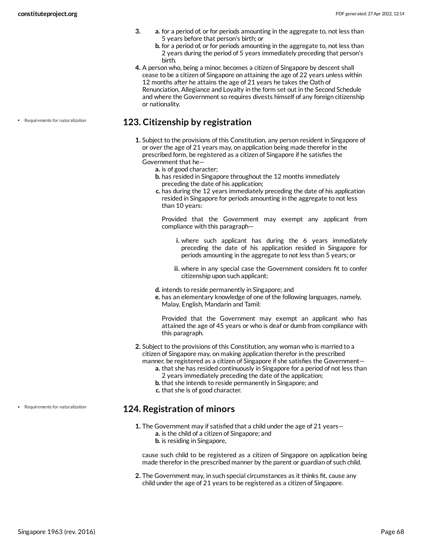- **3. a.** for a period of, or for periods amounting in the aggregate to, not less than 5 years before that person's birth; or
	- **b.** for a period of, or for periods amounting in the aggregate to, not less than 2 years during the period of 5 years immediately preceding that person's birth.
- **4.** A person who, being a minor, becomes a citizen of Singapore by descent shall cease to be a citizen of Singapore on attaining the age of 22 years unless within 12 months after he attains the age of 21 years he takes the Oath of Renunciation, Allegiance and Loyalty in the form set out in the Second Schedule and where the Government so requires divests himself of any foreign citizenship or nationality.

#### **123. Citizenship by registration**

- **1.** Subject to the provisions of this Constitution, any person resident in Singapore of or over the age of 21 years may, on application being made therefor in the prescribed form, be registered as a citizen of Singapore if he satisfies the Government that he
	- **a.** is of good character;
	- **b.** has resided in Singapore throughout the 12 months immediately preceding the date of his application;
	- **c.** has during the 12 years immediately preceding the date of his application resided in Singapore for periods amounting in the aggregate to not less than 10 years:

Provided that the Government may exempt any applicant from compliance with this paragraph—

- **i.** where such applicant has during the 6 years immediately preceding the date of his application resided in Singapore for periods amounting in the aggregate to not less than 5 years; or
- **ii.** where in any special case the Government considers fit to confer citizenship upon such applicant;
- **d.** intends to reside permanently in Singapore; and
- **e.** has an elementary knowledge of one of the following languages, namely, Malay, English, Mandarin and Tamil:

Provided that the Government may exempt an applicant who has attained the age of 45 years or who is deaf or dumb from compliance with this paragraph.

- **2.** Subject to the provisions of this Constitution, any woman who is married to a citizen of Singapore may, on making application therefor in the prescribed manner, be registered as a citizen of Singapore if she satisfies the Government
	- **a.** that she has resided continuously in Singapore for a period of not less than 2 years immediately preceding the date of the application;
	- **b.** that she intends to reside permanently in Singapore; and
	- **c.** that she is of good character.

Requirements for naturalization

#### **124. Registration of minors**

- **1.** The Government may if satisfied that a child under the age of 21 years
	- **a.** is the child of a citizen of Singapore; and
	- **b.** is residing in Singapore,

cause such child to be registered as a citizen of Singapore on application being made therefor in the prescribed manner by the parent or guardian of such child.

**2.** The Government may, in such special circumstances as it thinks fit, cause any child under the age of 21 years to be registered as a citizen of Singapore.

Requirements for naturalization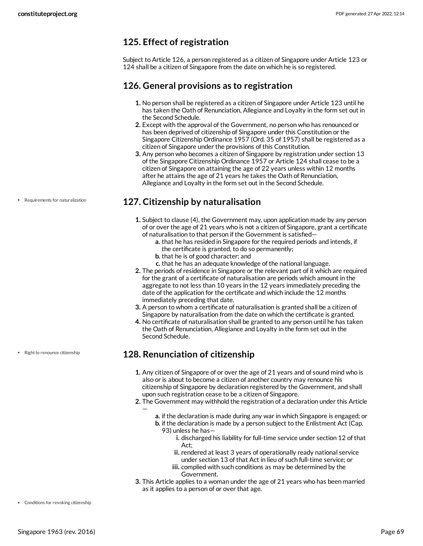# **125. Effect of registration**

Subject to Article 126, a person registered as a citizen of Singapore under Article 123 or 124 shall be a citizen of Singapore from the date on which he is so registered.

# **126. General provisions as to registration**

- **1.** No person shall be registered as a citizen of Singapore under Article 123 until he has taken the Oath of Renunciation, Allegiance and Loyalty in the form set out in the Second Schedule.
- **2.** Except with the approval of the Government, no person who has renounced or has been deprived of citizenship of Singapore under this Constitution or the Singapore Citizenship Ordinance 1957 (Ord. 35 of 1957) shall be registered as a citizen of Singapore under the provisions of this Constitution.
- **3.** Any person who becomes a citizen of Singapore by registration under section 13 of the Singapore Citizenship Ordinance 1957 or Article 124 shall cease to be a citizen of Singapore on attaining the age of 22 years unless within 12 months after he attains the age of 21 years he takes the Oath of Renunciation, Allegiance and Loyalty in the form set out in the Second Schedule.

# **127. Citizenship by naturalisation**

- **1.** Subject to clause (4), the Government may, upon application made by any person of or over the age of 21 years who is not a citizen of Singapore, grant a certificate of naturalisation to that person if the Government is satisfied
	- **a.** that he has resided in Singapore for the required periods and intends, if the certificate is granted, to do so permanently;
	- **b.** that he is of good character; and
	- **c.** that he has an adequate knowledge of the national language.
- **2.** The periods of residence in Singapore or the relevant part of it which are required for the grant of a certificate of naturalisation are periods which amount in the aggregate to not less than 10 years in the 12 years immediately preceding the date of the application for the certificate and which include the 12 months immediately preceding that date.
- **3.** A person to whom a certificate of naturalisation is granted shall be a citizen of Singapore by naturalisation from the date on which the certificate is granted.
- **4.** No certificate of naturalisation shall be granted to any person until he has taken the Oath of Renunciation, Allegiance and Loyalty in the form set out in the Second Schedule.

# **128. Renunciation of citizenship**

- **1.** Any citizen of Singapore of or over the age of 21 years and of sound mind who is also or is about to become a citizen of another country may renounce his citizenship of Singapore by declaration registered by the Government, and shall upon such registration cease to be a citizen of Singapore.
- **2.** The Government may withhold the registration of a declaration under this Article
	- **a.** if the declaration is made during any war in which Singapore is engaged; or
	- **b.** if the declaration is made by a person subject to the Enlistment Act (Cap. 93) unless he has
		- **i.** discharged his liability for full-time service under section 12 of that Act;
		- **ii.** rendered at least 3 years of operationally ready national service under section 13 of that Act in lieu of such full-time service; or
		- **iii.** complied with such conditions as may be determined by the Government.
- **3.** This Article applies to a woman under the age of 21 years who has been married as it applies to a person of or over that age.

Requirements for naturalization

• Right to renounce citizenship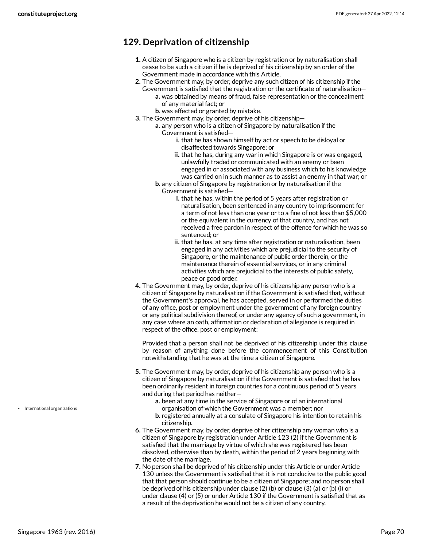# **129. Deprivation of citizenship**

- **1.** A citizen of Singapore who is a citizen by registration or by naturalisation shall cease to be such a citizen if he is deprived of his citizenship by an order of the Government made in accordance with this Article.
- **2.** The Government may, by order, deprive any such citizen of his citizenship if the
	- Government is satisfied that the registration or the certificate of naturalisation **a.** was obtained by means of fraud, false representation or the concealment of any material fact; or
		- **b.** was effected or granted by mistake.
- **3.** The Government may, by order, deprive of his citizenship
	- **a.** any person who is a citizen of Singapore by naturalisation if the Government is satisfied
		- **i.** that he has shown himself by act or speech to be disloyal or disaffected towards Singapore; or
		- **ii.** that he has, during any war in which Singapore is or was engaged, unlawfully traded or communicated with an enemy or been engaged in or associated with any business which to his knowledge was carried on in such manner as to assist an enemy in that war; or
	- **b.** any citizen of Singapore by registration or by naturalisation if the Government is satisfied
		- **i.** that he has, within the period of 5 years after registration or naturalisation, been sentenced in any country to imprisonment for a term of not less than one year or to a fine of not less than \$5,000 or the equivalent in the currency of that country, and has not received a free pardon in respect of the offence for which he was so sentenced; or
		- **ii.** that he has, at any time after registration or naturalisation, been engaged in any activities which are prejudicial to the security of Singapore, or the maintenance of public order therein, or the maintenance therein of essential services, or in any criminal activities which are prejudicial to the interests of public safety, peace or good order.
- **4.** The Government may, by order, deprive of his citizenship any person who is a citizen of Singapore by naturalisation if the Government is satisfied that, without the Government's approval, he has accepted, served in or performed the duties of any office, post or employment under the government of any foreign country or any political subdivision thereof, or under any agency of such a government, in any case where an oath, affirmation or declaration of allegiance is required in respect of the office, post or employment:

Provided that a person shall not be deprived of his citizenship under this clause by reason of anything done before the commencement of this Constitution notwithstanding that he was at the time a citizen of Singapore.

- **5.** The Government may, by order, deprive of his citizenship any person who is a citizen of Singapore by naturalisation if the Government is satisfied that he has been ordinarily resident in foreign countries for a continuous period of 5 years and during that period has neither
	- **a.** been at any time in the service of Singapore or of an international organisation of which the Government was a member; nor
	- **b.** registered annually at a consulate of Singapore his intention to retain his citizenship.
- **6.** The Government may, by order, deprive of her citizenship any woman who is a citizen of Singapore by registration under Article 123 (2) if the Government is satisfied that the marriage by virtue of which she was registered has been dissolved, otherwise than by death, within the period of 2 years beginning with the date of the marriage.
- **7.** No person shall be deprived of his citizenship under this Article or under Article 130 unless the Government is satisfied that it is not conducive to the public good that that person should continue to be a citizen of Singapore; and no person shall be deprived of his citizenship under clause (2) (b) or clause (3) (a) or (b) (i) or under clause (4) or (5) or under Article 130 if the Government is satisfied that as a result of the deprivation he would not be a citizen of any country.

• International organizations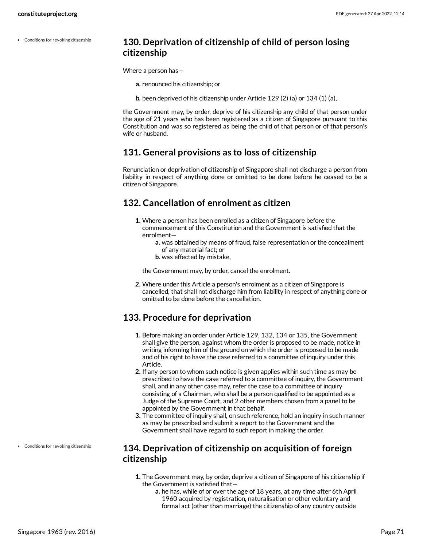Conditions for revoking citizenship

#### **130. Deprivation of citizenship of child of person losing citizenship**

Where a person has—

- **a.** renounced his citizenship; or
- **b.** been deprived of his citizenship under Article 129 (2) (a) or 134 (1) (a),

the Government may, by order, deprive of his citizenship any child of that person under the age of 21 years who has been registered as a citizen of Singapore pursuant to this Constitution and was so registered as being the child of that person or of that person's wife or husband.

#### **131. General provisions as to loss of citizenship**

Renunciation or deprivation of citizenship of Singapore shall not discharge a person from liability in respect of anything done or omitted to be done before he ceased to be a citizen of Singapore.

#### **132. Cancellation of enrolment as citizen**

- **1.** Where a person has been enrolled as a citizen of Singapore before the commencement of this Constitution and the Government is satisfied that the enrolment
	- **a.** was obtained by means of fraud, false representation or the concealment of any material fact; or
	- **b.** was effected by mistake,

the Government may, by order, cancel the enrolment.

**2.** Where under this Article a person's enrolment as a citizen of Singapore is cancelled, that shall not discharge him from liability in respect of anything done or omitted to be done before the cancellation.

# **133. Procedure for deprivation**

- **1.** Before making an order under Article 129, 132, 134 or 135, the Government shall give the person, against whom the order is proposed to be made, notice in writing informing him of the ground on which the order is proposed to be made and of his right to have the case referred to a committee of inquiry under this Article.
- **2.** If any person to whom such notice is given applies within such time as may be prescribed to have the case referred to a committee of inquiry, the Government shall, and in any other case may, refer the case to a committee of inquiry consisting of a Chairman, who shall be a person qualified to be appointed as a Judge of the Supreme Court, and 2 other members chosen from a panel to be appointed by the Government in that behalf.
- **3.** The committee of inquiry shall, on such reference, hold an inquiry in such manner as may be prescribed and submit a report to the Government and the Government shall have regard to such report in making the order.

#### **134. Deprivation of citizenship on acquisition of foreign citizenship**

- **1.** The Government may, by order, deprive a citizen of Singapore of his citizenship if the Government is satisfied that
	- **a.** he has, while of or over the age of 18 years, at any time after 6th April 1960 acquired by registration, naturalisation or other voluntary and formal act (other than marriage) the citizenship of any country outside

Conditions for revoking citizenship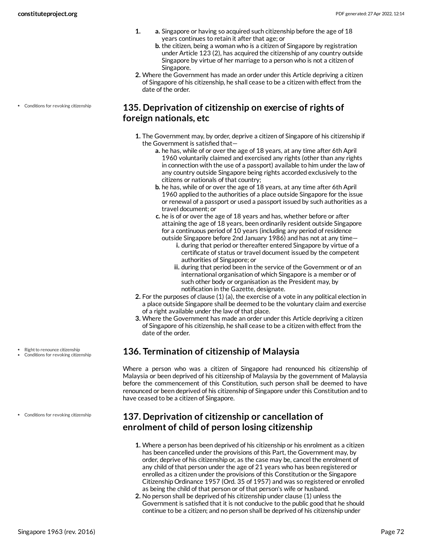- **1. a.** Singapore or having so acquired such citizenship before the age of 18 years continues to retain it after that age; or
	- **b.** the citizen, being a woman who is a citizen of Singapore by registration under Article 123 (2), has acquired the citizenship of any country outside Singapore by virtue of her marriage to a person who is not a citizen of Singapore.
- **2.** Where the Government has made an order under this Article depriving a citizen of Singapore of his citizenship, he shall cease to be a citizen with effect from the date of the order.

# **135. Deprivation of citizenship on exercise of rights of foreign nationals, etc**

- **1.** The Government may, by order, deprive a citizen of Singapore of his citizenship if the Government is satisfied that
	- **a.** he has, while of or over the age of 18 years, at any time after 6th April 1960 voluntarily claimed and exercised any rights (other than any rights in connection with the use of a passport) available to him under the law of any country outside Singapore being rights accorded exclusively to the citizens or nationals of that country;
	- **b.** he has, while of or over the age of 18 years, at any time after 6th April 1960 applied to the authorities of a place outside Singapore for the issue or renewal of a passport or used a passport issued by such authorities as a travel document; or
	- **c.** he is of or over the age of 18 years and has, whether before or after attaining the age of 18 years, been ordinarily resident outside Singapore for a continuous period of 10 years (including any period of residence outside Singapore before 2nd January 1986) and has not at any time
		- **i.** during that period or thereafter entered Singapore by virtue of a certificate of status or travel document issued by the competent authorities of Singapore; or
		- **ii.** during that period been in the service of the Government or of an international organisation of which Singapore is a member or of such other body or organisation as the President may, by notification in the Gazette, designate.
- **2.** For the purposes of clause (1) (a), the exercise of a vote in any political election in a place outside Singapore shall be deemed to be the voluntary claim and exercise of a right available under the law of that place.
- **3.** Where the Government has made an order under this Article depriving a citizen of Singapore of his citizenship, he shall cease to be a citizen with effect from the date of the order.

# **136. Termination of citizenship of Malaysia**

Where a person who was a citizen of Singapore had renounced his citizenship of Malaysia or been deprived of his citizenship of Malaysia by the government of Malaysia before the commencement of this Constitution, such person shall be deemed to have renounced or been deprived of his citizenship of Singapore under this Constitution and to have ceased to be a citizen of Singapore.

# **137. Deprivation of citizenship or cancellation of enrolment of child of person losing citizenship**

- **1.** Where a person has been deprived of his citizenship or his enrolment as a citizen has been cancelled under the provisions of this Part, the Government may, by order, deprive of his citizenship or, as the case may be, cancel the enrolment of any child of that person under the age of 21 years who has been registered or enrolled as a citizen under the provisions of this Constitution or the Singapore Citizenship Ordinance 1957 (Ord. 35 of 1957) and was so registered or enrolled as being the child of that person or of that person's wife or husband.
- **2.** No person shall be deprived of his citizenship under clause (1) unless the Government is satisfied that it is not conducive to the public good that he should continue to be a citizen; and no person shall be deprived of his citizenship under

Conditions for revoking citizenship

- Right to renounce citizenship
- Conditions for revoking citizenship
- Conditions for revoking citizenship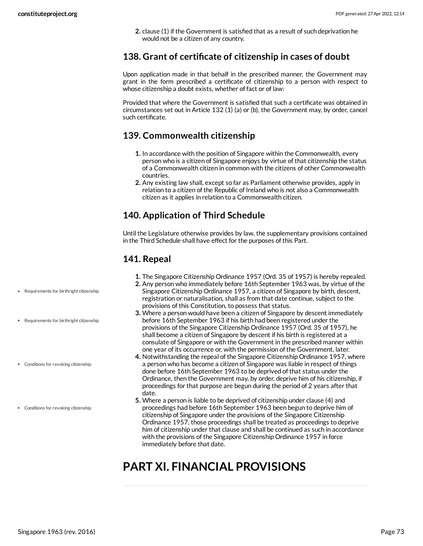**2.** clause (1) if the Government is satisfied that as a result of such deprivation he would not be a citizen of any country.

### **138. Grant of certificate of citizenship in cases of doubt**

Upon application made in that behalf in the prescribed manner, the Government may grant in the form prescribed a certificate of citizenship to a person with respect to whose citizenship a doubt exists, whether of fact or of law:

Provided that where the Government is satisfied that such a certificate was obtained in circumstances set out in Article 132 (1) (a) or (b), the Government may, by order, cancel such certificate.

## **139. Commonwealth citizenship**

- **1.** In accordance with the position of Singapore within the Commonwealth, every person who is a citizen of Singapore enjoys by virtue of that citizenship the status of a Commonwealth citizen in common with the citizens of other Commonwealth countries.
- **2.** Any existing law shall, except so far as Parliament otherwise provides, apply in relation to a citizen of the Republic of Ireland who is not also a Commonwealth citizen as it applies in relation to a Commonwealth citizen.

## **140. Application of Third Schedule**

Until the Legislature otherwise provides by law, the supplementary provisions contained in the Third Schedule shall have effect for the purposes of this Part.

## <span id="page-72-0"></span>**141. Repeal**

- **1.** The Singapore Citizenship Ordinance 1957 (Ord. 35 of 1957) is hereby repealed.
- **2.** Any person who immediately before 16th September 1963 was, by virtue of the Singapore Citizenship Ordinance 1957, a citizen of Singapore by birth, descent, registration or naturalisation, shall as from that date continue, subject to the provisions of this Constitution, to possess that status.
- **3.** Where a person would have been a citizen of Singapore by descent immediately before 16th September 1963 if his birth had been registered under the provisions of the Singapore Citizenship Ordinance 1957 (Ord. 35 of 1957), he shall become a citizen of Singapore by descent if his birth is registered at a consulate of Singapore or with the Government in the prescribed manner within one year of its occurrence or, with the permission of the Government, later.
- **4.** Notwithstanding the repeal of the Singapore Citizenship Ordinance 1957, where a person who has become a citizen of Singapore was liable in respect of things done before 16th September 1963 to be deprived of that status under the Ordinance, then the Government may, by order, deprive him of his citizenship, if proceedings for that purpose are begun during the period of 2 years after that date.
- **5.** Where a person is liable to be deprived of citizenship under clause (4) and proceedings had before 16th September 1963 been begun to deprive him of citizenship of Singapore under the provisions of the Singapore Citizenship Ordinance 1957, those proceedings shall be treated as proceedings to deprive him of citizenship under that clause and shall be continued as such in accordance with the provisions of the Singapore Citizenship Ordinance 1957 in force immediately before that date.

# **PART XI. FINANCIAL PROVISIONS**

- Requirements for birthright citizenship
- Requirements for birthright citizenship
- Conditions for revoking citizenship
- Conditions for revoking citizenship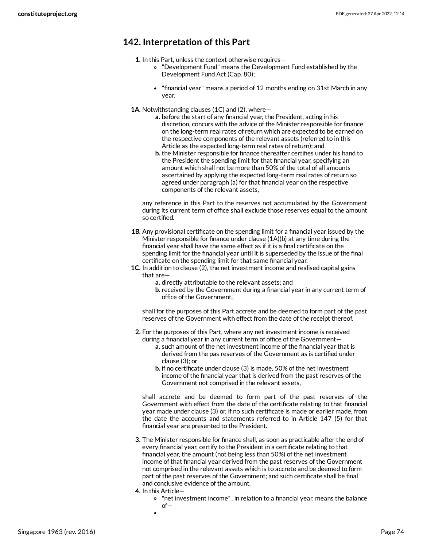### **142. Interpretation of this Part**

- **1.** In this Part, unless the context otherwise requires—
	- "Development Fund" means the Development Fund established by the Development Fund Act (Cap. 80);
	- "financial year" means a period of 12 months ending on 31st March in any year.
- **1A.** Notwithstanding clauses (1C) and (2), where
	- **a.** before the start of any financial year, the President, acting in his discretion, concurs with the advice of the Minister responsible for finance on the long-term real rates of return which are expected to be earned on the respective components of the relevant assets (referred to in this Article as the expected long-term real rates of return); and
	- **b.** the Minister responsible for finance thereafter certifies under his hand to the President the spending limit for that financial year, specifying an amount which shall not be more than 50% of the total of all amounts ascertained by applying the expected long-term real rates of return so agreed under paragraph (a) for that financial year on the respective components of the relevant assets,

any reference in this Part to the reserves not accumulated by the Government during its current term of office shall exclude those reserves equal to the amount so certified.

- **1B.** Any provisional certificate on the spending limit for a financial year issued by the Minister responsible for finance under clause (1A)(b) at any time during the financial year shall have the same effect as if it is a final certificate on the spending limit for the financial year until it is superseded by the issue of the final certificate on the spending limit for that same financial year.
- **1C.** In addition to clause (2), the net investment income and realised capital gains that are
	- **a.** directly attributable to the relevant assets; and
	- **b.** received by the Government during a financial year in any current term of office of the Government,

shall for the purposes of this Part accrete and be deemed to form part of the past reserves of the Government with effect from the date of the receipt thereof.

- **2.** For the purposes of this Part, where any net investment income is received during a financial year in any current term of office of the Government
	- **a.** such amount of the net investment income of the financial year that is derived from the pas reserves of the Government as is certified under clause (3); or
	- **b.** if no certificate under clause (3) is made, 50% of the net investment income of the financial year that is derived from the past reserves of the Government not comprised in the relevant assets,

shall accrete and be deemed to form part of the past reserves of the Government with effect from the date of the certificate relating to that financial year made under clause (3) or, if no such certificate is made or earlier made, from the date the accounts and statements referred to in Article 147 (5) for that financial year are presented to the President.

- **3.** The Minister responsible for finance shall, as soon as practicable after the end of every financial year, certify to the President in a certificate relating to that financial year, the amount (not being less than 50%) of the net investment income of that financial year derived from the past reserves of the Government not comprised in the relevant assets which is to accrete and be deemed to form part of the past reserves of the Government; and such certificate shall be final and conclusive evidence of the amount.
- **4.** In this Article—
	- "net investment income" , in relation to a financial year, means the balance of—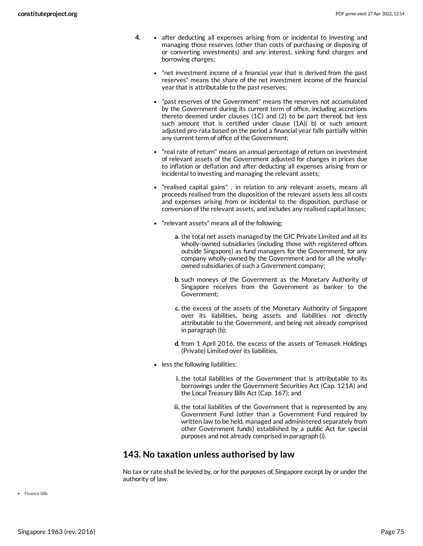- **4.** after deducting all expenses arising from or incidental to investing and managing those reserves (other than costs of purchasing or disposing of or converting investments) and any interest, sinking fund charges and borrowing charges;
	- "net investment income of a financial year that is derived from the past reserves" means the share of the net investment income of the financial year that is attributable to the past reserves;
	- "past reserves of the Government" means the reserves not accumulated by the Government during its current term of office, including accretions thereto deemed under clauses (1C) and (2) to be part thereof, but less such amount that is certified under clause (1A)( b) or such amount adjusted pro-rata based on the period a financial year falls partially within any current term of office of the Government;
	- "real rate of return" means an annual percentage of return on investment of relevant assets of the Government adjusted for changes in prices due to inflation or deflation and after deducting all expenses arising from or incidental to investing and managing the relevant assets;
	- "realised capital gains" , in relation to any relevant assets, means all proceeds realised from the disposition of the relevant assets less all costs and expenses arising from or incidental to the disposition, purchase or conversion of the relevant assets, and includes any realised capital losses;
	- "relevant assets" means all of the following:
		- **a.** the total net assets managed by the GIC Private Limited and all its wholly-owned subsidiaries (including those with registered offices outside Singapore) as fund managers for the Government, for any company wholly-owned by the Government and for all the whollyowned subsidiaries of such a Government company;
		- **b.** such moneys of the Government as the Monetary Authority of Singapore receives from the Government as banker to the Government;
		- **c.** the excess of the assets of the Monetary Authority of Singapore over its liabilities, being assets and liabilities not directly attributable to the Government, and being not already comprised in paragraph (b);
		- **d.** from 1 April 2016, the excess of the assets of Temasek Holdings (Private) Limited over its liabilities,
	- less the following liabilities:
		- **i.** the total liabilities of the Government that is attributable to its borrowings under the Government Securities Act (Cap. 121A) and the Local Treasury Bills Act (Cap. 167); and
		- **ii.** the total liabilities of the Government that is represented by any Government Fund (other than a Government Fund required by written law to be held, managed and administered separately from other Government funds) established by a public Act for special purposes and not already comprised in paragraph (i).

#### **143. No taxation unless authorised by law**

<span id="page-74-0"></span>No tax or rate shall be levied by, or for the purposes of, Singapore except by or under the authority of law.

• Finance bills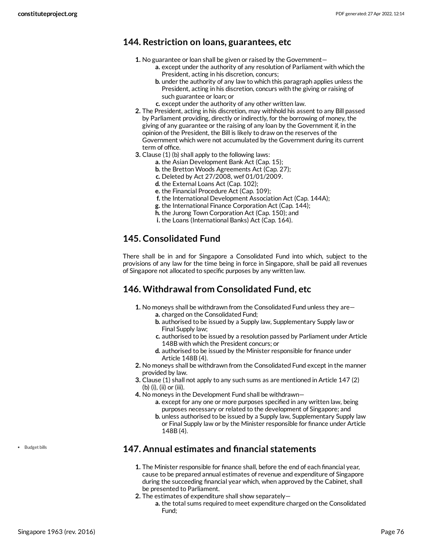#### **144. Restriction on loans, guarantees, etc**

- **1.** No guarantee or loan shall be given or raised by the Government
	- **a.** except under the authority of any resolution of Parliament with which the President, acting in his discretion, concurs;
	- **b.** under the authority of any law to which this paragraph applies unless the President, acting in his discretion, concurs with the giving or raising of such guarantee or loan; or
	- **c.** except under the authority of any other written law.
- **2.** The President, acting in his discretion, may withhold his assent to any Bill passed by Parliament providing, directly or indirectly, for the borrowing of money, the giving of any guarantee or the raising of any loan by the Government if, in the opinion of the President, the Bill is likely to draw on the reserves of the Government which were not accumulated by the Government during its current term of office.
- **3.** Clause (1) (b) shall apply to the following laws:
	- **a.** the Asian Development Bank Act (Cap. 15);
	- **b.** the Bretton Woods Agreements Act (Cap. 27);
	- **c.** Deleted by Act 27/2008, wef 01/01/2009.
	- **d.** the External Loans Act (Cap. 102);
	- **e.** the Financial Procedure Act (Cap. 109);
	- **f.** the International Development Association Act (Cap. 144A);
	- **g.** the International Finance Corporation Act (Cap. 144);
	- **h.** the Jurong Town Corporation Act (Cap. 150); and
	- **i.** the Loans (International Banks) Act (Cap. 164).

## **145. Consolidated Fund**

There shall be in and for Singapore a Consolidated Fund into which, subject to the provisions of any law for the time being in force in Singapore, shall be paid all revenues of Singapore not allocated to specific purposes by any written law.

## **146. Withdrawal from Consolidated Fund, etc**

- **1.** No moneys shall be withdrawn from the Consolidated Fund unless they are **a.** charged on the Consolidated Fund;
	- **b.** authorised to be issued by a Supply law, Supplementary Supply law or Final Supply law;
	- **c.** authorised to be issued by a resolution passed by Parliament under Article 148B with which the President concurs; or
	- **d.** authorised to be issued by the Minister responsible for finance under Article 148B (4).
- **2.** No moneys shall be withdrawn from the Consolidated Fund except in the manner provided by law.
- **3.** Clause (1) shall not apply to any such sums as are mentioned in Article 147 (2) (b) (i), (ii) or (iii).
- **4.** No moneys in the Development Fund shall be withdrawn
	- **a.** except for any one or more purposes specified in any written law, being purposes necessary or related to the development of Singapore; and
	- **b.** unless authorised to be issued by a Supply law, Supplementary Supply law or Final Supply law or by the Minister responsible for finance under Article 148B (4).

### <span id="page-75-0"></span>**147. Annual estimates and financial statements**

- **1.** The Minister responsible for finance shall, before the end of each financial year, cause to be prepared annual estimates of revenue and expenditure of Singapore during the succeeding financial year which, when approved by the Cabinet, shall be presented to Parliament.
- **2.** The estimates of expenditure shall show separately
	- **a.** the total sums required to meet expenditure charged on the Consolidated Fund;

• Budget bills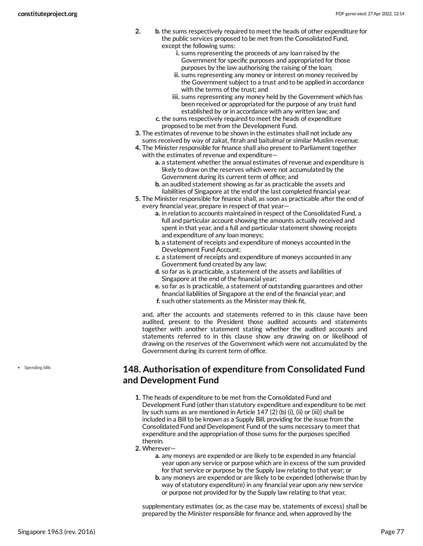- **2. b.** the sums respectively required to meet the heads of other expenditure for the public services proposed to be met from the Consolidated Fund, except the following sums:
	- **i.** sums representing the proceeds of any loan raised by the Government for specific purposes and appropriated for those purposes by the law authorising the raising of the loan;
	- **ii.** sums representing any money or interest on money received by the Government subject to a trust and to be applied in accordance with the terms of the trust; and
	- **iii.** sums representing any money held by the Government which has been received or appropriated for the purpose of any trust fund established by or in accordance with any written law; and
	- **c.** the sums respectively required to meet the heads of expenditure proposed to be met from the Development Fund.
- **3.** The estimates of revenue to be shown in the estimates shall not include any
- sums received by way of zakat, fitrah and baitulmal or similar Muslim revenue. **4.** The Minister responsible for finance shall also present to Parliament together
- with the estimates of revenue and expenditure
	- **a.** a statement whether the annual estimates of revenue and expenditure is likely to draw on the reserves which were not accumulated by the Government during its current term of office; and
	- **b.** an audited statement showing as far as practicable the assets and liabilities of Singapore at the end of the last completed financial year.
- **5.** The Minister responsible for finance shall, as soon as practicable after the end of every financial year, prepare in respect of that year
	- **a.** in relation to accounts maintained in respect of the Consolidated Fund, a full and particular account showing the amounts actually received and spent in that year, and a full and particular statement showing receipts and expenditure of any loan moneys;
	- **b.** a statement of receipts and expenditure of moneys accounted in the Development Fund Account;
	- **c.** a statement of receipts and expenditure of moneys accounted in any Government fund created by any law;
	- **d.** so far as is practicable, a statement of the assets and liabilities of Singapore at the end of the financial year;
	- **e.** so far as is practicable, a statement of outstanding guarantees and other financial liabilities of Singapore at the end of the financial year; and
	- **f.** such other statements as the Minister may think fit,

and, after the accounts and statements referred to in this clause have been audited, present to the President those audited accounts and statements together with another statement stating whether the audited accounts and statements referred to in this clause show any drawing on or likelihood of drawing on the reserves of the Government which were not accumulated by the Government during its current term of office.

#### <span id="page-76-0"></span>**148. Authorisation of expenditure from Consolidated Fund and Development Fund**

- **1.** The heads of expenditure to be met from the Consolidated Fund and Development Fund (other than statutory expenditure and expenditure to be met by such sums as are mentioned in Article 147 (2) (b) (i), (ii) or (iii)) shall be included in a Bill to be known as a Supply Bill, providing for the issue from the Consolidated Fund and Development Fund of the sums necessary to meet that expenditure and the appropriation of those sums for the purposes specified therein.
- **2.** Wherever
	- **a.** any moneys are expended or are likely to be expended in any financial year upon any service or purpose which are in excess of the sum provided for that service or purpose by the Supply law relating to that year; or
	- **b.** any moneys are expended or are likely to be expended (otherwise than by way of statutory expenditure) in any financial year upon any new service or purpose not provided for by the Supply law relating to that year,

supplementary estimates (or, as the case may be, statements of excess) shall be prepared by the Minister responsible for finance and, when approved by the

• Spending bills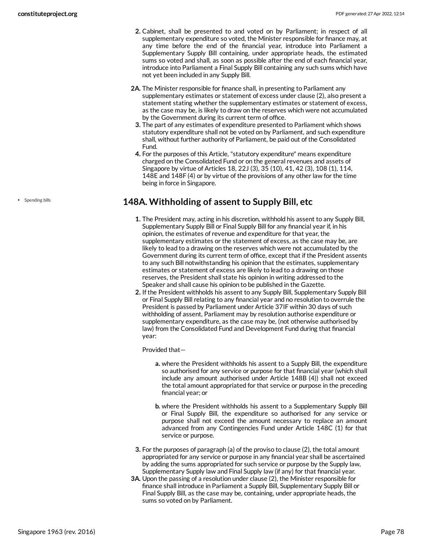- **2.** Cabinet, shall be presented to and voted on by Parliament; in respect of all supplementary expenditure so voted, the Minister responsible for finance may, at any time before the end of the financial year, introduce into Parliament a Supplementary Supply Bill containing, under appropriate heads, the estimated sums so voted and shall, as soon as possible after the end of each financial year, introduce into Parliament a Final Supply Bill containing any such sums which have not yet been included in any Supply Bill.
- **2A.** The Minister responsible for finance shall, in presenting to Parliament any supplementary estimates or statement of excess under clause (2), also present a statement stating whether the supplementary estimates or statement of excess, as the case may be, is likely to draw on the reserves which were not accumulated by the Government during its current term of office.
- **3.** The part of any estimates of expenditure presented to Parliament which shows statutory expenditure shall not be voted on by Parliament, and such expenditure shall, without further authority of Parliament, be paid out of the Consolidated Fund.
- **4.** For the purposes of this Article, "statutory expenditure" means expenditure charged on the Consolidated Fund or on the general revenues and assets of Singapore by virtue of Articles 18, 22J (3), 35 (10), 41, 42 (3), 108 (1), 114, 148E and 148F (4) or by virtue of the provisions of any other law for the time being in force in Singapore.

## <span id="page-77-0"></span>**148A. Withholding of assent to Supply Bill, etc**

- **1.** The President may, acting in his discretion, withhold his assent to any Supply Bill, Supplementary Supply Bill or Final Supply Bill for any financial year if, in his opinion, the estimates of revenue and expenditure for that year, the supplementary estimates or the statement of excess, as the case may be, are likely to lead to a drawing on the reserves which were not accumulated by the Government during its current term of office, except that if the President assents to any such Bill notwithstanding his opinion that the estimates, supplementary estimates or statement of excess are likely to lead to a drawing on those reserves, the President shall state his opinion in writing addressed to the Speaker and shall cause his opinion to be published in the Gazette.
- **2.** If the President withholds his assent to any Supply Bill, Supplementary Supply Bill or Final Supply Bill relating to any financial year and no resolution to overrule the President is passed by Parliament under Article 37IF within 30 days of such withholding of assent, Parliament may by resolution authorise expenditure or supplementary expenditure, as the case may be, (not otherwise authorised by law) from the Consolidated Fund and Development Fund during that financial year:

Provided that—

- **a.** where the President withholds his assent to a Supply Bill, the expenditure so authorised for any service or purpose for that financial year (which shall include any amount authorised under Article 148B (4)) shall not exceed the total amount appropriated for that service or purpose in the preceding financial year; or
- **b.** where the President withholds his assent to a Supplementary Supply Bill or Final Supply Bill, the expenditure so authorised for any service or purpose shall not exceed the amount necessary to replace an amount advanced from any Contingencies Fund under Article 148C (1) for that service or purpose.
- **3.** For the purposes of paragraph (a) of the proviso to clause (2), the total amount appropriated for any service or purpose in any financial year shall be ascertained by adding the sums appropriated for such service or purpose by the Supply law, Supplementary Supply law and Final Supply law (if any) for that financial year.
- **3A.** Upon the passing of a resolution under clause (2), the Minister responsible for finance shall introduce in Parliament a Supply Bill, Supplementary Supply Bill or Final Supply Bill, as the case may be, containing, under appropriate heads, the sums so voted on by Parliament.

• Spending bills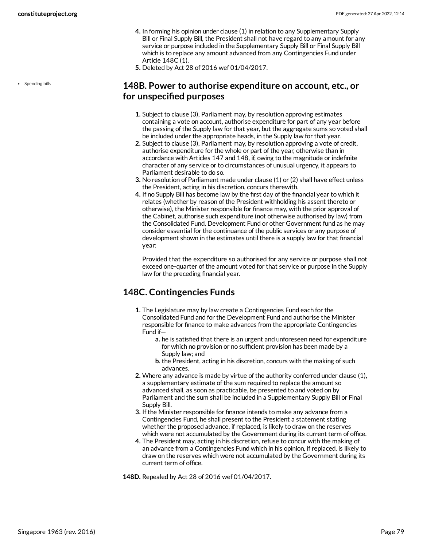• Spending bills

- **4.** In forming his opinion under clause (1) in relation to any Supplementary Supply Bill or Final Supply Bill, the President shall not have regard to any amount for any service or purpose included in the Supplementary Supply Bill or Final Supply Bill which is to replace any amount advanced from any Contingencies Fund under Article 148C (1).
- **5.** Deleted by Act 28 of 2016 wef 01/04/2017.

#### <span id="page-78-0"></span>**148B. Power to authorise expenditure on account, etc., or for unspecified purposes**

- **1.** Subject to clause (3), Parliament may, by resolution approving estimates containing a vote on account, authorise expenditure for part of any year before the passing of the Supply law for that year, but the aggregate sums so voted shall be included under the appropriate heads, in the Supply law for that year.
- **2.** Subject to clause (3), Parliament may, by resolution approving a vote of credit, authorise expenditure for the whole or part of the year, otherwise than in accordance with Articles 147 and 148, if, owing to the magnitude or indefinite character of any service or to circumstances of unusual urgency, it appears to Parliament desirable to do so.
- **3.** No resolution of Parliament made under clause (1) or (2) shall have effect unless the President, acting in his discretion, concurs therewith.
- **4.** If no Supply Bill has become law by the first day of the financial year to which it relates (whether by reason of the President withholding his assent thereto or otherwise), the Minister responsible for finance may, with the prior approval of the Cabinet, authorise such expenditure (not otherwise authorised by law) from the Consolidated Fund, Development Fund or other Government fund as he may consider essential for the continuance of the public services or any purpose of development shown in the estimates until there is a supply law for that financial year:

Provided that the expenditure so authorised for any service or purpose shall not exceed one-quarter of the amount voted for that service or purpose in the Supply law for the preceding financial year.

## **148C. Contingencies Funds**

- **1.** The Legislature may by law create a Contingencies Fund each for the Consolidated Fund and for the Development Fund and authorise the Minister responsible for finance to make advances from the appropriate Contingencies Fund if
	- **a.** he is satisfied that there is an urgent and unforeseen need for expenditure for which no provision or no sufficient provision has been made by a Supply law; and
	- **b.** the President, acting in his discretion, concurs with the making of such advances.
- **2.** Where any advance is made by virtue of the authority conferred under clause (1), a supplementary estimate of the sum required to replace the amount so advanced shall, as soon as practicable, be presented to and voted on by Parliament and the sum shall be included in a Supplementary Supply Bill or Final Supply Bill.
- **3.** If the Minister responsible for finance intends to make any advance from a Contingencies Fund, he shall present to the President a statement stating whether the proposed advance, if replaced, is likely to draw on the reserves which were not accumulated by the Government during its current term of office.
- **4.** The President may, acting in his discretion, refuse to concur with the making of an advance from a Contingencies Fund which in his opinion, if replaced, is likely to draw on the reserves which were not accumulated by the Government during its current term of office.

**148D.** Repealed by Act 28 of 2016 wef 01/04/2017.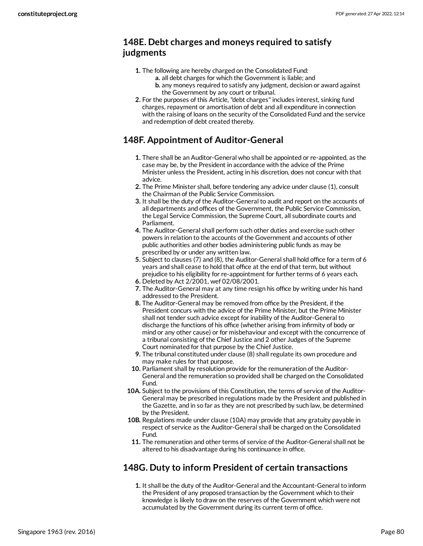### **148E. Debt charges and moneys required to satisfy judgments**

- **1.** The following are hereby charged on the Consolidated Fund:
	- **a.** all debt charges for which the Government is liable; and
	- **b.** any moneys required to satisfy any judgment, decision or award against the Government by any court or tribunal.
- **2.** For the purposes of this Article, "debt charges" includes interest, sinking fund charges, repayment or amortisation of debt and all expenditure in connection with the raising of loans on the security of the Consolidated Fund and the service and redemption of debt created thereby.

## **148F. Appointment of Auditor-General**

- **1.** There shall be an Auditor-General who shall be appointed or re-appointed, as the case may be, by the President in accordance with the advice of the Prime Minister unless the President, acting in his discretion, does not concur with that advice.
- **2.** The Prime Minister shall, before tendering any advice under clause (1), consult the Chairman of the Public Service Commission.
- **3.** It shall be the duty of the Auditor-General to audit and report on the accounts of all departments and offices of the Government, the Public Service Commission, the Legal Service Commission, the Supreme Court, all subordinate courts and Parliament.
- **4.** The Auditor-General shall perform such other duties and exercise such other powers in relation to the accounts of the Government and accounts of other public authorities and other bodies administering public funds as may be prescribed by or under any written law.
- **5.** Subject to clauses (7) and (8), the Auditor-General shall hold office for a term of 6 years and shall cease to hold that office at the end of that term, but without prejudice to his eligibility for re-appointment for further terms of 6 years each.
- **6.** Deleted by Act 2/2001, wef 02/08/2001.
- **7.** The Auditor-General may at any time resign his office by writing under his hand addressed to the President.
- **8.** The Auditor-General may be removed from office by the President, if the President concurs with the advice of the Prime Minister, but the Prime Minister shall not tender such advice except for inability of the Auditor-General to discharge the functions of his office (whether arising from infirmity of body or mind or any other cause) or for misbehaviour and except with the concurrence of a tribunal consisting of the Chief Justice and 2 other Judges of the Supreme Court nominated for that purpose by the Chief Justice.
- **9.** The tribunal constituted under clause (8) shall regulate its own procedure and may make rules for that purpose.
- **10.** Parliament shall by resolution provide for the remuneration of the Auditor-General and the remuneration so provided shall be charged on the Consolidated Fund.
- **10A.** Subject to the provisions of this Constitution, the terms of service of the Auditor-General may be prescribed in regulations made by the President and published in the Gazette, and in so far as they are not prescribed by such law, be determined by the President.
- **10B.** Regulations made under clause (10A) may provide that any gratuity payable in respect of service as the Auditor-General shall be charged on the Consolidated Fund.
- **11.** The remuneration and other terms of service of the Auditor-General shall not be altered to his disadvantage during his continuance in office.

## **148G. Duty to inform President of certain transactions**

**1.** It shall be the duty of the Auditor-General and the Accountant-General to inform the President of any proposed transaction by the Government which to their knowledge is likely to draw on the reserves of the Government which were not accumulated by the Government during its current term of office.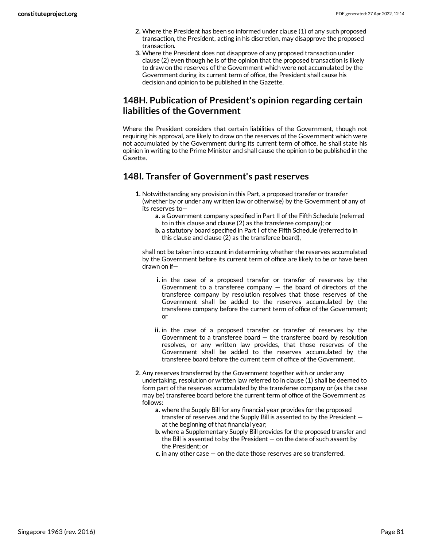- **2.** Where the President has been so informed under clause (1) of any such proposed transaction, the President, acting in his discretion, may disapprove the proposed transaction.
- **3.** Where the President does not disapprove of any proposed transaction under clause (2) even though he is of the opinion that the proposed transaction is likely to draw on the reserves of the Government which were not accumulated by the Government during its current term of office, the President shall cause his decision and opinion to be published in the Gazette.

### **148H. Publication of President's opinion regarding certain liabilities of the Government**

Where the President considers that certain liabilities of the Government, though not requiring his approval, are likely to draw on the reserves of the Government which were not accumulated by the Government during its current term of office, he shall state his opinion in writing to the Prime Minister and shall cause the opinion to be published in the Gazette.

### **148I. Transfer of Government's past reserves**

- **1.** Notwithstanding any provision in this Part, a proposed transfer or transfer (whether by or under any written law or otherwise) by the Government of any of its reserves to
	- **a.** a Government company specified in Part II of the Fifth Schedule (referred to in this clause and clause (2) as the transferee company); or
	- **b.** a statutory board specified in Part I of the Fifth Schedule (referred to in this clause and clause (2) as the transferee board),

shall not be taken into account in determining whether the reserves accumulated by the Government before its current term of office are likely to be or have been drawn on if—

- **i.** in the case of a proposed transfer or transfer of reserves by the Government to a transferee company  $-$  the board of directors of the transferee company by resolution resolves that those reserves of the Government shall be added to the reserves accumulated by the transferee company before the current term of office of the Government; or
- **ii.** in the case of a proposed transfer or transfer of reserves by the Government to a transferee board  $-$  the transferee board by resolution resolves, or any written law provides, that those reserves of the Government shall be added to the reserves accumulated by the transferee board before the current term of office of the Government.
- **2.** Any reserves transferred by the Government together with or under any undertaking, resolution or written law referred to in clause (1) shall be deemed to form part of the reserves accumulated by the transferee company or (as the case may be) transferee board before the current term of office of the Government as follows:
	- **a.** where the Supply Bill for any financial year provides for the proposed transfer of reserves and the Supply Bill is assented to by the President at the beginning of that financial year;
	- **b.** where a Supplementary Supply Bill provides for the proposed transfer and the Bill is assented to by the President  $-$  on the date of such assent by the President; or
	- **c.** in any other case on the date those reserves are so transferred.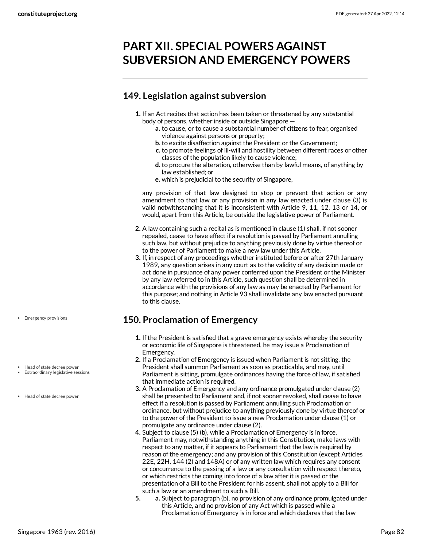## **PART XII. SPECIAL POWERS AGAINST SUBVERSION AND EMERGENCY POWERS**

#### **149. Legislation against subversion**

- **1.** If an Act recites that action has been taken or threatened by any substantial body of persons, whether inside or outside Singapore
	- **a.** to cause, or to cause a substantial number of citizens to fear, organised violence against persons or property;
	- **b.** to excite disaffection against the President or the Government;
	- **c.** to promote feelings of ill-will and hostility between different races or other classes of the population likely to cause violence;
	- **d.** to procure the alteration, otherwise than by lawful means, of anything by law established; or
	- **e.** which is prejudicial to the security of Singapore,

any provision of that law designed to stop or prevent that action or any amendment to that law or any provision in any law enacted under clause (3) is valid notwithstanding that it is inconsistent with Article 9, 11, 12, 13 or 14, or would, apart from this Article, be outside the legislative power of Parliament.

- **2.** A law containing such a recital as is mentioned in clause (1) shall, if not sooner repealed, cease to have effect if a resolution is passed by Parliament annulling such law, but without prejudice to anything previously done by virtue thereof or to the power of Parliament to make a new law under this Article.
- **3.** If, in respect of any proceedings whether instituted before or after 27th January 1989, any question arises in any court as to the validity of any decision made or act done in pursuance of any power conferred upon the President or the Minister by any law referred to in this Article, such question shall be determined in accordance with the provisions of any law as may be enacted by Parliament for this purpose; and nothing in Article 93 shall invalidate any law enacted pursuant to this clause.

### <span id="page-81-0"></span>**150. Proclamation of Emergency**

- **1.** If the President is satisfied that a grave emergency exists whereby the security or economic life of Singapore is threatened, he may issue a Proclamation of Emergency.
- **2.** If a Proclamation of Emergency is issued when Parliament is not sitting, the President shall summon Parliament as soon as practicable, and may, until Parliament is sitting, promulgate ordinances having the force of law, if satisfied that immediate action is required.
- **3.** A Proclamation of Emergency and any ordinance promulgated under clause (2) shall be presented to Parliament and, if not sooner revoked, shall cease to have effect if a resolution is passed by Parliament annulling such Proclamation or ordinance, but without prejudice to anything previously done by virtue thereof or to the power of the President to issue a new Proclamation under clause (1) or promulgate any ordinance under clause (2).
- **4.** Subject to clause (5) (b), while a Proclamation of Emergency is in force, Parliament may, notwithstanding anything in this Constitution, make laws with respect to any matter, if it appears to Parliament that the law is required by reason of the emergency; and any provision of this Constitution (except Articles 22E, 22H, 144 (2) and 148A) or of any written law which requires any consent or concurrence to the passing of a law or any consultation with respect thereto, or which restricts the coming into force of a law after it is passed or the presentation of a Bill to the President for his assent, shall not apply to a Bill for such a law or an amendment to such a Bill.
- **5. a.** Subject to paragraph (b), no provision of any ordinance promulgated under this Article, and no provision of any Act which is passed while a Proclamation of Emergency is in force and which declares that the law

**Emergency provisions** 

- Head of state decree power
- Extraordinary legislative sessions
- Head of state decree power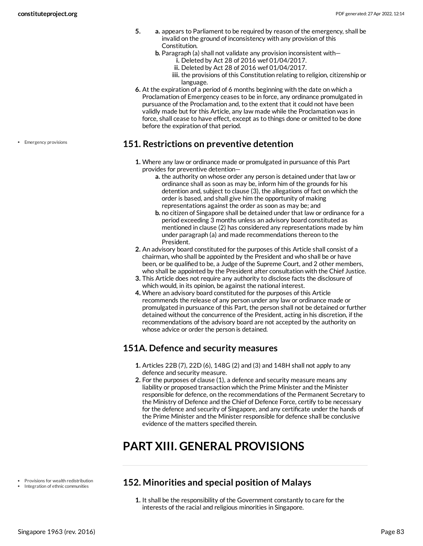• Emergency provisions

- **5. a.** appears to Parliament to be required by reason of the emergency, shall be invalid on the ground of inconsistency with any provision of this Constitution.
	- **b.** Paragraph (a) shall not validate any provision inconsistent with
		- **i.** Deleted by Act 28 of 2016 wef 01/04/2017.
		- **ii.** Deleted by Act 28 of 2016 wef 01/04/2017.
		- **iii.** the provisions of this Constitution relating to religion, citizenship or language.
- **6.** At the expiration of a period of 6 months beginning with the date on which a Proclamation of Emergency ceases to be in force, any ordinance promulgated in pursuance of the Proclamation and, to the extent that it could not have been validly made but for this Article, any law made while the Proclamation was in force, shall cease to have effect, except as to things done or omitted to be done before the expiration of that period.

### <span id="page-82-0"></span>**151. Restrictions on preventive detention**

- **1.** Where any law or ordinance made or promulgated in pursuance of this Part provides for preventive detention
	- **a.** the authority on whose order any person is detained under that law or ordinance shall as soon as may be, inform him of the grounds for his detention and, subject to clause (3), the allegations of fact on which the order is based, and shall give him the opportunity of making representations against the order as soon as may be; and
	- **b.** no citizen of Singapore shall be detained under that law or ordinance for a period exceeding 3 months unless an advisory board constituted as mentioned in clause (2) has considered any representations made by him under paragraph (a) and made recommendations thereon to the President.
- **2.** An advisory board constituted for the purposes of this Article shall consist of a chairman, who shall be appointed by the President and who shall be or have been, or be qualified to be, a Judge of the Supreme Court, and 2 other members, who shall be appointed by the President after consultation with the Chief Justice.
- **3.** This Article does not require any authority to disclose facts the disclosure of which would, in its opinion, be against the national interest.
- **4.** Where an advisory board constituted for the purposes of this Article recommends the release of any person under any law or ordinance made or promulgated in pursuance of this Part, the person shall not be detained or further detained without the concurrence of the President, acting in his discretion, if the recommendations of the advisory board are not accepted by the authority on whose advice or order the person is detained.

## **151A. Defence and security measures**

- **1.** Articles 22B (7), 22D (6), 148G (2) and (3) and 148H shall not apply to any defence and security measure.
- **2.** For the purposes of clause (1), a defence and security measure means any liability or proposed transaction which the Prime Minister and the Minister responsible for defence, on the recommendations of the Permanent Secretary to the Ministry of Defence and the Chief of Defence Force, certify to be necessary for the defence and security of Singapore, and any certificate under the hands of the Prime Minister and the Minister responsible for defence shall be conclusive evidence of the matters specified therein.

# **PART XIII. GENERAL PROVISIONS**

• Provisions for wealth redistribution

### <span id="page-82-1"></span>**152. Minorities and special position of Malays**

- **1.** It shall be the responsibility of the Government constantly to care for the interests of the racial and religious minorities in Singapore.
- Integration of ethnic communities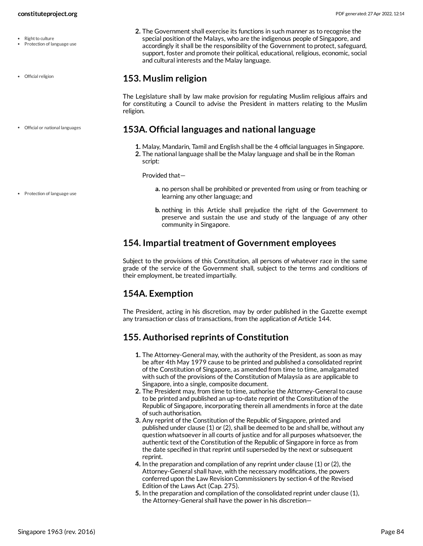- Right to culture
- Protection of language use
- Official religion

**2.** The Government shall exercise its functions in such manner as to recognise the special position of the Malays, who are the indigenous people of Singapore, and accordingly it shall be the responsibility of the Government to protect, safeguard, support, foster and promote their political, educational, religious, economic, social and cultural interests and the Malay language.

### <span id="page-83-1"></span>**153. Muslim religion**

The Legislature shall by law make provision for regulating Muslim religious affairs and for constituting a Council to advise the President in matters relating to the Muslim religion.

#### Official or national languages

#### <span id="page-83-0"></span>**153A. Official languages and national language**

- **1.** Malay, Mandarin, Tamil and English shall be the 4 official languages in Singapore.
- **2.** The national language shall be the Malay language and shall be in the Roman script:

#### <span id="page-83-2"></span>Provided that—

- **a.** no person shall be prohibited or prevented from using or from teaching or learning any other language; and
- **b.** nothing in this Article shall prejudice the right of the Government to preserve and sustain the use and study of the language of any other community in Singapore.

### **154. Impartial treatment of Government employees**

Subject to the provisions of this Constitution, all persons of whatever race in the same grade of the service of the Government shall, subject to the terms and conditions of their employment, be treated impartially.

### **154A. Exemption**

The President, acting in his discretion, may by order published in the Gazette exempt any transaction or class of transactions, from the application of Article 144.

### **155. Authorised reprints of Constitution**

- **1.** The Attorney-General may, with the authority of the President, as soon as may be after 4th May 1979 cause to be printed and published a consolidated reprint of the Constitution of Singapore, as amended from time to time, amalgamated with such of the provisions of the Constitution of Malaysia as are applicable to Singapore, into a single, composite document.
- **2.** The President may, from time to time, authorise the Attorney-General to cause to be printed and published an up-to-date reprint of the Constitution of the Republic of Singapore, incorporating therein all amendments in force at the date of such authorisation.
- **3.** Any reprint of the Constitution of the Republic of Singapore, printed and published under clause (1) or (2), shall be deemed to be and shall be, without any question whatsoever in all courts of justice and for all purposes whatsoever, the authentic text of the Constitution of the Republic of Singapore in force as from the date specified in that reprint until superseded by the next or subsequent reprint.
- **4.** In the preparation and compilation of any reprint under clause (1) or (2), the Attorney-General shall have, with the necessary modifications, the powers conferred upon the Law Revision Commissioners by section 4 of the Revised Edition of the Laws Act (Cap. 275).
- **5.** In the preparation and compilation of the consolidated reprint under clause (1), the Attorney-General shall have the power in his discretion—

• Protection of language use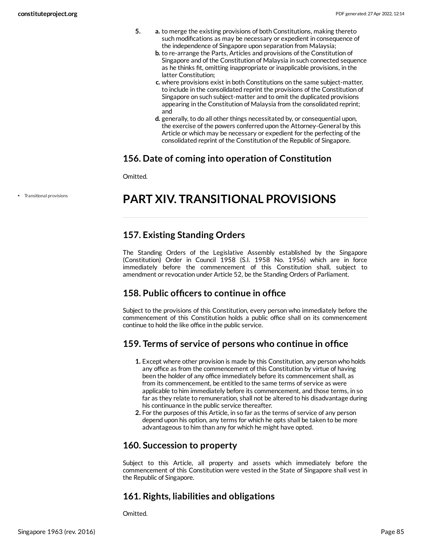- **5. a.** to merge the existing provisions of both Constitutions, making thereto such modifications as may be necessary or expedient in consequence of the independence of Singapore upon separation from Malaysia;
	- **b.** to re-arrange the Parts, Articles and provisions of the Constitution of Singapore and of the Constitution of Malaysia in such connected sequence as he thinks fit, omitting inappropriate or inapplicable provisions, in the latter Constitution;
	- **c.** where provisions exist in both Constitutions on the same subject-matter, to include in the consolidated reprint the provisions of the Constitution of Singapore on such subject-matter and to omit the duplicated provisions appearing in the Constitution of Malaysia from the consolidated reprint; and
	- **d.** generally, to do all other things necessitated by, or consequential upon, the exercise of the powers conferred upon the Attorney-General by this Article or which may be necessary or expedient for the perfecting of the consolidated reprint of the Constitution of the Republic of Singapore.

### **156. Date of coming into operation of Constitution**

Omitted.

Transitional provisions

## <span id="page-84-0"></span>**PART XIV. TRANSITIONAL PROVISIONS**

### **157. Existing Standing Orders**

The Standing Orders of the Legislative Assembly established by the Singapore (Constitution) Order in Council 1958 (S.I. 1958 No. 1956) which are in force immediately before the commencement of this Constitution shall, subject to amendment or revocation under Article 52, be the Standing Orders of Parliament.

### **158. Public officers to continue in office**

Subject to the provisions of this Constitution, every person who immediately before the commencement of this Constitution holds a public office shall on its commencement continue to hold the like office in the public service.

### **159. Terms of service of persons who continue in office**

- **1.** Except where other provision is made by this Constitution, any person who holds any office as from the commencement of this Constitution by virtue of having been the holder of any office immediately before its commencement shall, as from its commencement, be entitled to the same terms of service as were applicable to him immediately before its commencement, and those terms, in so far as they relate to remuneration, shall not be altered to his disadvantage during his continuance in the public service thereafter.
- **2.** For the purposes of this Article, in so far as the terms of service of any person depend upon his option, any terms for which he opts shall be taken to be more advantageous to him than any for which he might have opted.

### **160. Succession to property**

Subject to this Article, all property and assets which immediately before the commencement of this Constitution were vested in the State of Singapore shall vest in the Republic of Singapore.

### **161. Rights, liabilities and obligations**

Omitted.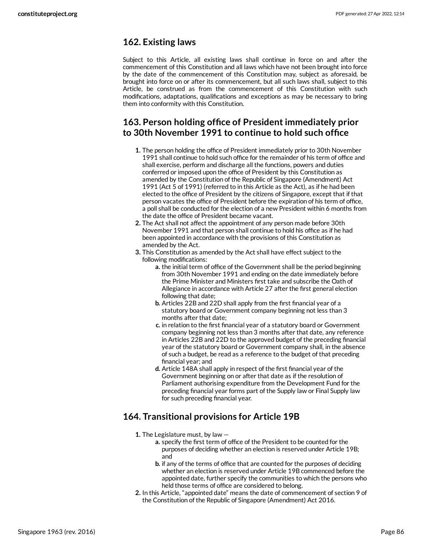## **162. Existing laws**

Subject to this Article, all existing laws shall continue in force on and after the commencement of this Constitution and all laws which have not been brought into force by the date of the commencement of this Constitution may, subject as aforesaid, be brought into force on or after its commencement, but all such laws shall, subject to this Article, be construed as from the commencement of this Constitution with such modifications, adaptations, qualifications and exceptions as may be necessary to bring them into conformity with this Constitution.

### **163. Person holding office of President immediately prior to 30th November 1991 to continue to hold such office**

- **1.** The person holding the office of President immediately prior to 30th November 1991 shall continue to hold such office for the remainder of his term of office and shall exercise, perform and discharge all the functions, powers and duties conferred or imposed upon the office of President by this Constitution as amended by the Constitution of the Republic of Singapore (Amendment) Act 1991 (Act 5 of 1991) (referred to in this Article as the Act), as if he had been elected to the office of President by the citizens of Singapore, except that if that person vacates the office of President before the expiration of his term of office, a poll shall be conducted for the election of a new President within 6 months from the date the office of President became vacant.
- **2.** The Act shall not affect the appointment of any person made before 30th November 1991 and that person shall continue to hold his office as if he had been appointed in accordance with the provisions of this Constitution as amended by the Act.
- **3.** This Constitution as amended by the Act shall have effect subject to the following modifications:
	- **a.** the initial term of office of the Government shall be the period beginning from 30th November 1991 and ending on the date immediately before the Prime Minister and Ministers first take and subscribe the Oath of Allegiance in accordance with Article 27 after the first general election following that date;
	- **b.** Articles 22B and 22D shall apply from the first financial year of a statutory board or Government company beginning not less than 3 months after that date;
	- **c.** in relation to the first financial year of a statutory board or Government company beginning not less than 3 months after that date, any reference in Articles 22B and 22D to the approved budget of the preceding financial year of the statutory board or Government company shall, in the absence of such a budget, be read as a reference to the budget of that preceding financial year; and
	- **d.** Article 148A shall apply in respect of the first financial year of the Government beginning on or after that date as if the resolution of Parliament authorising expenditure from the Development Fund for the preceding financial year forms part of the Supply law or Final Supply law for such preceding financial year.

## **164. Transitional provisions for Article 19B**

- **1.** The Legislature must, by law
	- **a.** specify the first term of office of the President to be counted for the purposes of deciding whether an election is reserved under Article 19B; and
	- **b.** if any of the terms of office that are counted for the purposes of deciding whether an election is reserved under Article 19B commenced before the appointed date, further specify the communities to which the persons who held those terms of office are considered to belong.
- **2.** In this Article, "appointed date" means the date of commencement of section 9 of the Constitution of the Republic of Singapore (Amendment) Act 2016.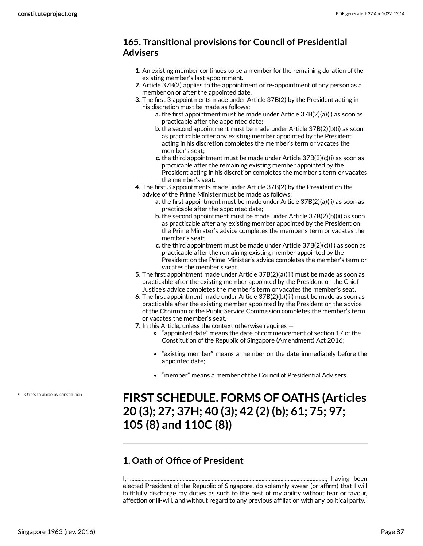#### **165. Transitional provisions for Council of Presidential Advisers**

- **1.** An existing member continues to be a member for the remaining duration of the existing member's last appointment.
- **2.** Article 37B(2) applies to the appointment or re-appointment of any person as a member on or after the appointed date.
- **3.** The first 3 appointments made under Article 37B(2) by the President acting in his discretion must be made as follows:
	- **a.** the first appointment must be made under Article 37B(2)(a)(i) as soon as practicable after the appointed date;
	- **b.** the second appointment must be made under Article 37B(2)(b)(i) as soon as practicable after any existing member appointed by the President acting in his discretion completes the member's term or vacates the member's seat;
	- **c.** the third appointment must be made under Article 37B(2)(c)(i) as soon as practicable after the remaining existing member appointed by the President acting in his discretion completes the member's term or vacates the member's seat.
- **4.** The first 3 appointments made under Article 37B(2) by the President on the advice of the Prime Minister must be made as follows:
	- **a.** the first appointment must be made under Article 37B(2)(a)(ii) as soon as practicable after the appointed date;
	- **b.** the second appointment must be made under Article 37B(2)(b)(ii) as soon as practicable after any existing member appointed by the President on the Prime Minister's advice completes the member's term or vacates the member's seat;
	- **c.** the third appointment must be made under Article 37B(2)(c)(ii) as soon as practicable after the remaining existing member appointed by the President on the Prime Minister's advice completes the member's term or vacates the member's seat.
- **5.** The first appointment made under Article 37B(2)(a)(iii) must be made as soon as practicable after the existing member appointed by the President on the Chief Justice's advice completes the member's term or vacates the member's seat.
- **6.** The first appointment made under Article 37B(2)(b)(iii) must be made as soon as practicable after the existing member appointed by the President on the advice of the Chairman of the Public Service Commission completes the member's term or vacates the member's seat.
- **7.** In this Article, unless the context otherwise requires
	- "appointed date" means the date of commencement of section 17 of the Constitution of the Republic of Singapore (Amendment) Act 2016;
	- "existing member" means a member on the date immediately before the appointed date;
	- "member" means a member of the Council of Presidential Advisers.

# <span id="page-86-0"></span>**FIRST SCHEDULE. FORMS OF OATHS (Articles 20 (3); 27; 37H; 40 (3); 42 (2) (b); 61; 75; 97; 105 (8) and 110C (8))**

### **1. Oath of Office of President**

I, ......................................................................................................................................, having been elected President of the Republic of Singapore, do solemnly swear (or affirm) that I will faithfully discharge my duties as such to the best of my ability without fear or favour, affection or ill-will, and without regard to any previous affiliation with any political party,

Oaths to abide by constitution

#### Singapore 1963 (rev. 2016) Page 87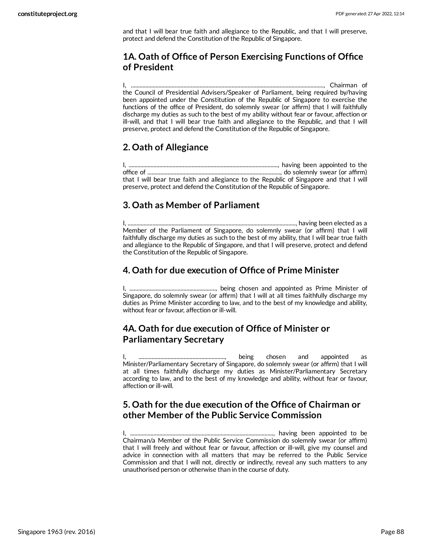and that I will bear true faith and allegiance to the Republic, and that I will preserve, protect and defend the Constitution of the Republic of Singapore.

### **1A. Oath of Office of Person Exercising Functions of Office of President**

I, ...................................................................................................................................., Chairman of the Council of Presidential Advisers/Speaker of Parliament, being required by/having been appointed under the Constitution of the Republic of Singapore to exercise the functions of the office of President, do solemnly swear (or affirm) that I will faithfully discharge my duties as such to the best of my ability without fear or favour, affection or ill-will, and that I will bear true faith and allegiance to the Republic, and that I will preserve, protect and defend the Constitution of the Republic of Singapore.

## **2. Oath of Allegiance**

I, ......................................................................................................, having been appointed to the office of ..........................................................................................., do solemnly swear (or affirm) that I will bear true faith and allegiance to the Republic of Singapore and that I will preserve, protect and defend the Constitution of the Republic of Singapore.

### **3. Oath as Member of Parliament**

I, ..................................................................................................................., having been elected as a Member of the Parliament of Singapore, do solemnly swear (or affirm) that I will faithfully discharge my duties as such to the best of my ability, that I will bear true faith and allegiance to the Republic of Singapore, and that I will preserve, protect and defend the Constitution of the Republic of Singapore.

### **4. Oath for due execution of Office of Prime Minister**

I, ..........................................................., being chosen and appointed as Prime Minister of Singapore, do solemnly swear (or affirm) that I will at all times faithfully discharge my duties as Prime Minister according to law, and to the best of my knowledge and ability, without fear or favour, affection or ill-will.

#### **4A. Oath for due execution of Office of Minister or Parliamentary Secretary**

I, ..........................................................., being chosen and appointed as Minister/Parliamentary Secretary of Singapore, do solemnly swear (or affirm) that I will at all times faithfully discharge my duties as Minister/Parliamentary Secretary according to law, and to the best of my knowledge and ability, without fear or favour, affection or ill-will.

### **5. Oath for the due execution of the Office of Chairman or other Member of the Public Service Commission**

I, .................................................................................................., having been appointed to be Chairman/a Member of the Public Service Commission do solemnly swear (or affirm) that I will freely and without fear or favour, affection or ill-will, give my counsel and advice in connection with all matters that may be referred to the Public Service Commission and that I will not, directly or indirectly, reveal any such matters to any unauthorised person or otherwise than in the course of duty.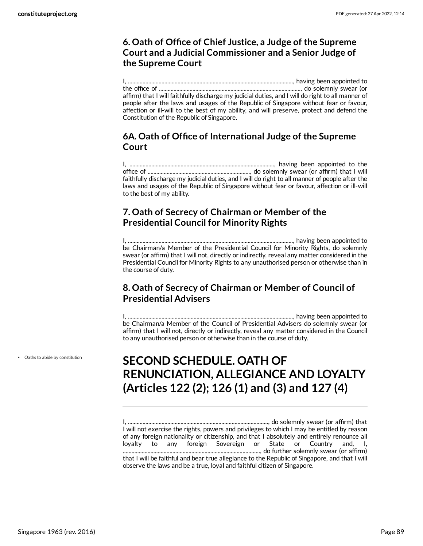### **6. Oath of Office of Chief Justice, a Judge of the Supreme Court and a Judicial Commissioner and a Senior Judge of the Supreme Court**

I, ................................................................................................................., having been appointed to the office of ................................................................................................., do solemnly swear (or affirm) that I will faithfully discharge my judicial duties, and I will do right to all manner of people after the laws and usages of the Republic of Singapore without fear or favour, affection or ill-will to the best of my ability, and will preserve, protect and defend the Constitution of the Republic of Singapore.

### **6A. Oath of Office of International Judge of the Supreme Court**

I, ..................................................................................................., having been appointed to the office of ......................................................................, do solemnly swear (or affirm) that I will faithfully discharge my judicial duties, and I will do right to all manner of people after the laws and usages of the Republic of Singapore without fear or favour, affection or ill-will to the best of my ability.

### **7. Oath of Secrecy of Chairman or Member of the Presidential Council for Minority Rights**

I, ................................................................................................................., having been appointed to be Chairman/a Member of the Presidential Council for Minority Rights, do solemnly swear (or affirm) that I will not, directly or indirectly, reveal any matter considered in the Presidential Council for Minority Rights to any unauthorised person or otherwise than in the course of duty.

### **8. Oath of Secrecy of Chairman or Member of Council of Presidential Advisers**

I, ................................................................................................................., having been appointed to be Chairman/a Member of the Council of Presidential Advisers do solemnly swear (or affirm) that I will not, directly or indirectly, reveal any matter considered in the Council to any unauthorised person or otherwise than in the course of duty.

Oaths to abide by constitution

# <span id="page-88-0"></span>**SECOND SCHEDULE. OATH OF RENUNCIATION, ALLEGIANCE AND LOYALTY (Articles 122 (2); 126 (1) and (3) and 127 (4)**

I, ................................................................................................, do solemnly swear (or affirm) that I will not exercise the rights, powers and privileges to which I may be entitled by reason of any foreign nationality or citizenship, and that I absolutely and entirely renounce all loyalty to any foreign Sovereign or State or Country and, I, .............................................................................................., do further solemnly swear (or affirm) that I will be faithful and bear true allegiance to the Republic of Singapore, and that I will observe the laws and be a true, loyal and faithful citizen of Singapore.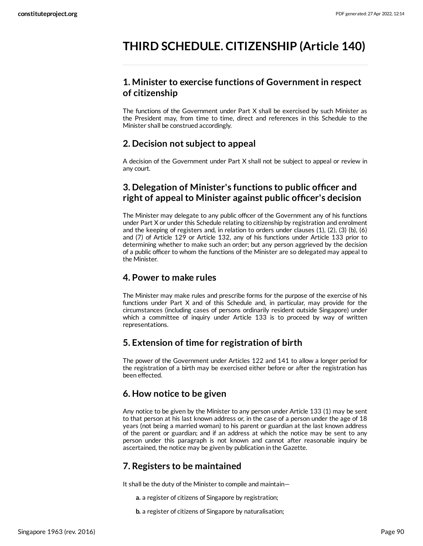## **THIRD SCHEDULE. CITIZENSHIP (Article 140)**

#### **1. Minister to exercise functions of Government in respect of citizenship**

The functions of the Government under Part X shall be exercised by such Minister as the President may, from time to time, direct and references in this Schedule to the Minister shall be construed accordingly.

### **2. Decision not subject to appeal**

A decision of the Government under Part X shall not be subject to appeal or review in any court.

### **3. Delegation of Minister's functions to public officer and right of appeal to Minister against public officer's decision**

The Minister may delegate to any public officer of the Government any of his functions under Part X or under this Schedule relating to citizenship by registration and enrolment and the keeping of registers and, in relation to orders under clauses (1), (2), (3) (b), (6) and (7) of Article 129 or Article 132, any of his functions under Article 133 prior to determining whether to make such an order; but any person aggrieved by the decision of a public officer to whom the functions of the Minister are so delegated may appeal to the Minister.

#### **4. Power to make rules**

The Minister may make rules and prescribe forms for the purpose of the exercise of his functions under Part X and of this Schedule and, in particular, may provide for the circumstances (including cases of persons ordinarily resident outside Singapore) under which a committee of inquiry under Article 133 is to proceed by way of written representations.

#### **5. Extension of time for registration of birth**

The power of the Government under Articles 122 and 141 to allow a longer period for the registration of a birth may be exercised either before or after the registration has been effected.

### **6. How notice to be given**

Any notice to be given by the Minister to any person under Article 133 (1) may be sent to that person at his last known address or, in the case of a person under the age of 18 years (not being a married woman) to his parent or guardian at the last known address of the parent or guardian; and if an address at which the notice may be sent to any person under this paragraph is not known and cannot after reasonable inquiry be ascertained, the notice may be given by publication in the Gazette.

### **7. Registers to be maintained**

It shall be the duty of the Minister to compile and maintain—

**a.** a register of citizens of Singapore by registration;

**b.** a register of citizens of Singapore by naturalisation;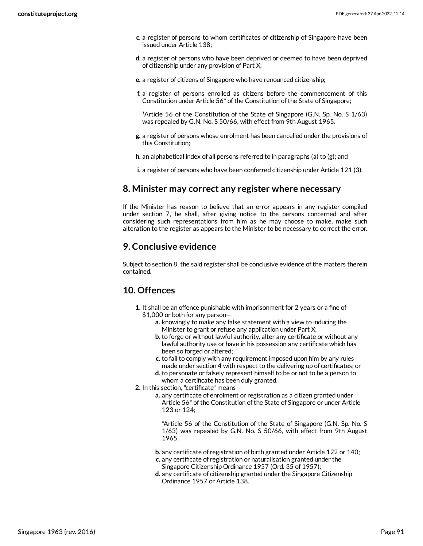- **c.** a register of persons to whom certificates of citizenship of Singapore have been issued under Article 138;
- **d.** a register of persons who have been deprived or deemed to have been deprived of citizenship under any provision of Part X;
- **e.** a register of citizens of Singapore who have renounced citizenship;
- **f.** a register of persons enrolled as citizens before the commencement of this Constitution under Article 56\* of the Constitution of the State of Singapore;
	- \*Article 56 of the Constitution of the State of Singapore (G.N. Sp. No. S 1/63) was repealed by G.N. No. S 50/66, with effect from 9th August 1965.
- **g.** a register of persons whose enrolment has been cancelled under the provisions of this Constitution;

**h.** an alphabetical index of all persons referred to in paragraphs (a) to (g); and

**i.** a register of persons who have been conferred citizenship under Article 121 (3).

#### **8. Minister may correct any register where necessary**

If the Minister has reason to believe that an error appears in any register compiled under section 7, he shall, after giving notice to the persons concerned and after considering such representations from him as he may choose to make, make such alteration to the register as appears to the Minister to be necessary to correct the error.

#### **9. Conclusive evidence**

Subject to section 8, the said register shall be conclusive evidence of the matters therein contained.

#### **10. Offences**

- **1.** It shall be an offence punishable with imprisonment for 2 years or a fine of \$1,000 or both for any person
	- **a.** knowingly to make any false statement with a view to inducing the Minister to grant or refuse any application under Part X;
	- **b.** to forge or without lawful authority, alter any certificate or without any lawful authority use or have in his possession any certificate which has been so forged or altered;
	- **c.** to fail to comply with any requirement imposed upon him by any rules made under section 4 with respect to the delivering up of certificates; or
	- **d.** to personate or falsely represent himself to be or not to be a person to whom a certificate has been duly granted.
- **2.** In this section, "certificate" means
	- **a.** any certificate of enrolment or registration as a citizen granted under Article 56\* of the Constitution of the State of Singapore or under Article 123 or 124;

\*Article 56 of the Constitution of the State of Singapore (G.N. Sp. No. S 1/63) was repealed by G.N. No. S 50/66, with effect from 9th August 1965.

- **b.** any certificate of registration of birth granted under Article 122 or 140;
- **c.** any certificate of registration or naturalisation granted under the Singapore Citizenship Ordinance 1957 (Ord. 35 of 1957);
- **d.** any certificate of citizenship granted under the Singapore Citizenship Ordinance 1957 or Article 138.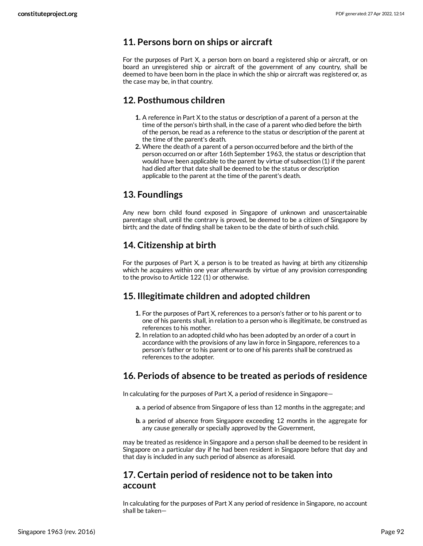### **11. Persons born on ships or aircraft**

For the purposes of Part X, a person born on board a registered ship or aircraft, or on board an unregistered ship or aircraft of the government of any country, shall be deemed to have been born in the place in which the ship or aircraft was registered or, as the case may be, in that country.

### **12. Posthumous children**

- **1.** A reference in Part X to the status or description of a parent of a person at the time of the person's birth shall, in the case of a parent who died before the birth of the person, be read as a reference to the status or description of the parent at the time of the parent's death.
- **2.** Where the death of a parent of a person occurred before and the birth of the person occurred on or after 16th September 1963, the status or description that would have been applicable to the parent by virtue of subsection (1) if the parent had died after that date shall be deemed to be the status or description applicable to the parent at the time of the parent's death.

### **13. Foundlings**

Any new born child found exposed in Singapore of unknown and unascertainable parentage shall, until the contrary is proved, be deemed to be a citizen of Singapore by birth; and the date of finding shall be taken to be the date of birth of such child.

### **14. Citizenship at birth**

For the purposes of Part X, a person is to be treated as having at birth any citizenship which he acquires within one year afterwards by virtue of any provision corresponding to the proviso to Article 122 (1) or otherwise.

#### **15. Illegitimate children and adopted children**

- **1.** For the purposes of Part X, references to a person's father or to his parent or to one of his parents shall, in relation to a person who is illegitimate, be construed as references to his mother.
- **2.** In relation to an adopted child who has been adopted by an order of a court in accordance with the provisions of any law in force in Singapore, references to a person's father or to his parent or to one of his parents shall be construed as references to the adopter.

#### **16. Periods of absence to be treated as periods of residence**

In calculating for the purposes of Part X, a period of residence in Singapore—

- **a.** a period of absence from Singapore of less than 12 months in the aggregate; and
- **b.** a period of absence from Singapore exceeding 12 months in the aggregate for any cause generally or specially approved by the Government,

may be treated as residence in Singapore and a person shall be deemed to be resident in Singapore on a particular day if he had been resident in Singapore before that day and that day is included in any such period of absence as aforesaid.

#### **17. Certain period of residence not to be taken into account**

In calculating for the purposes of Part X any period of residence in Singapore, no account shall be taken—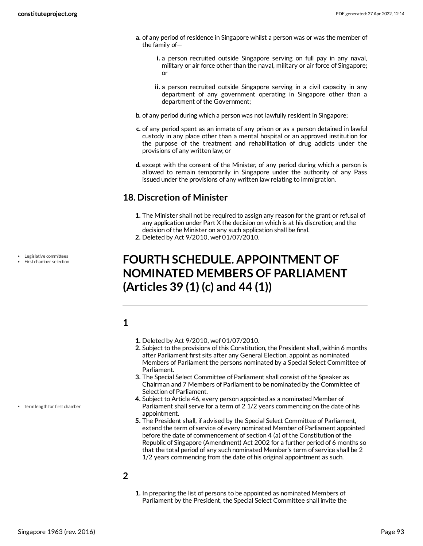- **a.** of any period of residence in Singapore whilst a person was or was the member of the family of
	- **i.** a person recruited outside Singapore serving on full pay in any naval, military or air force other than the naval, military or air force of Singapore; or
	- **ii.** a person recruited outside Singapore serving in a civil capacity in any department of any government operating in Singapore other than a department of the Government;
- **b.** of any period during which a person was not lawfully resident in Singapore;
- **c.** of any period spent as an inmate of any prison or as a person detained in lawful custody in any place other than a mental hospital or an approved institution for the purpose of the treatment and rehabilitation of drug addicts under the provisions of any written law; or
- **d.** except with the consent of the Minister, of any period during which a person is allowed to remain temporarily in Singapore under the authority of any Pass issued under the provisions of any written law relating to immigration.

### **18. Discretion of Minister**

- **1.** The Minister shall not be required to assign any reason for the grant or refusal of any application under Part X the decision on which is at his discretion; and the decision of the Minister on any such application shall be final.
- **2.** Deleted by Act 9/2010, wef 01/07/2010.

## <span id="page-92-0"></span>**FOURTH SCHEDULE. APPOINTMENT OF NOMINATED MEMBERS OF PARLIAMENT (Articles 39 (1) (c) and 44 (1))**

<span id="page-92-1"></span>**1**

- **1.** Deleted by Act 9/2010, wef 01/07/2010.
- **2.** Subject to the provisions of this Constitution, the President shall, within 6 months after Parliament first sits after any General Election, appoint as nominated Members of Parliament the persons nominated by a Special Select Committee of Parliament.
- **3.** The Special Select Committee of Parliament shall consist of the Speaker as Chairman and 7 Members of Parliament to be nominated by the Committee of Selection of Parliament.
- **4.** Subject to Article 46, every person appointed as a nominated Member of Parliament shall serve for a term of 2 1/2 years commencing on the date of his appointment.
- **5.** The President shall, if advised by the Special Select Committee of Parliament, extend the term of service of every nominated Member of Parliament appointed before the date of commencement of section 4 (a) of the Constitution of the Republic of Singapore (Amendment) Act 2002 for a further period of 6 months so that the total period of any such nominated Member's term of service shall be 2 1/2 years commencing from the date of his original appointment as such.

#### **2**

**1.** In preparing the list of persons to be appointed as nominated Members of Parliament by the President, the Special Select Committee shall invite the

Legislative committees

First chamber selection

Term length for first chamber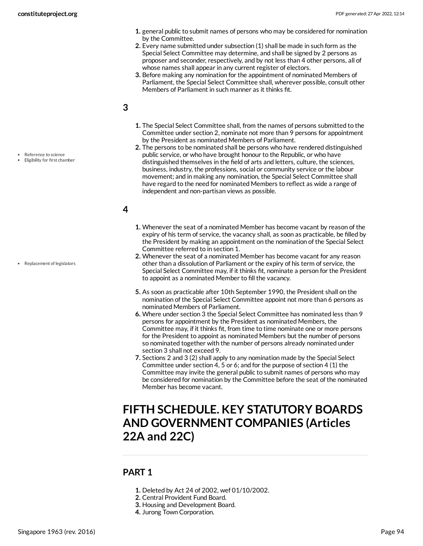- **1.** general public to submit names of persons who may be considered for nomination by the Committee.
- **2.** Every name submitted under subsection (1) shall be made in such form as the Special Select Committee may determine, and shall be signed by 2 persons as proposer and seconder, respectively, and by not less than 4 other persons, all of whose names shall appear in any current register of electors.
- **3.** Before making any nomination for the appointment of nominated Members of Parliament, the Special Select Committee shall, wherever possible, consult other Members of Parliament in such manner as it thinks fit.

#### <span id="page-93-0"></span>**3**

- **1.** The Special Select Committee shall, from the names of persons submitted to the Committee under section 2, nominate not more than 9 persons for appointment by the President as nominated Members of Parliament.
- **2.** The persons to be nominated shall be persons who have rendered distinguished public service, or who have brought honour to the Republic, or who have distinguished themselves in the field of arts and letters, culture, the sciences, business, industry, the professions, social or community service or the labour movement; and in making any nomination, the Special Select Committee shall have regard to the need for nominated Members to reflect as wide a range of independent and non-partisan views as possible.

### <span id="page-93-1"></span>**4**

- **1.** Whenever the seat of a nominated Member has become vacant by reason of the expiry of his term of service, the vacancy shall, as soon as practicable, be filled by the President by making an appointment on the nomination of the Special Select Committee referred to in section 1.
- **2.** Whenever the seat of a nominated Member has become vacant for any reason other than a dissolution of Parliament or the expiry of his term of service, the Special Select Committee may, if it thinks fit, nominate a person for the President to appoint as a nominated Member to fill the vacancy.
- **5.** As soon as practicable after 10th September 1990, the President shall on the nomination of the Special Select Committee appoint not more than 6 persons as nominated Members of Parliament.
- **6.** Where under section 3 the Special Select Committee has nominated less than 9 persons for appointment by the President as nominated Members, the Committee may, if it thinks fit, from time to time nominate one or more persons for the President to appoint as nominated Members but the number of persons so nominated together with the number of persons already nominated under section 3 shall not exceed 9.
- **7.** Sections 2 and 3 (2) shall apply to any nomination made by the Special Select Committee under section 4, 5 or 6; and for the purpose of section 4 (1) the Committee may invite the general public to submit names of persons who may be considered for nomination by the Committee before the seat of the nominated Member has become vacant.

## **FIFTH SCHEDULE. KEY STATUTORY BOARDS AND GOVERNMENT COMPANIES (Articles 22A and 22C)**

### **PART 1**

- **1.** Deleted by Act 24 of 2002, wef 01/10/2002.
- **2.** Central Provident Fund Board.
- **3.** Housing and Development Board.
- **4.** Jurong Town Corporation.

• Replacement of legislators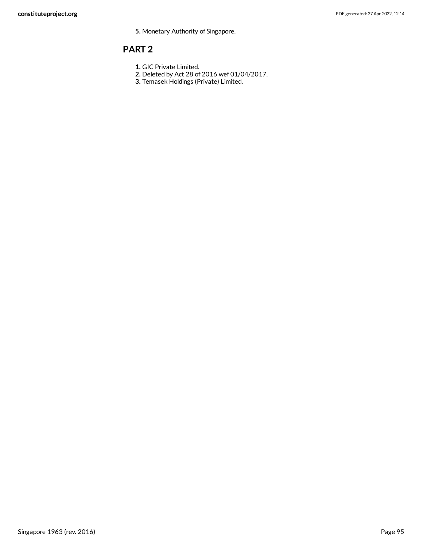**5.** Monetary Authority of Singapore.

### **PART 2**

- **1.** GIC Private Limited.
- **2.** Deleted by Act 28 of 2016 wef 01/04/2017.
- **3.** Temasek Holdings (Private) Limited.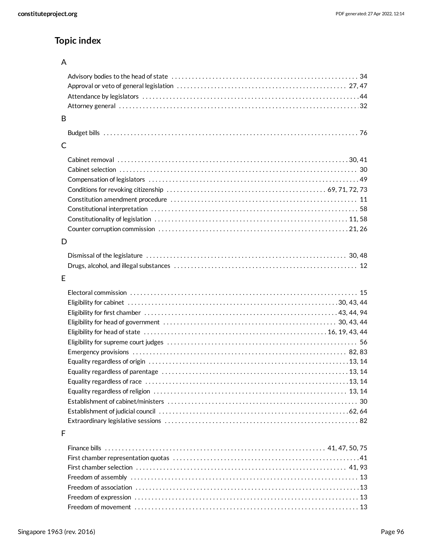### **Topic index**

#### A

| B            |  |
|--------------|--|
|              |  |
| $\mathsf{C}$ |  |
|              |  |
|              |  |
|              |  |
|              |  |
|              |  |
|              |  |
| D            |  |
|              |  |
|              |  |
|              |  |
| E            |  |
|              |  |
|              |  |
|              |  |
|              |  |
|              |  |
|              |  |
|              |  |
|              |  |
|              |  |
|              |  |
|              |  |
|              |  |
|              |  |
|              |  |
| F            |  |
|              |  |
|              |  |
|              |  |

 Freedom of assembly . . . . . . . . . . . . . . . . . . . . . . . . . . . . . . . . . . . . . . . . . . . . . . . . . . . . . . . . . . . . . . . . . . . Freedom of association . . . . . . . . . . . . . . . . . . . . . . . . . . . . . . . . . . . . . . . . . . . . . . . . . . . . . . . . . . . . . . . . . . Freedom of expression . . . . . . . . . . . . . . . . . . . . . . . . . . . . . . . . . . . . . . . . . . . . . . . . . . . . . . . . . . . . . . . . . . Freedom of movement . . . . . . . . . . . . . . . . . . . . . . . . . . . . . . . . . . . . . . . . . . . . . . . . . . . . . . . . . . . . . . . . . .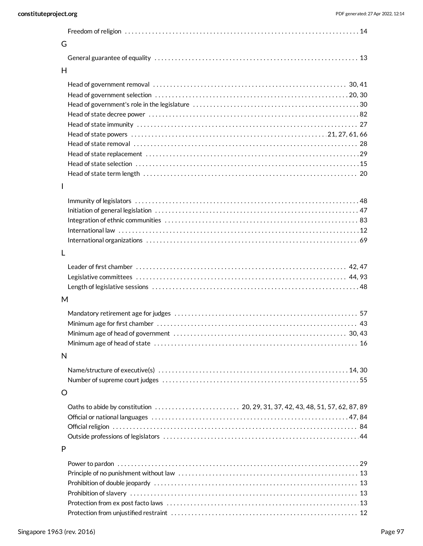| G       |  |
|---------|--|
|         |  |
| H       |  |
|         |  |
|         |  |
|         |  |
|         |  |
|         |  |
|         |  |
|         |  |
|         |  |
|         |  |
|         |  |
| I.      |  |
|         |  |
|         |  |
|         |  |
|         |  |
|         |  |
| L       |  |
|         |  |
|         |  |
|         |  |
| M       |  |
|         |  |
|         |  |
|         |  |
|         |  |
| N       |  |
|         |  |
|         |  |
| $\circ$ |  |
|         |  |
|         |  |
|         |  |
|         |  |
| P       |  |
|         |  |
|         |  |
|         |  |
|         |  |
|         |  |
|         |  |